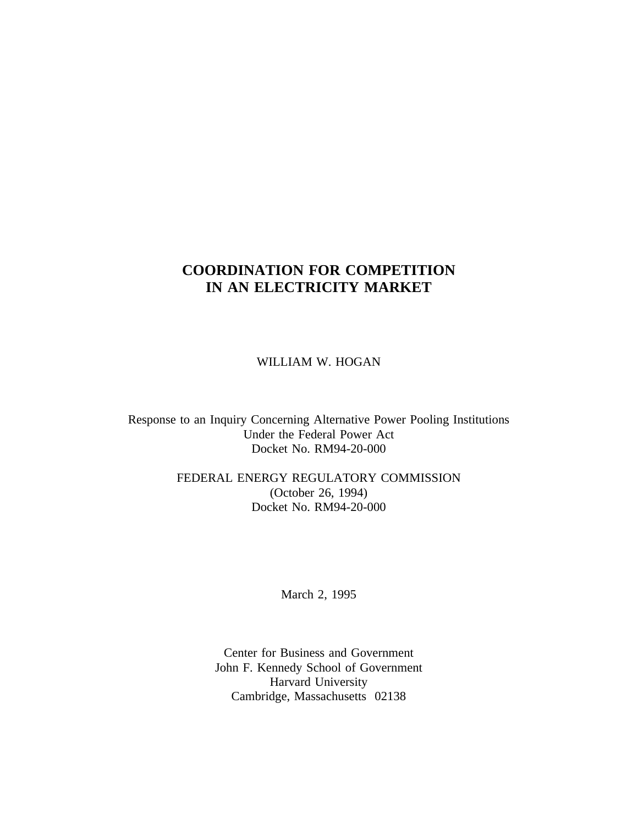# **COORDINATION FOR COMPETITION IN AN ELECTRICITY MARKET**

WILLIAM W. HOGAN

Response to an Inquiry Concerning Alternative Power Pooling Institutions Under the Federal Power Act Docket No. RM94-20-000

> FEDERAL ENERGY REGULATORY COMMISSION (October 26, 1994) Docket No. RM94-20-000

> > March 2, 1995

Center for Business and Government John F. Kennedy School of Government Harvard University Cambridge, Massachusetts 02138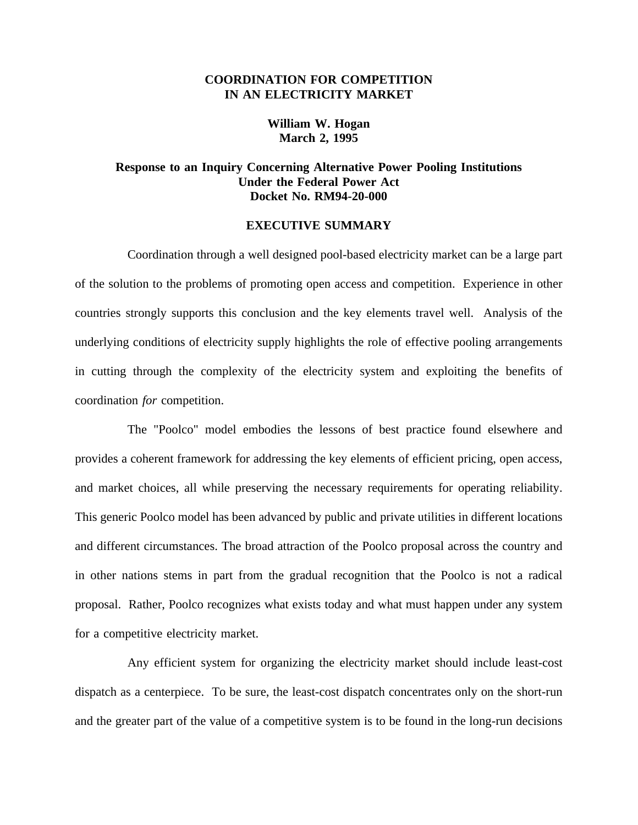# **COORDINATION FOR COMPETITION IN AN ELECTRICITY MARKET**

# **William W. Hogan March 2, 1995**

# **Response to an Inquiry Concerning Alternative Power Pooling Institutions Under the Federal Power Act Docket No. RM94-20-000**

#### **EXECUTIVE SUMMARY**

Coordination through a well designed pool-based electricity market can be a large part of the solution to the problems of promoting open access and competition. Experience in other countries strongly supports this conclusion and the key elements travel well. Analysis of the underlying conditions of electricity supply highlights the role of effective pooling arrangements in cutting through the complexity of the electricity system and exploiting the benefits of coordination *for* competition.

The "Poolco" model embodies the lessons of best practice found elsewhere and provides a coherent framework for addressing the key elements of efficient pricing, open access, and market choices, all while preserving the necessary requirements for operating reliability. This generic Poolco model has been advanced by public and private utilities in different locations and different circumstances. The broad attraction of the Poolco proposal across the country and in other nations stems in part from the gradual recognition that the Poolco is not a radical proposal. Rather, Poolco recognizes what exists today and what must happen under any system for a competitive electricity market.

Any efficient system for organizing the electricity market should include least-cost dispatch as a centerpiece. To be sure, the least-cost dispatch concentrates only on the short-run and the greater part of the value of a competitive system is to be found in the long-run decisions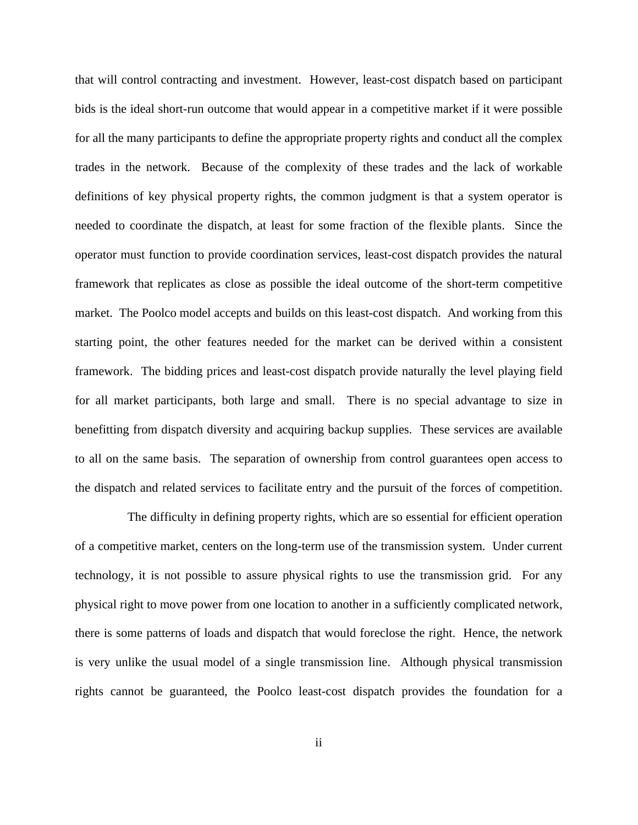that will control contracting and investment. However, least-cost dispatch based on participant bids is the ideal short-run outcome that would appear in a competitive market if it were possible for all the many participants to define the appropriate property rights and conduct all the complex trades in the network. Because of the complexity of these trades and the lack of workable definitions of key physical property rights, the common judgment is that a system operator is needed to coordinate the dispatch, at least for some fraction of the flexible plants. Since the operator must function to provide coordination services, least-cost dispatch provides the natural framework that replicates as close as possible the ideal outcome of the short-term competitive market. The Poolco model accepts and builds on this least-cost dispatch. And working from this starting point, the other features needed for the market can be derived within a consistent framework. The bidding prices and least-cost dispatch provide naturally the level playing field for all market participants, both large and small. There is no special advantage to size in benefitting from dispatch diversity and acquiring backup supplies. These services are available to all on the same basis. The separation of ownership from control guarantees open access to the dispatch and related services to facilitate entry and the pursuit of the forces of competition.

The difficulty in defining property rights, which are so essential for efficient operation of a competitive market, centers on the long-term use of the transmission system. Under current technology, it is not possible to assure physical rights to use the transmission grid. For any physical right to move power from one location to another in a sufficiently complicated network, there is some patterns of loads and dispatch that would foreclose the right. Hence, the network is very unlike the usual model of a single transmission line. Although physical transmission rights cannot be guaranteed, the Poolco least-cost dispatch provides the foundation for a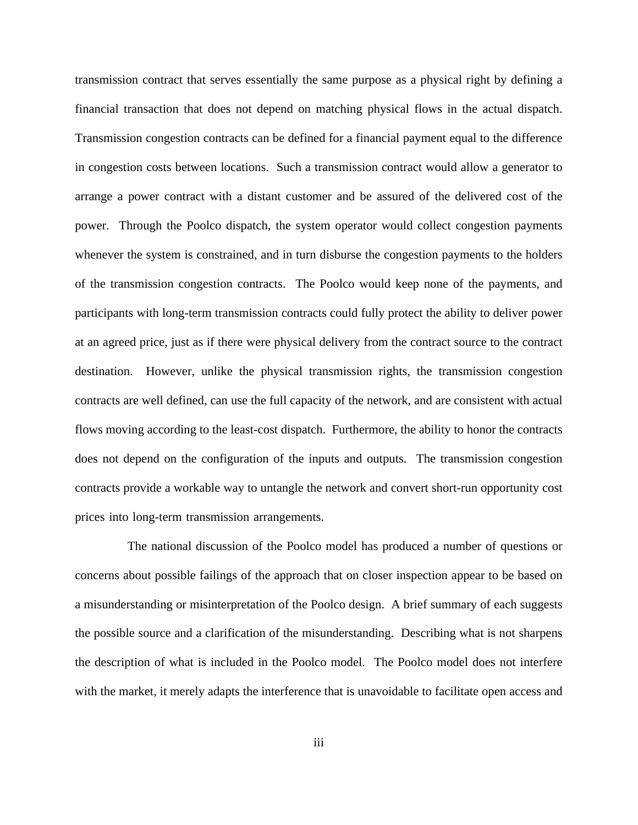transmission contract that serves essentially the same purpose as a physical right by defining a financial transaction that does not depend on matching physical flows in the actual dispatch. Transmission congestion contracts can be defined for a financial payment equal to the difference in congestion costs between locations. Such a transmission contract would allow a generator to arrange a power contract with a distant customer and be assured of the delivered cost of the power. Through the Poolco dispatch, the system operator would collect congestion payments whenever the system is constrained, and in turn disburse the congestion payments to the holders of the transmission congestion contracts. The Poolco would keep none of the payments, and participants with long-term transmission contracts could fully protect the ability to deliver power at an agreed price, just as if there were physical delivery from the contract source to the contract destination. However, unlike the physical transmission rights, the transmission congestion contracts are well defined, can use the full capacity of the network, and are consistent with actual flows moving according to the least-cost dispatch. Furthermore, the ability to honor the contracts does not depend on the configuration of the inputs and outputs. The transmission congestion contracts provide a workable way to untangle the network and convert short-run opportunity cost prices into long-term transmission arrangements.

The national discussion of the Poolco model has produced a number of questions or concerns about possible failings of the approach that on closer inspection appear to be based on a misunderstanding or misinterpretation of the Poolco design. A brief summary of each suggests the possible source and a clarification of the misunderstanding. Describing what is not sharpens the description of what is included in the Poolco model. The Poolco model does not interfere with the market, it merely adapts the interference that is unavoidable to facilitate open access and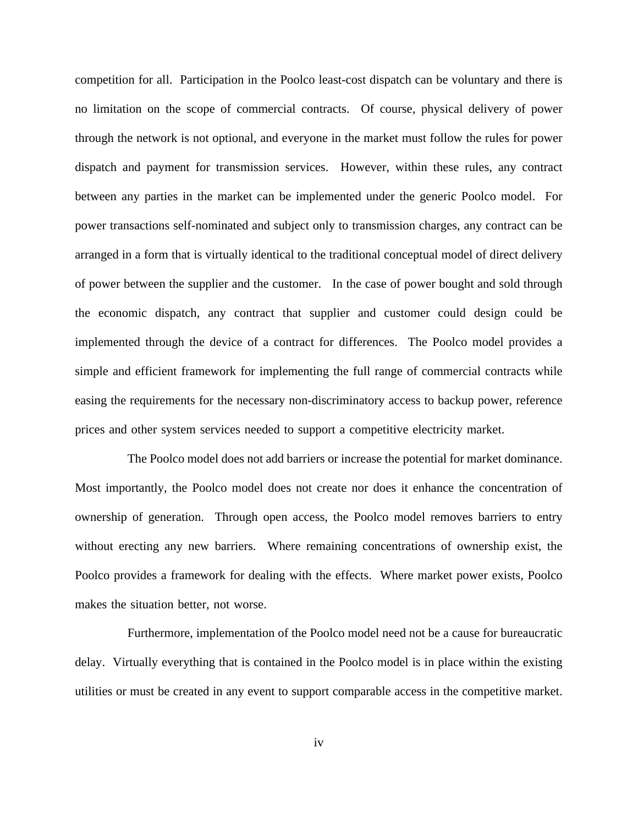competition for all. Participation in the Poolco least-cost dispatch can be voluntary and there is no limitation on the scope of commercial contracts. Of course, physical delivery of power through the network is not optional, and everyone in the market must follow the rules for power dispatch and payment for transmission services. However, within these rules, any contract between any parties in the market can be implemented under the generic Poolco model. For power transactions self-nominated and subject only to transmission charges, any contract can be arranged in a form that is virtually identical to the traditional conceptual model of direct delivery of power between the supplier and the customer. In the case of power bought and sold through the economic dispatch, any contract that supplier and customer could design could be implemented through the device of a contract for differences. The Poolco model provides a simple and efficient framework for implementing the full range of commercial contracts while easing the requirements for the necessary non-discriminatory access to backup power, reference prices and other system services needed to support a competitive electricity market.

The Poolco model does not add barriers or increase the potential for market dominance. Most importantly, the Poolco model does not create nor does it enhance the concentration of ownership of generation. Through open access, the Poolco model removes barriers to entry without erecting any new barriers. Where remaining concentrations of ownership exist, the Poolco provides a framework for dealing with the effects. Where market power exists, Poolco makes the situation better, not worse.

Furthermore, implementation of the Poolco model need not be a cause for bureaucratic delay. Virtually everything that is contained in the Poolco model is in place within the existing utilities or must be created in any event to support comparable access in the competitive market.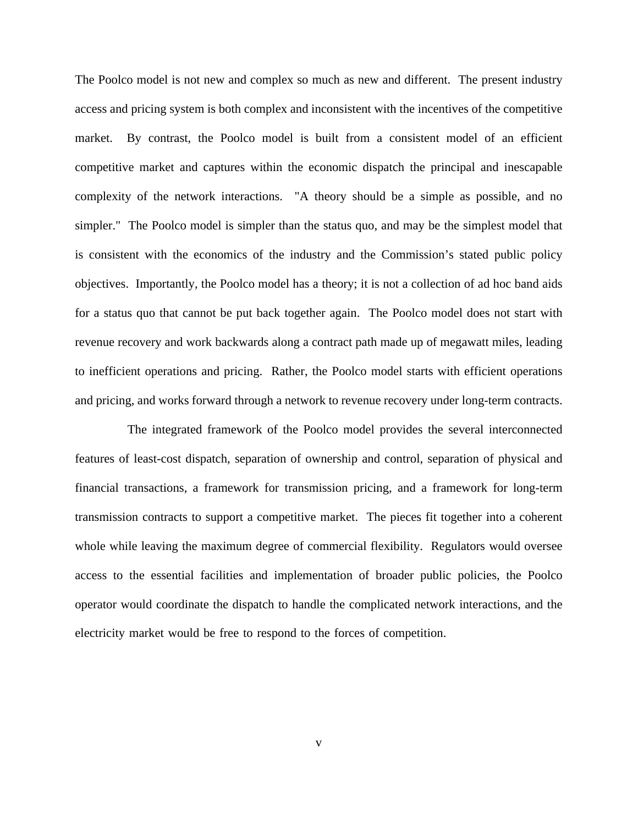The Poolco model is not new and complex so much as new and different. The present industry access and pricing system is both complex and inconsistent with the incentives of the competitive market. By contrast, the Poolco model is built from a consistent model of an efficient competitive market and captures within the economic dispatch the principal and inescapable complexity of the network interactions. "A theory should be a simple as possible, and no simpler." The Poolco model is simpler than the status quo, and may be the simplest model that is consistent with the economics of the industry and the Commission's stated public policy objectives. Importantly, the Poolco model has a theory; it is not a collection of ad hoc band aids for a status quo that cannot be put back together again. The Poolco model does not start with revenue recovery and work backwards along a contract path made up of megawatt miles, leading to inefficient operations and pricing. Rather, the Poolco model starts with efficient operations and pricing, and works forward through a network to revenue recovery under long-term contracts.

The integrated framework of the Poolco model provides the several interconnected features of least-cost dispatch, separation of ownership and control, separation of physical and financial transactions, a framework for transmission pricing, and a framework for long-term transmission contracts to support a competitive market. The pieces fit together into a coherent whole while leaving the maximum degree of commercial flexibility. Regulators would oversee access to the essential facilities and implementation of broader public policies, the Poolco operator would coordinate the dispatch to handle the complicated network interactions, and the electricity market would be free to respond to the forces of competition.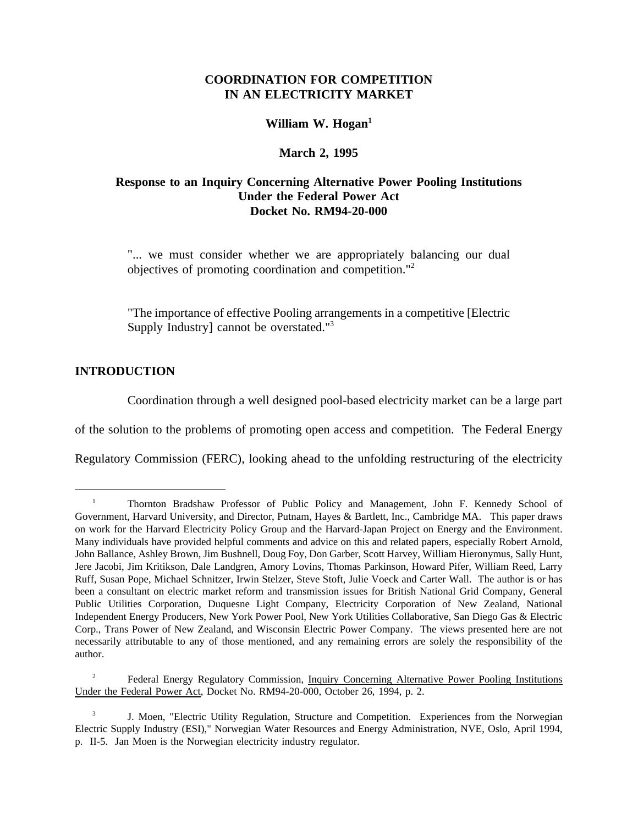# **COORDINATION FOR COMPETITION IN AN ELECTRICITY MARKET**

# William W. Hogan<sup>1</sup>

### **March 2, 1995**

# **Response to an Inquiry Concerning Alternative Power Pooling Institutions Under the Federal Power Act Docket No. RM94-20-000**

"... we must consider whether we are appropriately balancing our dual objectives of promoting coordination and competition."2

"The importance of effective Pooling arrangements in a competitive [Electric Supply Industry] cannot be overstated."<sup>3</sup>

### **INTRODUCTION**

Coordination through a well designed pool-based electricity market can be a large part

of the solution to the problems of promoting open access and competition. The Federal Energy

Regulatory Commission (FERC), looking ahead to the unfolding restructuring of the electricity

<sup>&</sup>lt;sup>1</sup> Thornton Bradshaw Professor of Public Policy and Management, John F. Kennedy School of Government, Harvard University, and Director, Putnam, Hayes & Bartlett, Inc., Cambridge MA. This paper draws on work for the Harvard Electricity Policy Group and the Harvard-Japan Project on Energy and the Environment. Many individuals have provided helpful comments and advice on this and related papers, especially Robert Arnold, John Ballance, Ashley Brown, Jim Bushnell, Doug Foy, Don Garber, Scott Harvey, William Hieronymus, Sally Hunt, Jere Jacobi, Jim Kritikson, Dale Landgren, Amory Lovins, Thomas Parkinson, Howard Pifer, William Reed, Larry Ruff, Susan Pope, Michael Schnitzer, Irwin Stelzer, Steve Stoft, Julie Voeck and Carter Wall. The author is or has been a consultant on electric market reform and transmission issues for British National Grid Company, General Public Utilities Corporation, Duquesne Light Company, Electricity Corporation of New Zealand, National Independent Energy Producers, New York Power Pool, New York Utilities Collaborative, San Diego Gas & Electric Corp., Trans Power of New Zealand, and Wisconsin Electric Power Company. The views presented here are not necessarily attributable to any of those mentioned, and any remaining errors are solely the responsibility of the author.

<sup>2</sup> Federal Energy Regulatory Commission, Inquiry Concerning Alternative Power Pooling Institutions Under the Federal Power Act, Docket No. RM94-20-000, October 26, 1994, p. 2.

<sup>3</sup> J. Moen, "Electric Utility Regulation, Structure and Competition. Experiences from the Norwegian Electric Supply Industry (ESI)," Norwegian Water Resources and Energy Administration, NVE, Oslo, April 1994, p. II-5. Jan Moen is the Norwegian electricity industry regulator.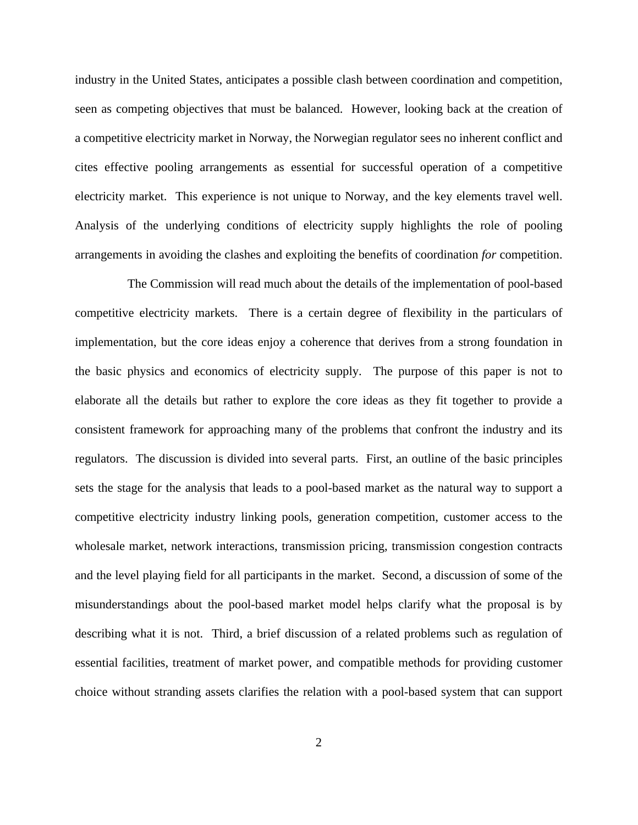industry in the United States, anticipates a possible clash between coordination and competition, seen as competing objectives that must be balanced. However, looking back at the creation of a competitive electricity market in Norway, the Norwegian regulator sees no inherent conflict and cites effective pooling arrangements as essential for successful operation of a competitive electricity market. This experience is not unique to Norway, and the key elements travel well. Analysis of the underlying conditions of electricity supply highlights the role of pooling arrangements in avoiding the clashes and exploiting the benefits of coordination *for* competition.

The Commission will read much about the details of the implementation of pool-based competitive electricity markets. There is a certain degree of flexibility in the particulars of implementation, but the core ideas enjoy a coherence that derives from a strong foundation in the basic physics and economics of electricity supply. The purpose of this paper is not to elaborate all the details but rather to explore the core ideas as they fit together to provide a consistent framework for approaching many of the problems that confront the industry and its regulators. The discussion is divided into several parts. First, an outline of the basic principles sets the stage for the analysis that leads to a pool-based market as the natural way to support a competitive electricity industry linking pools, generation competition, customer access to the wholesale market, network interactions, transmission pricing, transmission congestion contracts and the level playing field for all participants in the market. Second, a discussion of some of the misunderstandings about the pool-based market model helps clarify what the proposal is by describing what it is not. Third, a brief discussion of a related problems such as regulation of essential facilities, treatment of market power, and compatible methods for providing customer choice without stranding assets clarifies the relation with a pool-based system that can support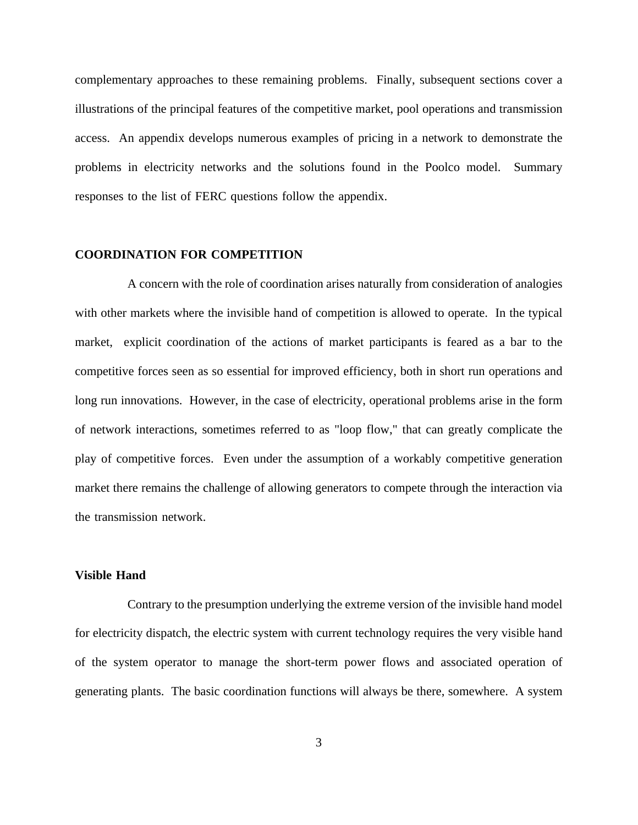complementary approaches to these remaining problems. Finally, subsequent sections cover a illustrations of the principal features of the competitive market, pool operations and transmission access. An appendix develops numerous examples of pricing in a network to demonstrate the problems in electricity networks and the solutions found in the Poolco model. Summary responses to the list of FERC questions follow the appendix.

#### **COORDINATION FOR COMPETITION**

A concern with the role of coordination arises naturally from consideration of analogies with other markets where the invisible hand of competition is allowed to operate. In the typical market, explicit coordination of the actions of market participants is feared as a bar to the competitive forces seen as so essential for improved efficiency, both in short run operations and long run innovations. However, in the case of electricity, operational problems arise in the form of network interactions, sometimes referred to as "loop flow," that can greatly complicate the play of competitive forces. Even under the assumption of a workably competitive generation market there remains the challenge of allowing generators to compete through the interaction via the transmission network.

#### **Visible Hand**

Contrary to the presumption underlying the extreme version of the invisible hand model for electricity dispatch, the electric system with current technology requires the very visible hand of the system operator to manage the short-term power flows and associated operation of generating plants. The basic coordination functions will always be there, somewhere. A system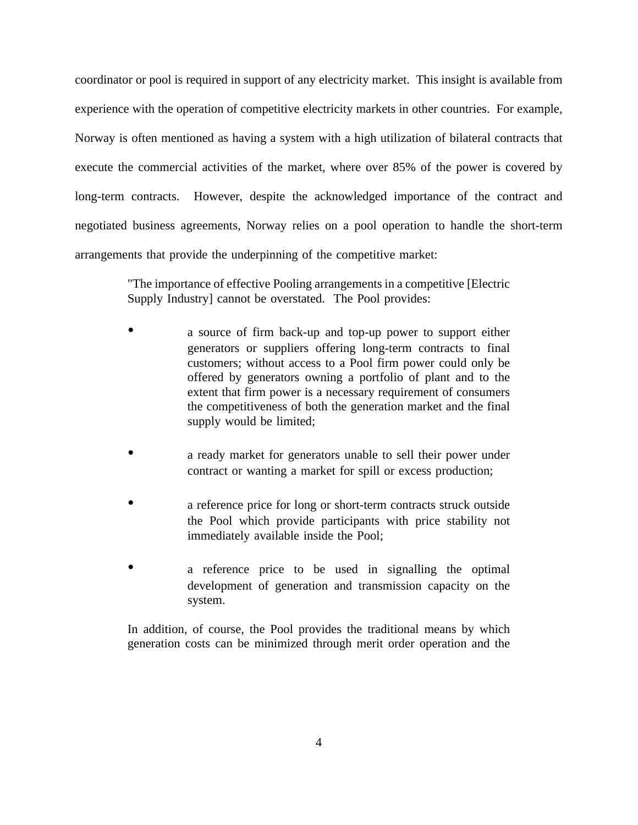coordinator or pool is required in support of any electricity market. This insight is available from experience with the operation of competitive electricity markets in other countries. For example, Norway is often mentioned as having a system with a high utilization of bilateral contracts that execute the commercial activities of the market, where over 85% of the power is covered by long-term contracts. However, despite the acknowledged importance of the contract and negotiated business agreements, Norway relies on a pool operation to handle the short-term arrangements that provide the underpinning of the competitive market:

> "The importance of effective Pooling arrangements in a competitive [Electric Supply Industry] cannot be overstated. The Pool provides:

- a source of firm back-up and top-up power to support either generators or suppliers offering long-term contracts to final customers; without access to a Pool firm power could only be offered by generators owning a portfolio of plant and to the extent that firm power is a necessary requirement of consumers the competitiveness of both the generation market and the final supply would be limited;
- a ready market for generators unable to sell their power under contract or wanting a market for spill or excess production;
- a reference price for long or short-term contracts struck outside the Pool which provide participants with price stability not immediately available inside the Pool;
- a reference price to be used in signalling the optimal development of generation and transmission capacity on the system.

In addition, of course, the Pool provides the traditional means by which generation costs can be minimized through merit order operation and the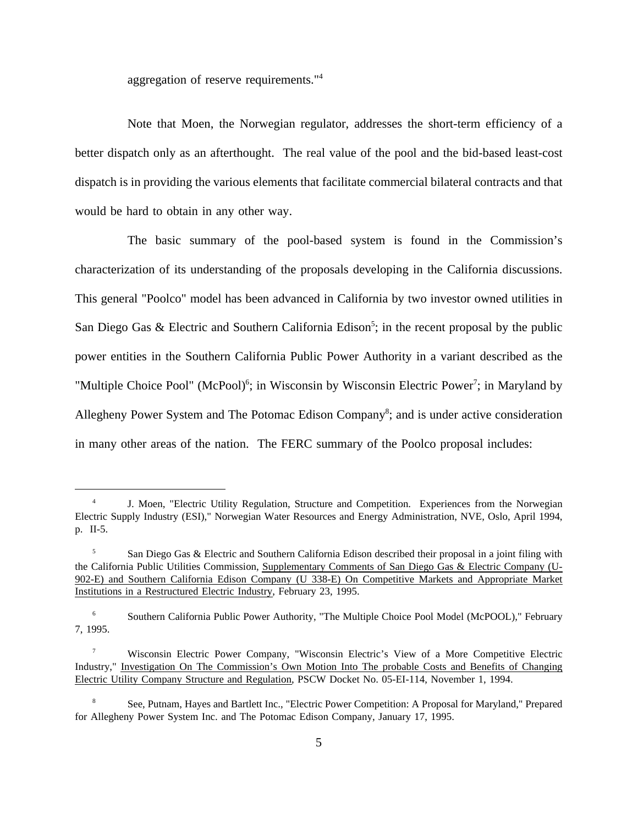aggregation of reserve requirements."4

Note that Moen, the Norwegian regulator, addresses the short-term efficiency of a better dispatch only as an afterthought. The real value of the pool and the bid-based least-cost dispatch is in providing the various elements that facilitate commercial bilateral contracts and that would be hard to obtain in any other way.

The basic summary of the pool-based system is found in the Commission's characterization of its understanding of the proposals developing in the California discussions. This general "Poolco" model has been advanced in California by two investor owned utilities in San Diego Gas & Electric and Southern California Edison<sup>5</sup>; in the recent proposal by the public power entities in the Southern California Public Power Authority in a variant described as the "Multiple Choice Pool" (McPool)<sup>6</sup>; in Wisconsin by Wisconsin Electric Power<sup>7</sup>; in Maryland by Allegheny Power System and The Potomac Edison Company<sup>8</sup>; and is under active consideration in many other areas of the nation. The FERC summary of the Poolco proposal includes:

J. Moen, "Electric Utility Regulation, Structure and Competition. Experiences from the Norwegian Electric Supply Industry (ESI)," Norwegian Water Resources and Energy Administration, NVE, Oslo, April 1994, p. II-5.

<sup>&</sup>lt;sup>5</sup> San Diego Gas & Electric and Southern California Edison described their proposal in a joint filing with the California Public Utilities Commission, Supplementary Comments of San Diego Gas & Electric Company (U-902-E) and Southern California Edison Company (U 338-E) On Competitive Markets and Appropriate Market Institutions in a Restructured Electric Industry, February 23, 1995.

<sup>6</sup> Southern California Public Power Authority, "The Multiple Choice Pool Model (McPOOL)," February 7, 1995.

<sup>7</sup> Wisconsin Electric Power Company, "Wisconsin Electric's View of a More Competitive Electric Industry," Investigation On The Commission's Own Motion Into The probable Costs and Benefits of Changing Electric Utility Company Structure and Regulation, PSCW Docket No. 05-EI-114, November 1, 1994.

<sup>8</sup> See, Putnam, Hayes and Bartlett Inc., "Electric Power Competition: A Proposal for Maryland," Prepared for Allegheny Power System Inc. and The Potomac Edison Company, January 17, 1995.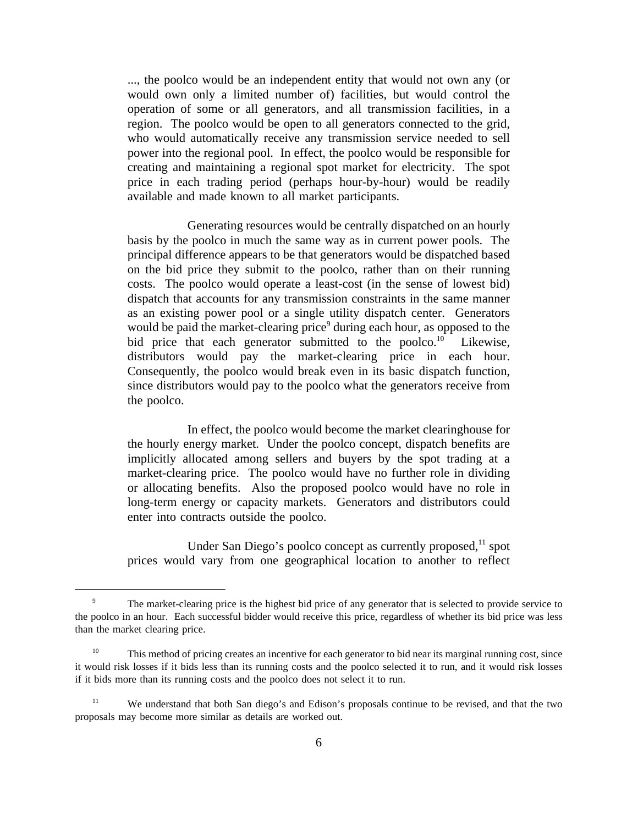..., the poolco would be an independent entity that would not own any (or would own only a limited number of) facilities, but would control the operation of some or all generators, and all transmission facilities, in a region. The poolco would be open to all generators connected to the grid, who would automatically receive any transmission service needed to sell power into the regional pool. In effect, the poolco would be responsible for creating and maintaining a regional spot market for electricity. The spot price in each trading period (perhaps hour-by-hour) would be readily available and made known to all market participants.

Generating resources would be centrally dispatched on an hourly basis by the poolco in much the same way as in current power pools. The principal difference appears to be that generators would be dispatched based on the bid price they submit to the poolco, rather than on their running costs. The poolco would operate a least-cost (in the sense of lowest bid) dispatch that accounts for any transmission constraints in the same manner as an existing power pool or a single utility dispatch center. Generators would be paid the market-clearing price<sup>9</sup> during each hour, as opposed to the bid price that each generator submitted to the poolco.<sup>10</sup> Likewise, distributors would pay the market-clearing price in each hour. Consequently, the poolco would break even in its basic dispatch function, since distributors would pay to the poolco what the generators receive from the poolco.

In effect, the poolco would become the market clearinghouse for the hourly energy market. Under the poolco concept, dispatch benefits are implicitly allocated among sellers and buyers by the spot trading at a market-clearing price. The poolco would have no further role in dividing or allocating benefits. Also the proposed poolco would have no role in long-term energy or capacity markets. Generators and distributors could enter into contracts outside the poolco.

Under San Diego's poolco concept as currently proposed, $^{11}$  spot prices would vary from one geographical location to another to reflect

<sup>&</sup>lt;sup>9</sup> The market-clearing price is the highest bid price of any generator that is selected to provide service to the poolco in an hour. Each successful bidder would receive this price, regardless of whether its bid price was less than the market clearing price.

<sup>&</sup>lt;sup>10</sup> This method of pricing creates an incentive for each generator to bid near its marginal running cost, since it would risk losses if it bids less than its running costs and the poolco selected it to run, and it would risk losses if it bids more than its running costs and the poolco does not select it to run.

<sup>&</sup>lt;sup>11</sup> We understand that both San diego's and Edison's proposals continue to be revised, and that the two proposals may become more similar as details are worked out.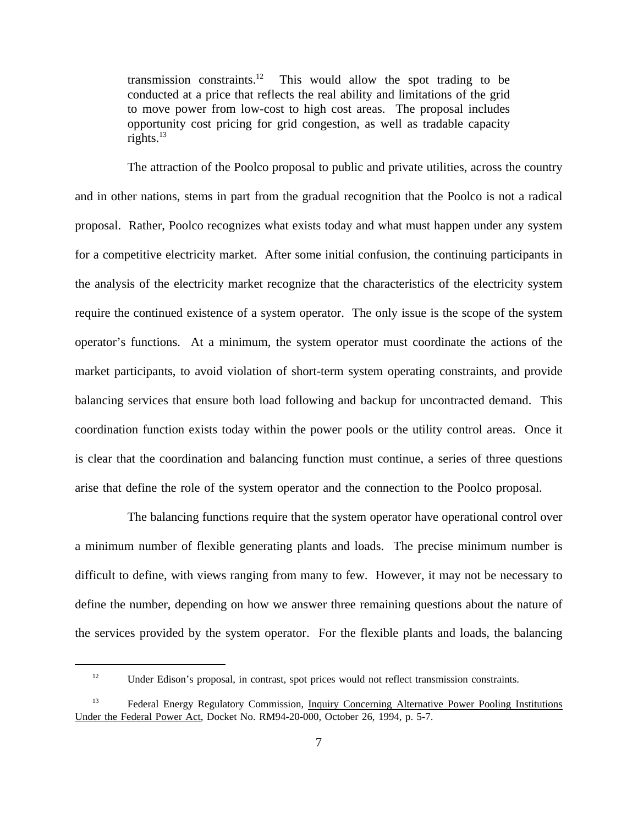transmission constraints.<sup>12</sup> This would allow the spot trading to be conducted at a price that reflects the real ability and limitations of the grid to move power from low-cost to high cost areas. The proposal includes opportunity cost pricing for grid congestion, as well as tradable capacity rights. $^{13}$ 

The attraction of the Poolco proposal to public and private utilities, across the country and in other nations, stems in part from the gradual recognition that the Poolco is not a radical proposal. Rather, Poolco recognizes what exists today and what must happen under any system for a competitive electricity market. After some initial confusion, the continuing participants in the analysis of the electricity market recognize that the characteristics of the electricity system require the continued existence of a system operator. The only issue is the scope of the system operator's functions. At a minimum, the system operator must coordinate the actions of the market participants, to avoid violation of short-term system operating constraints, and provide balancing services that ensure both load following and backup for uncontracted demand. This coordination function exists today within the power pools or the utility control areas. Once it is clear that the coordination and balancing function must continue, a series of three questions arise that define the role of the system operator and the connection to the Poolco proposal.

The balancing functions require that the system operator have operational control over a minimum number of flexible generating plants and loads. The precise minimum number is difficult to define, with views ranging from many to few. However, it may not be necessary to define the number, depending on how we answer three remaining questions about the nature of the services provided by the system operator. For the flexible plants and loads, the balancing

<sup>&</sup>lt;sup>12</sup> Under Edison's proposal, in contrast, spot prices would not reflect transmission constraints.

<sup>&</sup>lt;sup>13</sup> Federal Energy Regulatory Commission, Inquiry Concerning Alternative Power Pooling Institutions Under the Federal Power Act, Docket No. RM94-20-000, October 26, 1994, p. 5-7.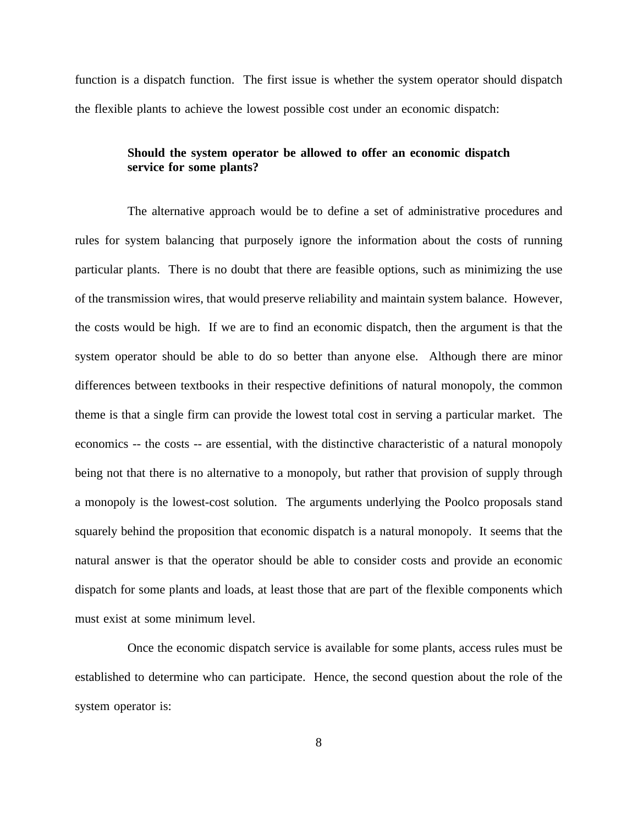function is a dispatch function. The first issue is whether the system operator should dispatch the flexible plants to achieve the lowest possible cost under an economic dispatch:

# **Should the system operator be allowed to offer an economic dispatch service for some plants?**

The alternative approach would be to define a set of administrative procedures and rules for system balancing that purposely ignore the information about the costs of running particular plants. There is no doubt that there are feasible options, such as minimizing the use of the transmission wires, that would preserve reliability and maintain system balance. However, the costs would be high. If we are to find an economic dispatch, then the argument is that the system operator should be able to do so better than anyone else. Although there are minor differences between textbooks in their respective definitions of natural monopoly, the common theme is that a single firm can provide the lowest total cost in serving a particular market. The economics -- the costs -- are essential, with the distinctive characteristic of a natural monopoly being not that there is no alternative to a monopoly, but rather that provision of supply through a monopoly is the lowest-cost solution. The arguments underlying the Poolco proposals stand squarely behind the proposition that economic dispatch is a natural monopoly. It seems that the natural answer is that the operator should be able to consider costs and provide an economic dispatch for some plants and loads, at least those that are part of the flexible components which must exist at some minimum level.

Once the economic dispatch service is available for some plants, access rules must be established to determine who can participate. Hence, the second question about the role of the system operator is: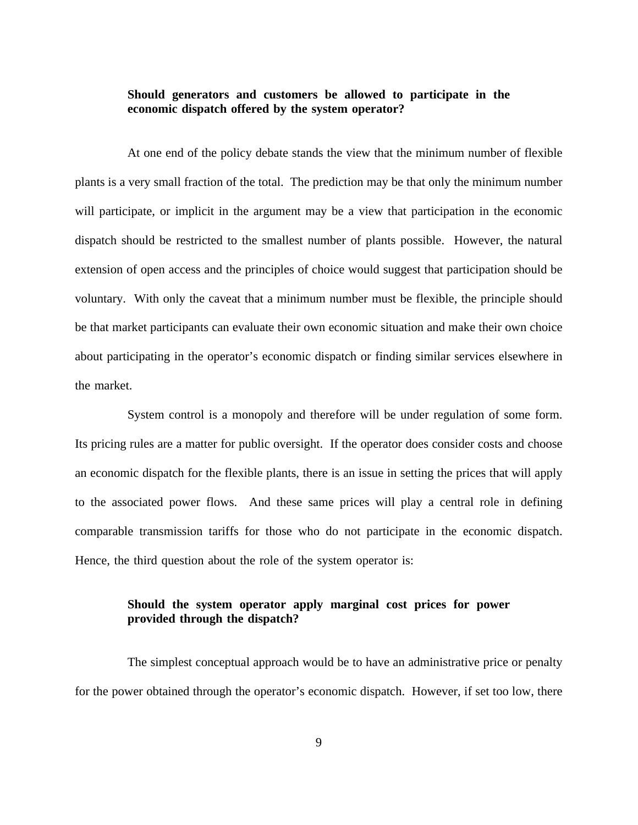# **Should generators and customers be allowed to participate in the economic dispatch offered by the system operator?**

At one end of the policy debate stands the view that the minimum number of flexible plants is a very small fraction of the total. The prediction may be that only the minimum number will participate, or implicit in the argument may be a view that participation in the economic dispatch should be restricted to the smallest number of plants possible. However, the natural extension of open access and the principles of choice would suggest that participation should be voluntary. With only the caveat that a minimum number must be flexible, the principle should be that market participants can evaluate their own economic situation and make their own choice about participating in the operator's economic dispatch or finding similar services elsewhere in the market.

System control is a monopoly and therefore will be under regulation of some form. Its pricing rules are a matter for public oversight. If the operator does consider costs and choose an economic dispatch for the flexible plants, there is an issue in setting the prices that will apply to the associated power flows. And these same prices will play a central role in defining comparable transmission tariffs for those who do not participate in the economic dispatch. Hence, the third question about the role of the system operator is:

# **Should the system operator apply marginal cost prices for power provided through the dispatch?**

The simplest conceptual approach would be to have an administrative price or penalty for the power obtained through the operator's economic dispatch. However, if set too low, there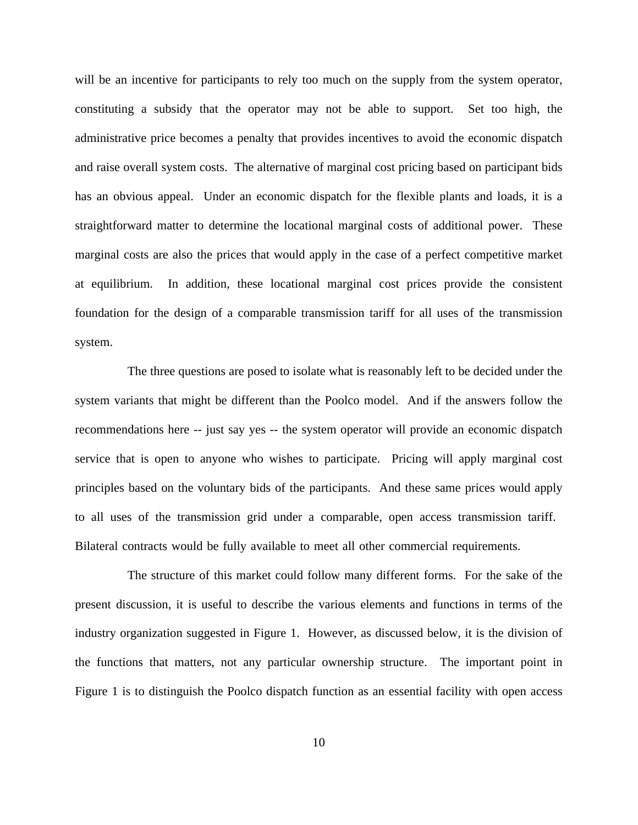will be an incentive for participants to rely too much on the supply from the system operator, constituting a subsidy that the operator may not be able to support. Set too high, the administrative price becomes a penalty that provides incentives to avoid the economic dispatch and raise overall system costs. The alternative of marginal cost pricing based on participant bids has an obvious appeal. Under an economic dispatch for the flexible plants and loads, it is a straightforward matter to determine the locational marginal costs of additional power. These marginal costs are also the prices that would apply in the case of a perfect competitive market at equilibrium. In addition, these locational marginal cost prices provide the consistent foundation for the design of a comparable transmission tariff for all uses of the transmission system.

The three questions are posed to isolate what is reasonably left to be decided under the system variants that might be different than the Poolco model. And if the answers follow the recommendations here -- just say yes -- the system operator will provide an economic dispatch service that is open to anyone who wishes to participate. Pricing will apply marginal cost principles based on the voluntary bids of the participants. And these same prices would apply to all uses of the transmission grid under a comparable, open access transmission tariff. Bilateral contracts would be fully available to meet all other commercial requirements.

The structure of this market could follow many different forms. For the sake of the present discussion, it is useful to describe the various elements and functions in terms of the industry organization suggested in Figure 1. However, as discussed below, it is the division of the functions that matters, not any particular ownership structure. The important point in Figure 1 is to distinguish the Poolco dispatch function as an essential facility with open access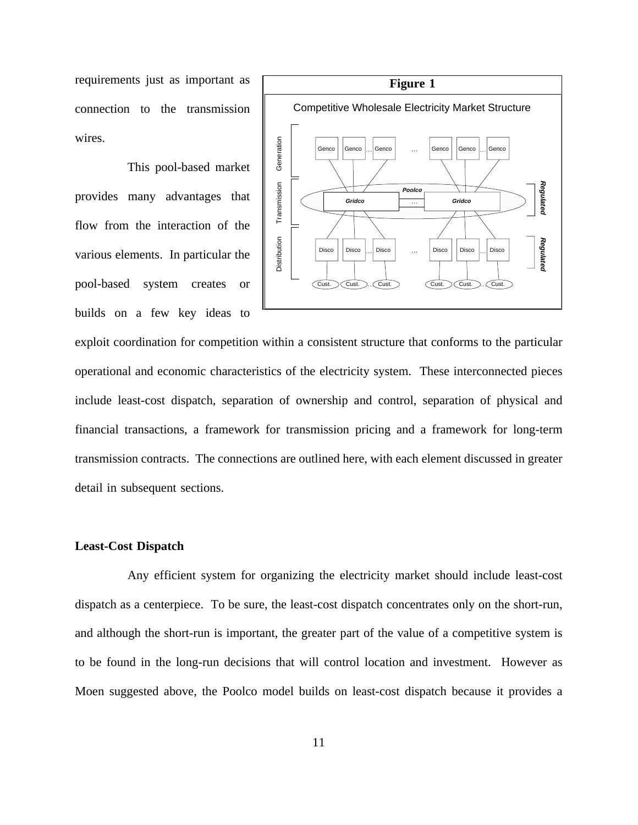requirements just as important as connection to the transmission wires.

This pool-based market provides many advantages that flow from the interaction of the various elements. In particular the pool-based system creates or builds on a few key ideas to



exploit coordination for competition within a consistent structure that conforms to the particular operational and economic characteristics of the electricity system. These interconnected pieces include least-cost dispatch, separation of ownership and control, separation of physical and financial transactions, a framework for transmission pricing and a framework for long-term transmission contracts. The connections are outlined here, with each element discussed in greater detail in subsequent sections.

#### **Least-Cost Dispatch**

Any efficient system for organizing the electricity market should include least-cost dispatch as a centerpiece. To be sure, the least-cost dispatch concentrates only on the short-run, and although the short-run is important, the greater part of the value of a competitive system is to be found in the long-run decisions that will control location and investment. However as Moen suggested above, the Poolco model builds on least-cost dispatch because it provides a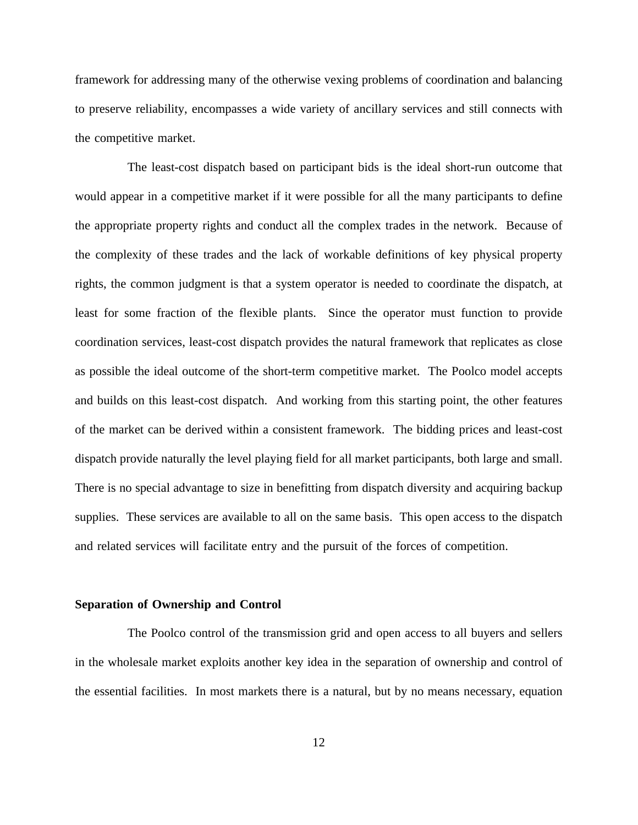framework for addressing many of the otherwise vexing problems of coordination and balancing to preserve reliability, encompasses a wide variety of ancillary services and still connects with the competitive market.

The least-cost dispatch based on participant bids is the ideal short-run outcome that would appear in a competitive market if it were possible for all the many participants to define the appropriate property rights and conduct all the complex trades in the network. Because of the complexity of these trades and the lack of workable definitions of key physical property rights, the common judgment is that a system operator is needed to coordinate the dispatch, at least for some fraction of the flexible plants. Since the operator must function to provide coordination services, least-cost dispatch provides the natural framework that replicates as close as possible the ideal outcome of the short-term competitive market. The Poolco model accepts and builds on this least-cost dispatch. And working from this starting point, the other features of the market can be derived within a consistent framework. The bidding prices and least-cost dispatch provide naturally the level playing field for all market participants, both large and small. There is no special advantage to size in benefitting from dispatch diversity and acquiring backup supplies. These services are available to all on the same basis. This open access to the dispatch and related services will facilitate entry and the pursuit of the forces of competition.

#### **Separation of Ownership and Control**

The Poolco control of the transmission grid and open access to all buyers and sellers in the wholesale market exploits another key idea in the separation of ownership and control of the essential facilities. In most markets there is a natural, but by no means necessary, equation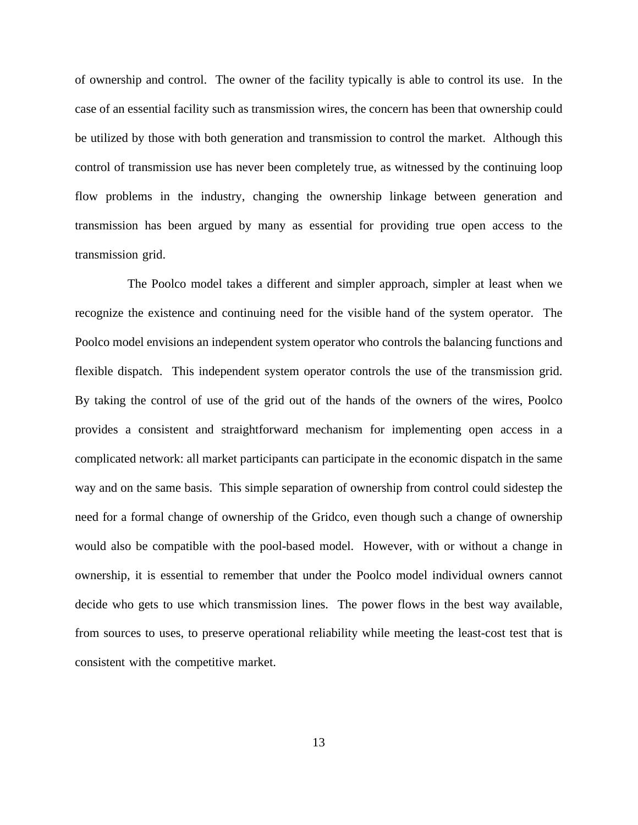of ownership and control. The owner of the facility typically is able to control its use. In the case of an essential facility such as transmission wires, the concern has been that ownership could be utilized by those with both generation and transmission to control the market. Although this control of transmission use has never been completely true, as witnessed by the continuing loop flow problems in the industry, changing the ownership linkage between generation and transmission has been argued by many as essential for providing true open access to the transmission grid.

The Poolco model takes a different and simpler approach, simpler at least when we recognize the existence and continuing need for the visible hand of the system operator. The Poolco model envisions an independent system operator who controls the balancing functions and flexible dispatch. This independent system operator controls the use of the transmission grid. By taking the control of use of the grid out of the hands of the owners of the wires, Poolco provides a consistent and straightforward mechanism for implementing open access in a complicated network: all market participants can participate in the economic dispatch in the same way and on the same basis. This simple separation of ownership from control could sidestep the need for a formal change of ownership of the Gridco, even though such a change of ownership would also be compatible with the pool-based model. However, with or without a change in ownership, it is essential to remember that under the Poolco model individual owners cannot decide who gets to use which transmission lines. The power flows in the best way available, from sources to uses, to preserve operational reliability while meeting the least-cost test that is consistent with the competitive market.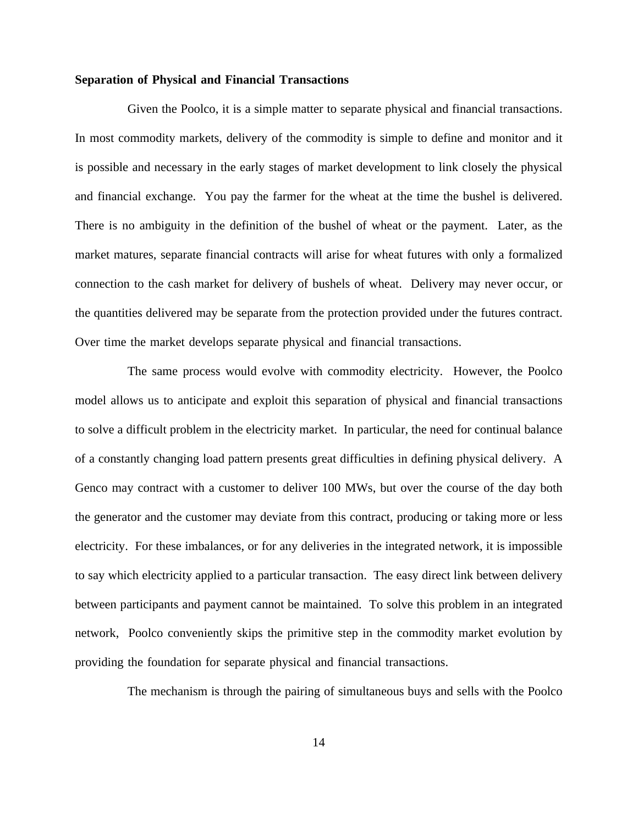#### **Separation of Physical and Financial Transactions**

Given the Poolco, it is a simple matter to separate physical and financial transactions. In most commodity markets, delivery of the commodity is simple to define and monitor and it is possible and necessary in the early stages of market development to link closely the physical and financial exchange. You pay the farmer for the wheat at the time the bushel is delivered. There is no ambiguity in the definition of the bushel of wheat or the payment. Later, as the market matures, separate financial contracts will arise for wheat futures with only a formalized connection to the cash market for delivery of bushels of wheat. Delivery may never occur, or the quantities delivered may be separate from the protection provided under the futures contract. Over time the market develops separate physical and financial transactions.

The same process would evolve with commodity electricity. However, the Poolco model allows us to anticipate and exploit this separation of physical and financial transactions to solve a difficult problem in the electricity market. In particular, the need for continual balance of a constantly changing load pattern presents great difficulties in defining physical delivery. A Genco may contract with a customer to deliver 100 MWs, but over the course of the day both the generator and the customer may deviate from this contract, producing or taking more or less electricity. For these imbalances, or for any deliveries in the integrated network, it is impossible to say which electricity applied to a particular transaction. The easy direct link between delivery between participants and payment cannot be maintained. To solve this problem in an integrated network, Poolco conveniently skips the primitive step in the commodity market evolution by providing the foundation for separate physical and financial transactions.

The mechanism is through the pairing of simultaneous buys and sells with the Poolco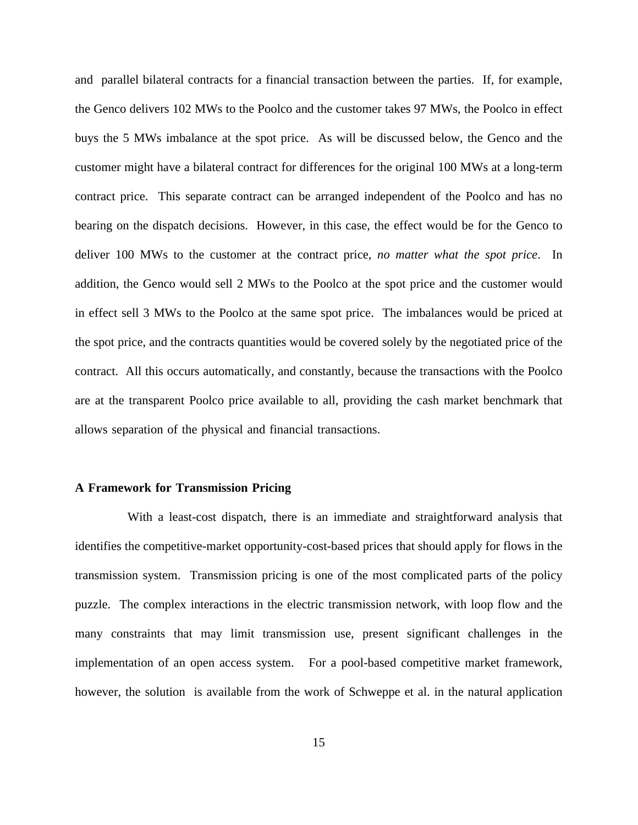and parallel bilateral contracts for a financial transaction between the parties. If, for example, the Genco delivers 102 MWs to the Poolco and the customer takes 97 MWs, the Poolco in effect buys the 5 MWs imbalance at the spot price. As will be discussed below, the Genco and the customer might have a bilateral contract for differences for the original 100 MWs at a long-term contract price. This separate contract can be arranged independent of the Poolco and has no bearing on the dispatch decisions. However, in this case, the effect would be for the Genco to deliver 100 MWs to the customer at the contract price, *no matter what the spot price*. In addition, the Genco would sell 2 MWs to the Poolco at the spot price and the customer would in effect sell 3 MWs to the Poolco at the same spot price. The imbalances would be priced at the spot price, and the contracts quantities would be covered solely by the negotiated price of the contract. All this occurs automatically, and constantly, because the transactions with the Poolco are at the transparent Poolco price available to all, providing the cash market benchmark that allows separation of the physical and financial transactions.

#### **A Framework for Transmission Pricing**

With a least-cost dispatch, there is an immediate and straightforward analysis that identifies the competitive-market opportunity-cost-based prices that should apply for flows in the transmission system. Transmission pricing is one of the most complicated parts of the policy puzzle. The complex interactions in the electric transmission network, with loop flow and the many constraints that may limit transmission use, present significant challenges in the implementation of an open access system. For a pool-based competitive market framework, however, the solution is available from the work of Schweppe et al. in the natural application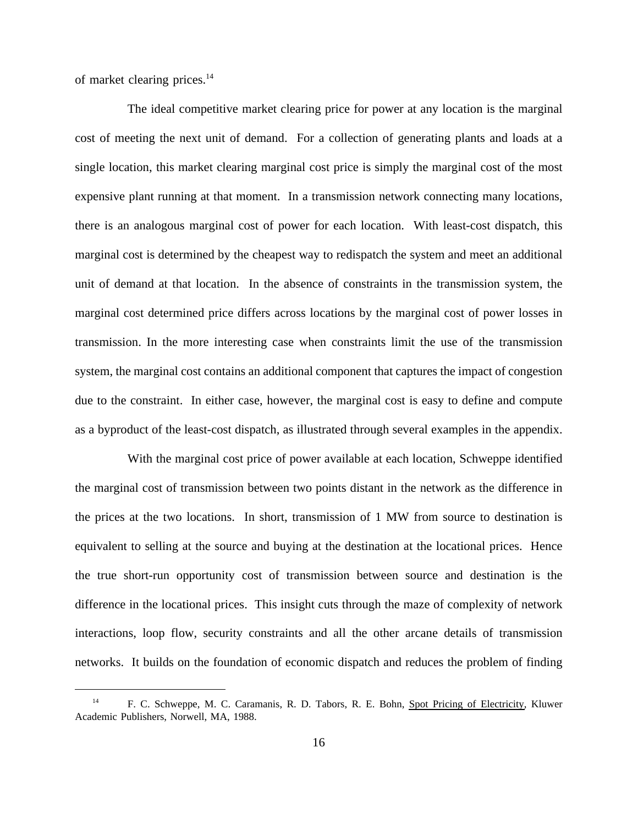of market clearing prices.<sup>14</sup>

The ideal competitive market clearing price for power at any location is the marginal cost of meeting the next unit of demand. For a collection of generating plants and loads at a single location, this market clearing marginal cost price is simply the marginal cost of the most expensive plant running at that moment. In a transmission network connecting many locations, there is an analogous marginal cost of power for each location. With least-cost dispatch, this marginal cost is determined by the cheapest way to redispatch the system and meet an additional unit of demand at that location. In the absence of constraints in the transmission system, the marginal cost determined price differs across locations by the marginal cost of power losses in transmission. In the more interesting case when constraints limit the use of the transmission system, the marginal cost contains an additional component that captures the impact of congestion due to the constraint. In either case, however, the marginal cost is easy to define and compute as a byproduct of the least-cost dispatch, as illustrated through several examples in the appendix.

With the marginal cost price of power available at each location, Schweppe identified the marginal cost of transmission between two points distant in the network as the difference in the prices at the two locations. In short, transmission of 1 MW from source to destination is equivalent to selling at the source and buying at the destination at the locational prices. Hence the true short-run opportunity cost of transmission between source and destination is the difference in the locational prices. This insight cuts through the maze of complexity of network interactions, loop flow, security constraints and all the other arcane details of transmission networks. It builds on the foundation of economic dispatch and reduces the problem of finding

<sup>&</sup>lt;sup>14</sup> F. C. Schweppe, M. C. Caramanis, R. D. Tabors, R. E. Bohn, Spot Pricing of Electricity, Kluwer Academic Publishers, Norwell, MA, 1988.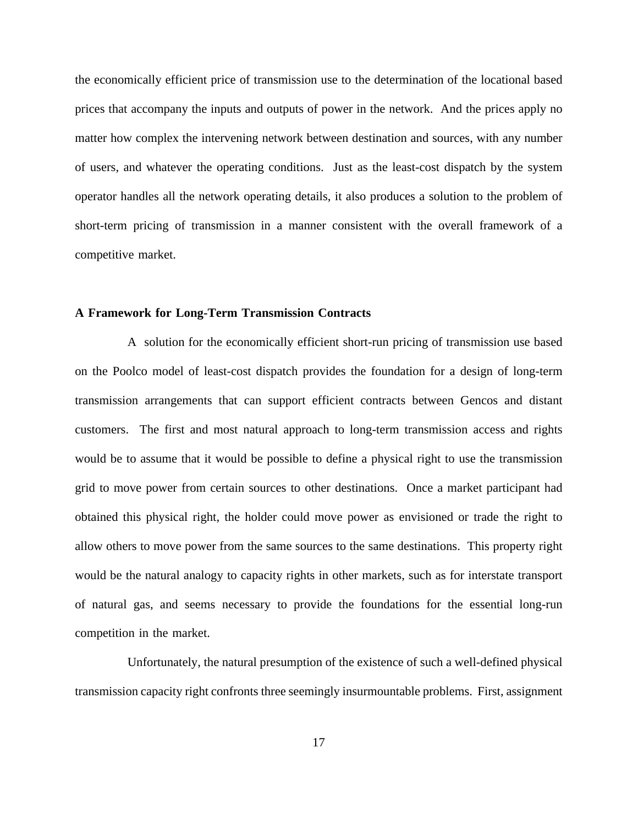the economically efficient price of transmission use to the determination of the locational based prices that accompany the inputs and outputs of power in the network. And the prices apply no matter how complex the intervening network between destination and sources, with any number of users, and whatever the operating conditions. Just as the least-cost dispatch by the system operator handles all the network operating details, it also produces a solution to the problem of short-term pricing of transmission in a manner consistent with the overall framework of a competitive market.

#### **A Framework for Long-Term Transmission Contracts**

A solution for the economically efficient short-run pricing of transmission use based on the Poolco model of least-cost dispatch provides the foundation for a design of long-term transmission arrangements that can support efficient contracts between Gencos and distant customers. The first and most natural approach to long-term transmission access and rights would be to assume that it would be possible to define a physical right to use the transmission grid to move power from certain sources to other destinations. Once a market participant had obtained this physical right, the holder could move power as envisioned or trade the right to allow others to move power from the same sources to the same destinations. This property right would be the natural analogy to capacity rights in other markets, such as for interstate transport of natural gas, and seems necessary to provide the foundations for the essential long-run competition in the market.

Unfortunately, the natural presumption of the existence of such a well-defined physical transmission capacity right confronts three seemingly insurmountable problems. First, assignment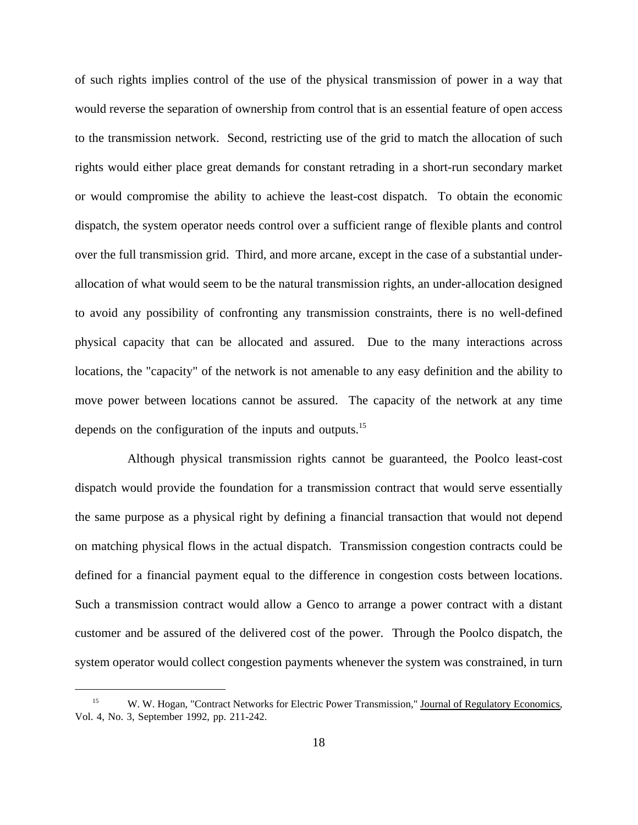of such rights implies control of the use of the physical transmission of power in a way that would reverse the separation of ownership from control that is an essential feature of open access to the transmission network. Second, restricting use of the grid to match the allocation of such rights would either place great demands for constant retrading in a short-run secondary market or would compromise the ability to achieve the least-cost dispatch. To obtain the economic dispatch, the system operator needs control over a sufficient range of flexible plants and control over the full transmission grid. Third, and more arcane, except in the case of a substantial underallocation of what would seem to be the natural transmission rights, an under-allocation designed to avoid any possibility of confronting any transmission constraints, there is no well-defined physical capacity that can be allocated and assured. Due to the many interactions across locations, the "capacity" of the network is not amenable to any easy definition and the ability to move power between locations cannot be assured. The capacity of the network at any time depends on the configuration of the inputs and outputs.15

Although physical transmission rights cannot be guaranteed, the Poolco least-cost dispatch would provide the foundation for a transmission contract that would serve essentially the same purpose as a physical right by defining a financial transaction that would not depend on matching physical flows in the actual dispatch. Transmission congestion contracts could be defined for a financial payment equal to the difference in congestion costs between locations. Such a transmission contract would allow a Genco to arrange a power contract with a distant customer and be assured of the delivered cost of the power. Through the Poolco dispatch, the system operator would collect congestion payments whenever the system was constrained, in turn

<sup>&</sup>lt;sup>15</sup> W. W. Hogan, "Contract Networks for Electric Power Transmission," Journal of Regulatory Economics, Vol. 4, No. 3, September 1992, pp. 211-242.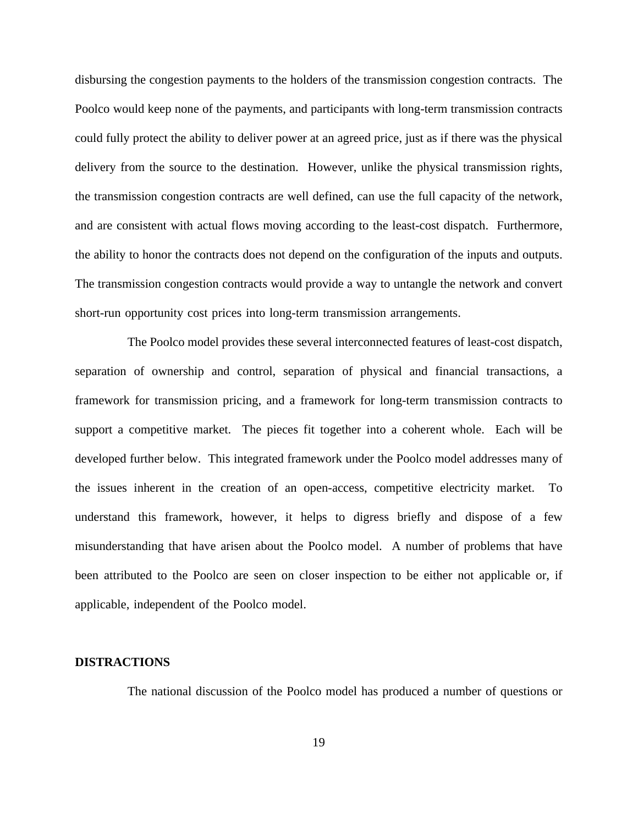disbursing the congestion payments to the holders of the transmission congestion contracts. The Poolco would keep none of the payments, and participants with long-term transmission contracts could fully protect the ability to deliver power at an agreed price, just as if there was the physical delivery from the source to the destination. However, unlike the physical transmission rights, the transmission congestion contracts are well defined, can use the full capacity of the network, and are consistent with actual flows moving according to the least-cost dispatch. Furthermore, the ability to honor the contracts does not depend on the configuration of the inputs and outputs. The transmission congestion contracts would provide a way to untangle the network and convert short-run opportunity cost prices into long-term transmission arrangements.

The Poolco model provides these several interconnected features of least-cost dispatch, separation of ownership and control, separation of physical and financial transactions, a framework for transmission pricing, and a framework for long-term transmission contracts to support a competitive market. The pieces fit together into a coherent whole. Each will be developed further below. This integrated framework under the Poolco model addresses many of the issues inherent in the creation of an open-access, competitive electricity market. To understand this framework, however, it helps to digress briefly and dispose of a few misunderstanding that have arisen about the Poolco model. A number of problems that have been attributed to the Poolco are seen on closer inspection to be either not applicable or, if applicable, independent of the Poolco model.

#### **DISTRACTIONS**

The national discussion of the Poolco model has produced a number of questions or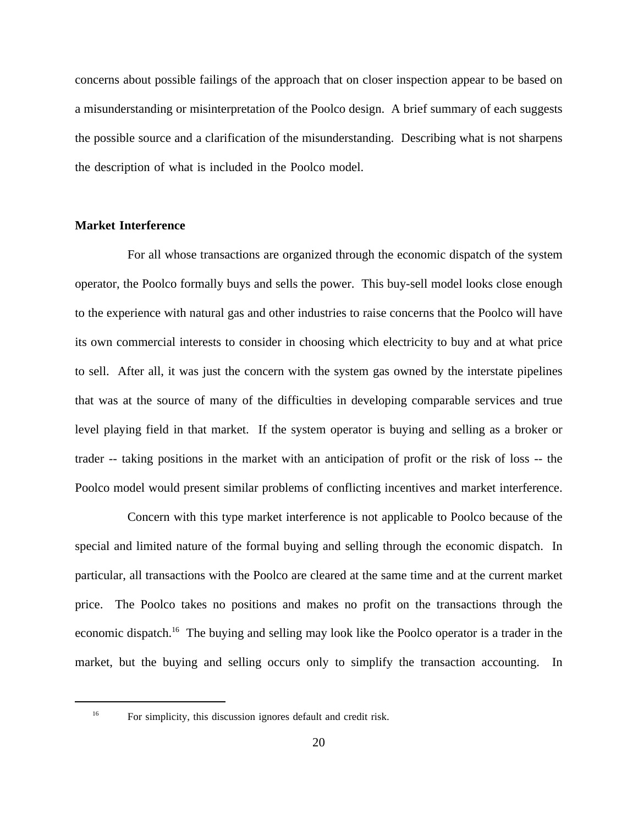concerns about possible failings of the approach that on closer inspection appear to be based on a misunderstanding or misinterpretation of the Poolco design. A brief summary of each suggests the possible source and a clarification of the misunderstanding. Describing what is not sharpens the description of what is included in the Poolco model.

# **Market Interference**

For all whose transactions are organized through the economic dispatch of the system operator, the Poolco formally buys and sells the power. This buy-sell model looks close enough to the experience with natural gas and other industries to raise concerns that the Poolco will have its own commercial interests to consider in choosing which electricity to buy and at what price to sell. After all, it was just the concern with the system gas owned by the interstate pipelines that was at the source of many of the difficulties in developing comparable services and true level playing field in that market. If the system operator is buying and selling as a broker or trader -- taking positions in the market with an anticipation of profit or the risk of loss -- the Poolco model would present similar problems of conflicting incentives and market interference.

Concern with this type market interference is not applicable to Poolco because of the special and limited nature of the formal buying and selling through the economic dispatch. In particular, all transactions with the Poolco are cleared at the same time and at the current market price. The Poolco takes no positions and makes no profit on the transactions through the economic dispatch.<sup>16</sup> The buying and selling may look like the Poolco operator is a trader in the market, but the buying and selling occurs only to simplify the transaction accounting. In

<sup>&</sup>lt;sup>16</sup> For simplicity, this discussion ignores default and credit risk.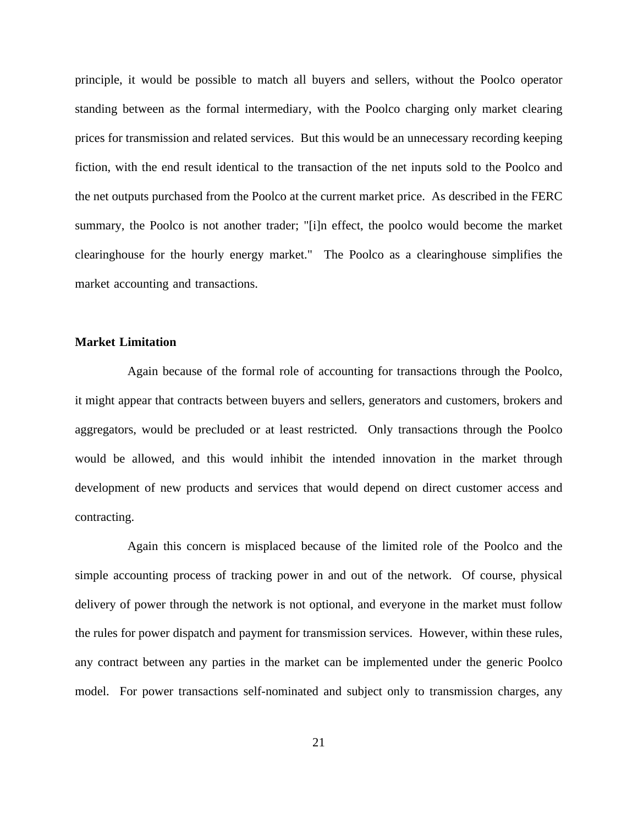principle, it would be possible to match all buyers and sellers, without the Poolco operator standing between as the formal intermediary, with the Poolco charging only market clearing prices for transmission and related services. But this would be an unnecessary recording keeping fiction, with the end result identical to the transaction of the net inputs sold to the Poolco and the net outputs purchased from the Poolco at the current market price. As described in the FERC summary, the Poolco is not another trader; "[i]n effect, the poolco would become the market clearinghouse for the hourly energy market." The Poolco as a clearinghouse simplifies the market accounting and transactions.

### **Market Limitation**

Again because of the formal role of accounting for transactions through the Poolco, it might appear that contracts between buyers and sellers, generators and customers, brokers and aggregators, would be precluded or at least restricted. Only transactions through the Poolco would be allowed, and this would inhibit the intended innovation in the market through development of new products and services that would depend on direct customer access and contracting.

Again this concern is misplaced because of the limited role of the Poolco and the simple accounting process of tracking power in and out of the network. Of course, physical delivery of power through the network is not optional, and everyone in the market must follow the rules for power dispatch and payment for transmission services. However, within these rules, any contract between any parties in the market can be implemented under the generic Poolco model. For power transactions self-nominated and subject only to transmission charges, any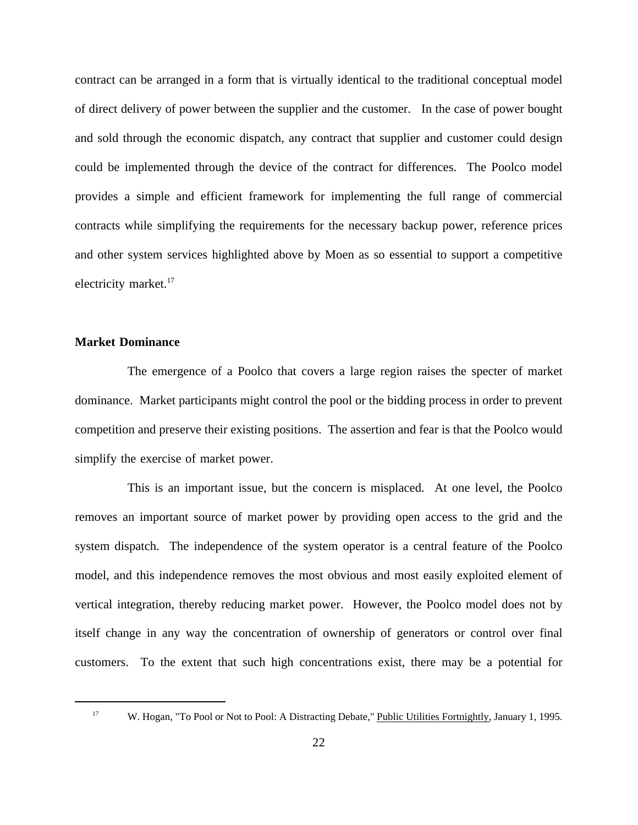contract can be arranged in a form that is virtually identical to the traditional conceptual model of direct delivery of power between the supplier and the customer. In the case of power bought and sold through the economic dispatch, any contract that supplier and customer could design could be implemented through the device of the contract for differences. The Poolco model provides a simple and efficient framework for implementing the full range of commercial contracts while simplifying the requirements for the necessary backup power, reference prices and other system services highlighted above by Moen as so essential to support a competitive electricity market.<sup>17</sup>

### **Market Dominance**

The emergence of a Poolco that covers a large region raises the specter of market dominance. Market participants might control the pool or the bidding process in order to prevent competition and preserve their existing positions. The assertion and fear is that the Poolco would simplify the exercise of market power.

This is an important issue, but the concern is misplaced. At one level, the Poolco removes an important source of market power by providing open access to the grid and the system dispatch. The independence of the system operator is a central feature of the Poolco model, and this independence removes the most obvious and most easily exploited element of vertical integration, thereby reducing market power. However, the Poolco model does not by itself change in any way the concentration of ownership of generators or control over final customers. To the extent that such high concentrations exist, there may be a potential for

<sup>&</sup>lt;sup>17</sup> W. Hogan, "To Pool or Not to Pool: A Distracting Debate," Public Utilities Fortnightly, January 1, 1995.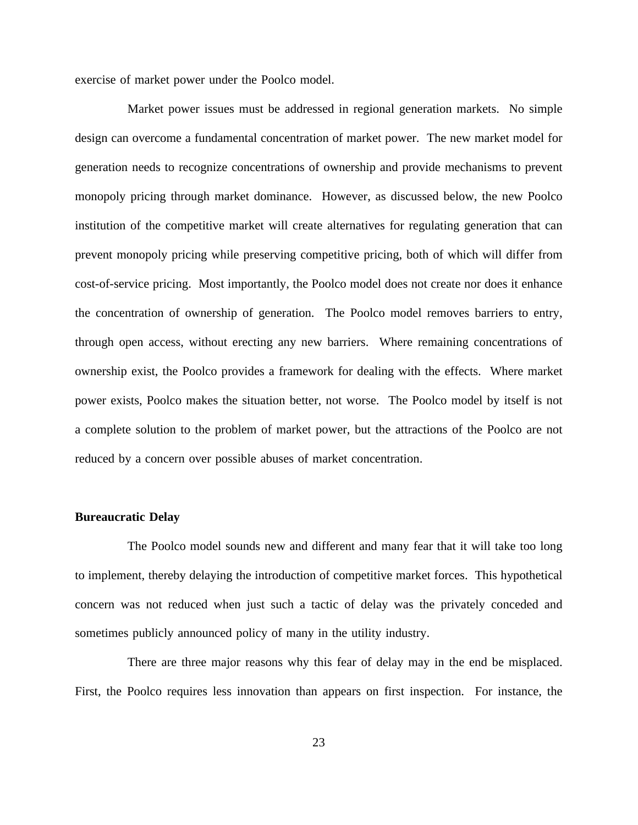exercise of market power under the Poolco model.

Market power issues must be addressed in regional generation markets. No simple design can overcome a fundamental concentration of market power. The new market model for generation needs to recognize concentrations of ownership and provide mechanisms to prevent monopoly pricing through market dominance. However, as discussed below, the new Poolco institution of the competitive market will create alternatives for regulating generation that can prevent monopoly pricing while preserving competitive pricing, both of which will differ from cost-of-service pricing. Most importantly, the Poolco model does not create nor does it enhance the concentration of ownership of generation. The Poolco model removes barriers to entry, through open access, without erecting any new barriers. Where remaining concentrations of ownership exist, the Poolco provides a framework for dealing with the effects. Where market power exists, Poolco makes the situation better, not worse. The Poolco model by itself is not a complete solution to the problem of market power, but the attractions of the Poolco are not reduced by a concern over possible abuses of market concentration.

#### **Bureaucratic Delay**

The Poolco model sounds new and different and many fear that it will take too long to implement, thereby delaying the introduction of competitive market forces. This hypothetical concern was not reduced when just such a tactic of delay was the privately conceded and sometimes publicly announced policy of many in the utility industry.

There are three major reasons why this fear of delay may in the end be misplaced. First, the Poolco requires less innovation than appears on first inspection. For instance, the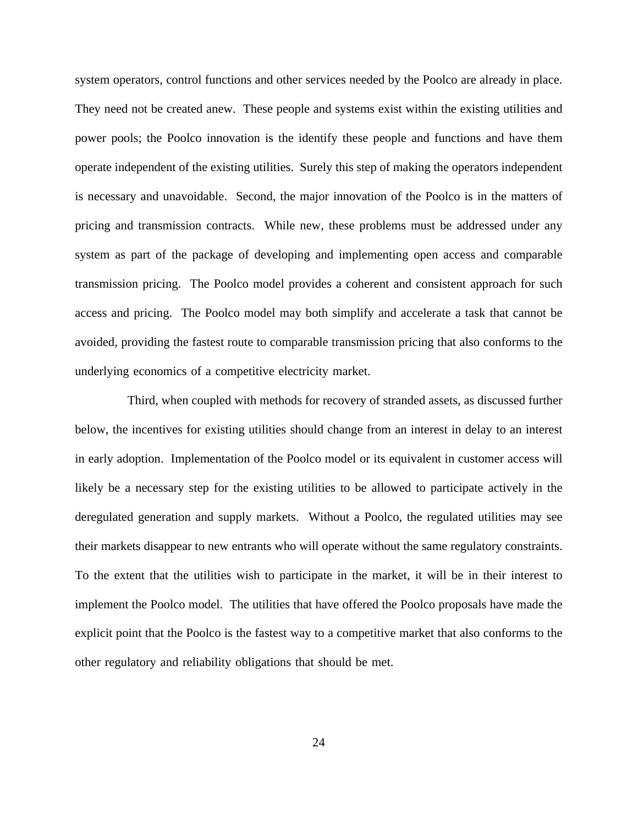system operators, control functions and other services needed by the Poolco are already in place. They need not be created anew. These people and systems exist within the existing utilities and power pools; the Poolco innovation is the identify these people and functions and have them operate independent of the existing utilities. Surely this step of making the operators independent is necessary and unavoidable. Second, the major innovation of the Poolco is in the matters of pricing and transmission contracts. While new, these problems must be addressed under any system as part of the package of developing and implementing open access and comparable transmission pricing. The Poolco model provides a coherent and consistent approach for such access and pricing. The Poolco model may both simplify and accelerate a task that cannot be avoided, providing the fastest route to comparable transmission pricing that also conforms to the underlying economics of a competitive electricity market.

Third, when coupled with methods for recovery of stranded assets, as discussed further below, the incentives for existing utilities should change from an interest in delay to an interest in early adoption. Implementation of the Poolco model or its equivalent in customer access will likely be a necessary step for the existing utilities to be allowed to participate actively in the deregulated generation and supply markets. Without a Poolco, the regulated utilities may see their markets disappear to new entrants who will operate without the same regulatory constraints. To the extent that the utilities wish to participate in the market, it will be in their interest to implement the Poolco model. The utilities that have offered the Poolco proposals have made the explicit point that the Poolco is the fastest way to a competitive market that also conforms to the other regulatory and reliability obligations that should be met.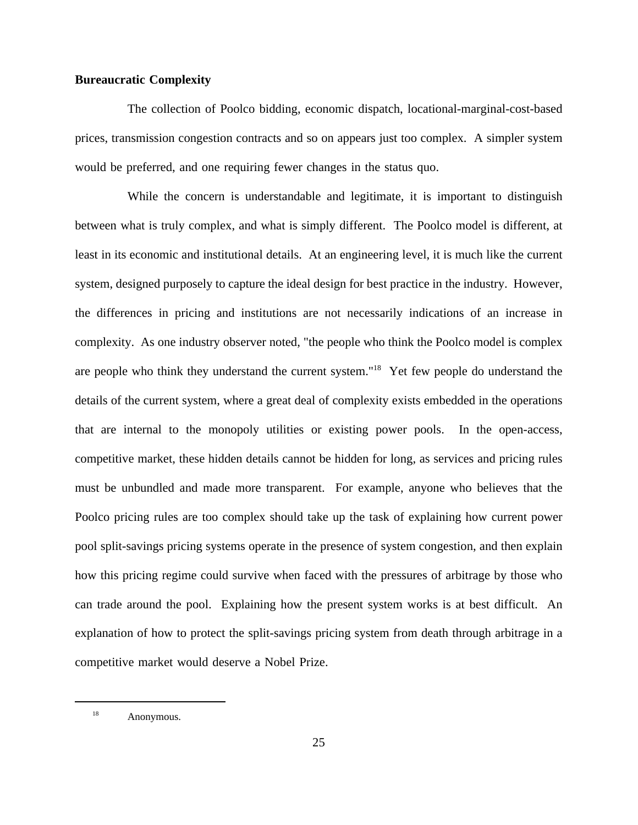### **Bureaucratic Complexity**

The collection of Poolco bidding, economic dispatch, locational-marginal-cost-based prices, transmission congestion contracts and so on appears just too complex. A simpler system would be preferred, and one requiring fewer changes in the status quo.

While the concern is understandable and legitimate, it is important to distinguish between what is truly complex, and what is simply different. The Poolco model is different, at least in its economic and institutional details. At an engineering level, it is much like the current system, designed purposely to capture the ideal design for best practice in the industry. However, the differences in pricing and institutions are not necessarily indications of an increase in complexity. As one industry observer noted, "the people who think the Poolco model is complex are people who think they understand the current system."18 Yet few people do understand the details of the current system, where a great deal of complexity exists embedded in the operations that are internal to the monopoly utilities or existing power pools. In the open-access, competitive market, these hidden details cannot be hidden for long, as services and pricing rules must be unbundled and made more transparent. For example, anyone who believes that the Poolco pricing rules are too complex should take up the task of explaining how current power pool split-savings pricing systems operate in the presence of system congestion, and then explain how this pricing regime could survive when faced with the pressures of arbitrage by those who can trade around the pool. Explaining how the present system works is at best difficult. An explanation of how to protect the split-savings pricing system from death through arbitrage in a competitive market would deserve a Nobel Prize.

<sup>&</sup>lt;sup>18</sup> Anonymous.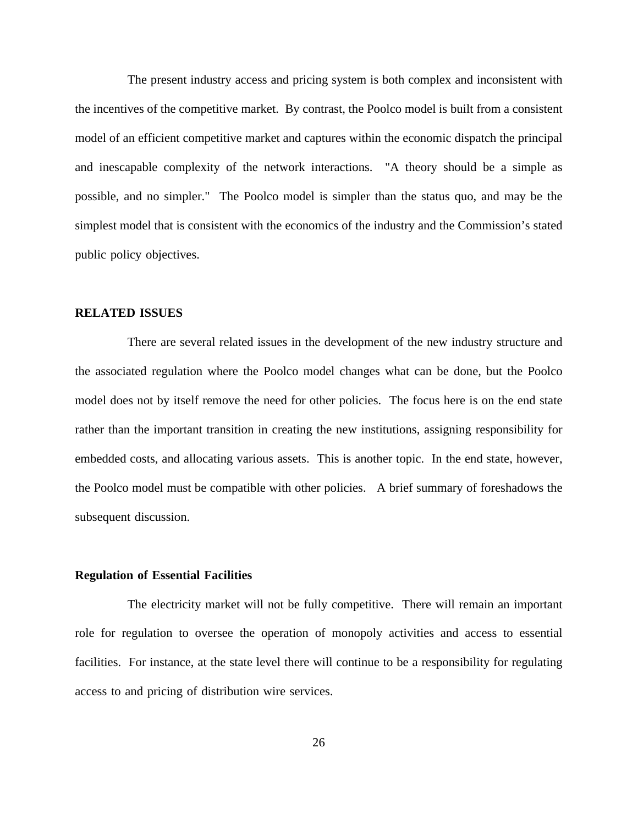The present industry access and pricing system is both complex and inconsistent with the incentives of the competitive market. By contrast, the Poolco model is built from a consistent model of an efficient competitive market and captures within the economic dispatch the principal and inescapable complexity of the network interactions. "A theory should be a simple as possible, and no simpler." The Poolco model is simpler than the status quo, and may be the simplest model that is consistent with the economics of the industry and the Commission's stated public policy objectives.

#### **RELATED ISSUES**

There are several related issues in the development of the new industry structure and the associated regulation where the Poolco model changes what can be done, but the Poolco model does not by itself remove the need for other policies. The focus here is on the end state rather than the important transition in creating the new institutions, assigning responsibility for embedded costs, and allocating various assets. This is another topic. In the end state, however, the Poolco model must be compatible with other policies. A brief summary of foreshadows the subsequent discussion.

#### **Regulation of Essential Facilities**

The electricity market will not be fully competitive. There will remain an important role for regulation to oversee the operation of monopoly activities and access to essential facilities. For instance, at the state level there will continue to be a responsibility for regulating access to and pricing of distribution wire services.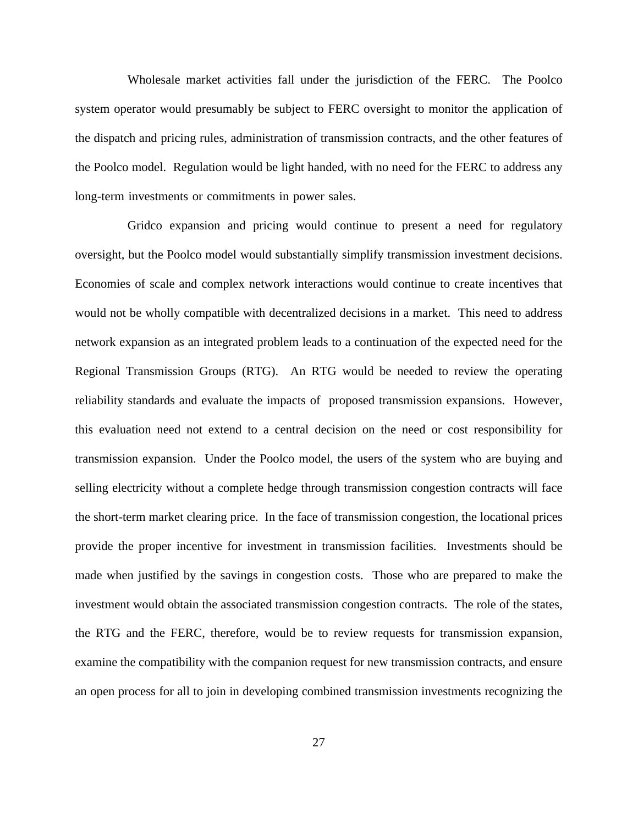Wholesale market activities fall under the jurisdiction of the FERC. The Poolco system operator would presumably be subject to FERC oversight to monitor the application of the dispatch and pricing rules, administration of transmission contracts, and the other features of the Poolco model. Regulation would be light handed, with no need for the FERC to address any long-term investments or commitments in power sales.

Gridco expansion and pricing would continue to present a need for regulatory oversight, but the Poolco model would substantially simplify transmission investment decisions. Economies of scale and complex network interactions would continue to create incentives that would not be wholly compatible with decentralized decisions in a market. This need to address network expansion as an integrated problem leads to a continuation of the expected need for the Regional Transmission Groups (RTG). An RTG would be needed to review the operating reliability standards and evaluate the impacts of proposed transmission expansions. However, this evaluation need not extend to a central decision on the need or cost responsibility for transmission expansion. Under the Poolco model, the users of the system who are buying and selling electricity without a complete hedge through transmission congestion contracts will face the short-term market clearing price. In the face of transmission congestion, the locational prices provide the proper incentive for investment in transmission facilities. Investments should be made when justified by the savings in congestion costs. Those who are prepared to make the investment would obtain the associated transmission congestion contracts. The role of the states, the RTG and the FERC, therefore, would be to review requests for transmission expansion, examine the compatibility with the companion request for new transmission contracts, and ensure an open process for all to join in developing combined transmission investments recognizing the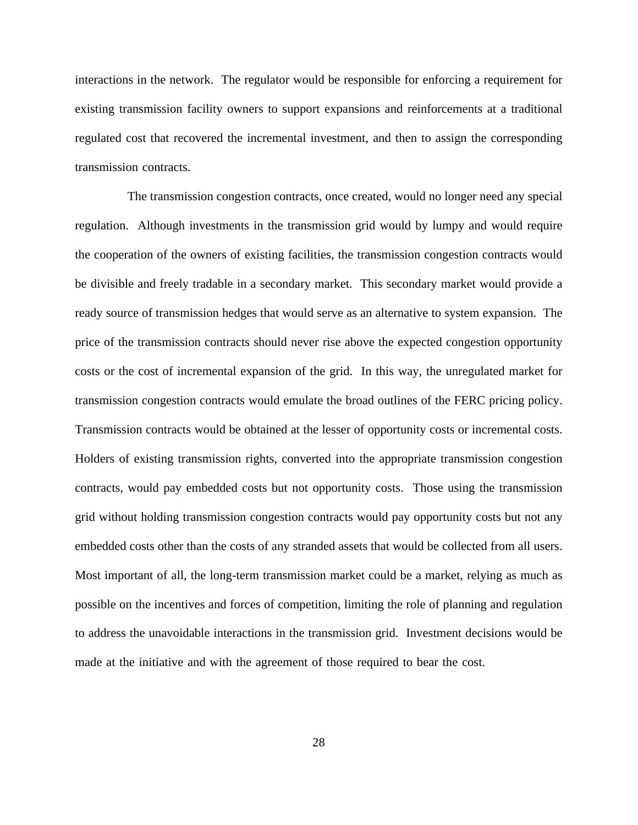interactions in the network. The regulator would be responsible for enforcing a requirement for existing transmission facility owners to support expansions and reinforcements at a traditional regulated cost that recovered the incremental investment, and then to assign the corresponding transmission contracts.

The transmission congestion contracts, once created, would no longer need any special regulation. Although investments in the transmission grid would by lumpy and would require the cooperation of the owners of existing facilities, the transmission congestion contracts would be divisible and freely tradable in a secondary market. This secondary market would provide a ready source of transmission hedges that would serve as an alternative to system expansion. The price of the transmission contracts should never rise above the expected congestion opportunity costs or the cost of incremental expansion of the grid. In this way, the unregulated market for transmission congestion contracts would emulate the broad outlines of the FERC pricing policy. Transmission contracts would be obtained at the lesser of opportunity costs or incremental costs. Holders of existing transmission rights, converted into the appropriate transmission congestion contracts, would pay embedded costs but not opportunity costs. Those using the transmission grid without holding transmission congestion contracts would pay opportunity costs but not any embedded costs other than the costs of any stranded assets that would be collected from all users. Most important of all, the long-term transmission market could be a market, relying as much as possible on the incentives and forces of competition, limiting the role of planning and regulation to address the unavoidable interactions in the transmission grid. Investment decisions would be made at the initiative and with the agreement of those required to bear the cost.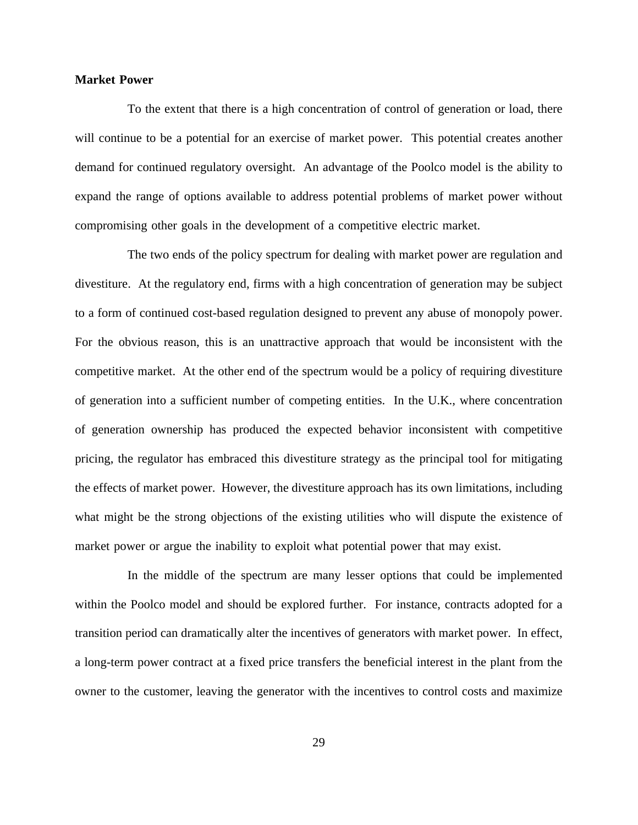#### **Market Power**

To the extent that there is a high concentration of control of generation or load, there will continue to be a potential for an exercise of market power. This potential creates another demand for continued regulatory oversight. An advantage of the Poolco model is the ability to expand the range of options available to address potential problems of market power without compromising other goals in the development of a competitive electric market.

The two ends of the policy spectrum for dealing with market power are regulation and divestiture. At the regulatory end, firms with a high concentration of generation may be subject to a form of continued cost-based regulation designed to prevent any abuse of monopoly power. For the obvious reason, this is an unattractive approach that would be inconsistent with the competitive market. At the other end of the spectrum would be a policy of requiring divestiture of generation into a sufficient number of competing entities. In the U.K., where concentration of generation ownership has produced the expected behavior inconsistent with competitive pricing, the regulator has embraced this divestiture strategy as the principal tool for mitigating the effects of market power. However, the divestiture approach has its own limitations, including what might be the strong objections of the existing utilities who will dispute the existence of market power or argue the inability to exploit what potential power that may exist.

In the middle of the spectrum are many lesser options that could be implemented within the Poolco model and should be explored further. For instance, contracts adopted for a transition period can dramatically alter the incentives of generators with market power. In effect, a long-term power contract at a fixed price transfers the beneficial interest in the plant from the owner to the customer, leaving the generator with the incentives to control costs and maximize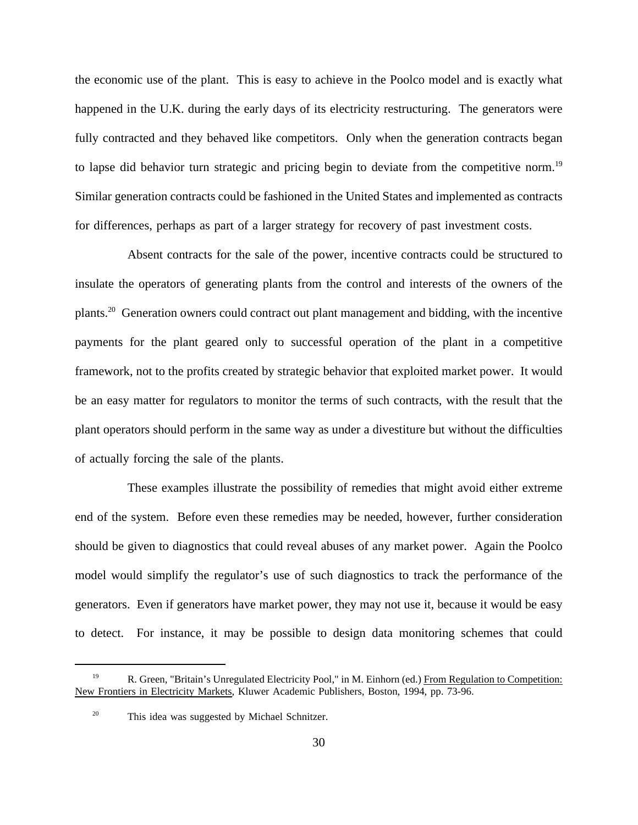the economic use of the plant. This is easy to achieve in the Poolco model and is exactly what happened in the U.K. during the early days of its electricity restructuring. The generators were fully contracted and they behaved like competitors. Only when the generation contracts began to lapse did behavior turn strategic and pricing begin to deviate from the competitive norm.<sup>19</sup> Similar generation contracts could be fashioned in the United States and implemented as contracts for differences, perhaps as part of a larger strategy for recovery of past investment costs.

Absent contracts for the sale of the power, incentive contracts could be structured to insulate the operators of generating plants from the control and interests of the owners of the plants.20 Generation owners could contract out plant management and bidding, with the incentive payments for the plant geared only to successful operation of the plant in a competitive framework, not to the profits created by strategic behavior that exploited market power. It would be an easy matter for regulators to monitor the terms of such contracts, with the result that the plant operators should perform in the same way as under a divestiture but without the difficulties of actually forcing the sale of the plants.

These examples illustrate the possibility of remedies that might avoid either extreme end of the system. Before even these remedies may be needed, however, further consideration should be given to diagnostics that could reveal abuses of any market power. Again the Poolco model would simplify the regulator's use of such diagnostics to track the performance of the generators. Even if generators have market power, they may not use it, because it would be easy to detect. For instance, it may be possible to design data monitoring schemes that could

<sup>&</sup>lt;sup>19</sup> R. Green, "Britain's Unregulated Electricity Pool," in M. Einhorn (ed.) From Regulation to Competition: New Frontiers in Electricity Markets, Kluwer Academic Publishers, Boston, 1994, pp. 73-96.

<sup>&</sup>lt;sup>20</sup> This idea was suggested by Michael Schnitzer.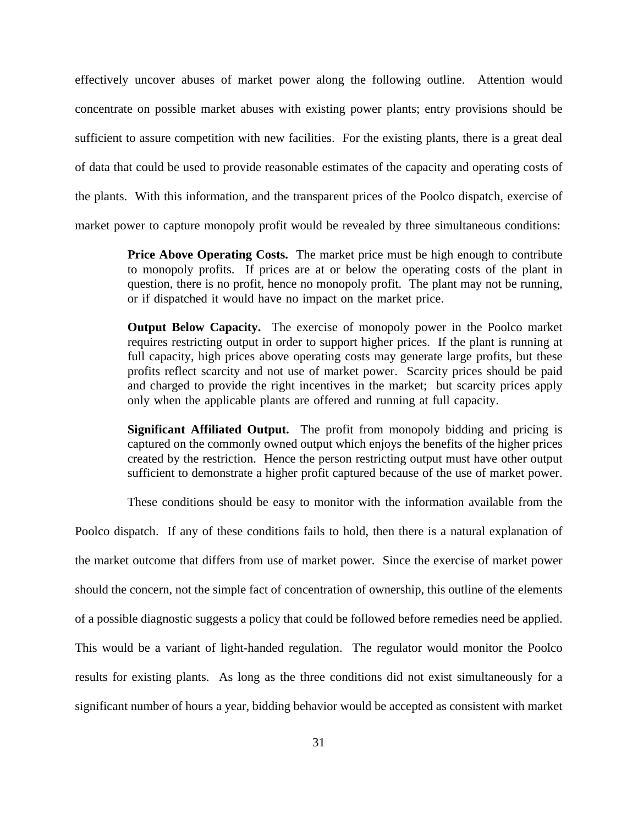effectively uncover abuses of market power along the following outline. Attention would concentrate on possible market abuses with existing power plants; entry provisions should be sufficient to assure competition with new facilities. For the existing plants, there is a great deal of data that could be used to provide reasonable estimates of the capacity and operating costs of the plants. With this information, and the transparent prices of the Poolco dispatch, exercise of market power to capture monopoly profit would be revealed by three simultaneous conditions:

> **Price Above Operating Costs.** The market price must be high enough to contribute to monopoly profits. If prices are at or below the operating costs of the plant in question, there is no profit, hence no monopoly profit. The plant may not be running, or if dispatched it would have no impact on the market price.

> **Output Below Capacity.** The exercise of monopoly power in the Poolco market requires restricting output in order to support higher prices. If the plant is running at full capacity, high prices above operating costs may generate large profits, but these profits reflect scarcity and not use of market power. Scarcity prices should be paid and charged to provide the right incentives in the market; but scarcity prices apply only when the applicable plants are offered and running at full capacity.

> **Significant Affiliated Output.** The profit from monopoly bidding and pricing is captured on the commonly owned output which enjoys the benefits of the higher prices created by the restriction. Hence the person restricting output must have other output sufficient to demonstrate a higher profit captured because of the use of market power.

> These conditions should be easy to monitor with the information available from the

Poolco dispatch. If any of these conditions fails to hold, then there is a natural explanation of the market outcome that differs from use of market power. Since the exercise of market power should the concern, not the simple fact of concentration of ownership, this outline of the elements of a possible diagnostic suggests a policy that could be followed before remedies need be applied. This would be a variant of light-handed regulation. The regulator would monitor the Poolco results for existing plants. As long as the three conditions did not exist simultaneously for a significant number of hours a year, bidding behavior would be accepted as consistent with market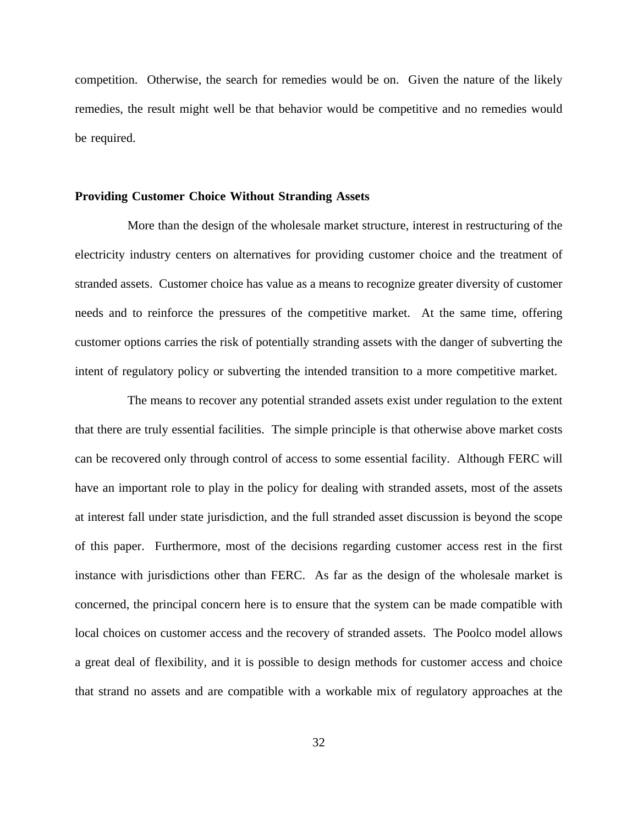competition. Otherwise, the search for remedies would be on. Given the nature of the likely remedies, the result might well be that behavior would be competitive and no remedies would be required.

### **Providing Customer Choice Without Stranding Assets**

More than the design of the wholesale market structure, interest in restructuring of the electricity industry centers on alternatives for providing customer choice and the treatment of stranded assets. Customer choice has value as a means to recognize greater diversity of customer needs and to reinforce the pressures of the competitive market. At the same time, offering customer options carries the risk of potentially stranding assets with the danger of subverting the intent of regulatory policy or subverting the intended transition to a more competitive market.

The means to recover any potential stranded assets exist under regulation to the extent that there are truly essential facilities. The simple principle is that otherwise above market costs can be recovered only through control of access to some essential facility. Although FERC will have an important role to play in the policy for dealing with stranded assets, most of the assets at interest fall under state jurisdiction, and the full stranded asset discussion is beyond the scope of this paper. Furthermore, most of the decisions regarding customer access rest in the first instance with jurisdictions other than FERC. As far as the design of the wholesale market is concerned, the principal concern here is to ensure that the system can be made compatible with local choices on customer access and the recovery of stranded assets. The Poolco model allows a great deal of flexibility, and it is possible to design methods for customer access and choice that strand no assets and are compatible with a workable mix of regulatory approaches at the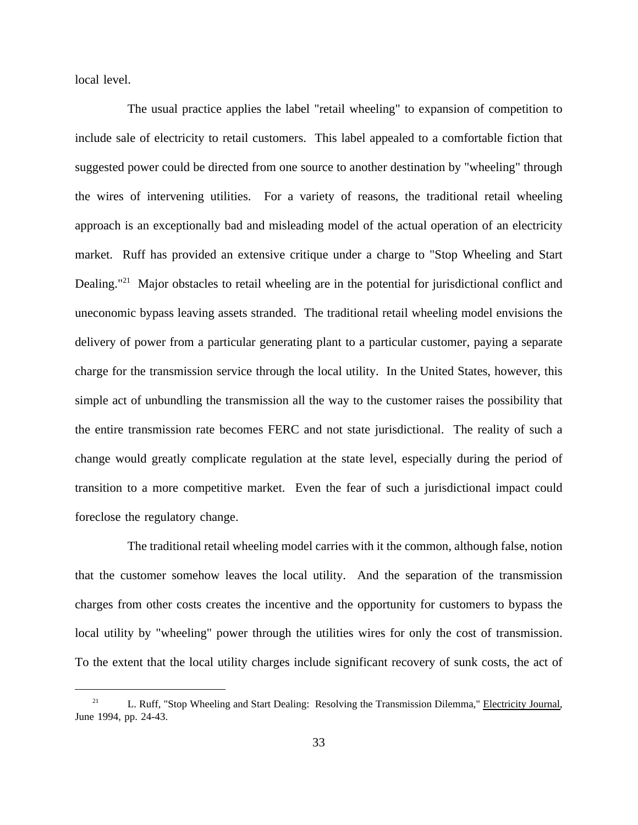local level.

The usual practice applies the label "retail wheeling" to expansion of competition to include sale of electricity to retail customers. This label appealed to a comfortable fiction that suggested power could be directed from one source to another destination by "wheeling" through the wires of intervening utilities. For a variety of reasons, the traditional retail wheeling approach is an exceptionally bad and misleading model of the actual operation of an electricity market. Ruff has provided an extensive critique under a charge to "Stop Wheeling and Start Dealing."<sup>21</sup> Major obstacles to retail wheeling are in the potential for jurisdictional conflict and uneconomic bypass leaving assets stranded. The traditional retail wheeling model envisions the delivery of power from a particular generating plant to a particular customer, paying a separate charge for the transmission service through the local utility. In the United States, however, this simple act of unbundling the transmission all the way to the customer raises the possibility that the entire transmission rate becomes FERC and not state jurisdictional. The reality of such a change would greatly complicate regulation at the state level, especially during the period of transition to a more competitive market. Even the fear of such a jurisdictional impact could foreclose the regulatory change.

The traditional retail wheeling model carries with it the common, although false, notion that the customer somehow leaves the local utility. And the separation of the transmission charges from other costs creates the incentive and the opportunity for customers to bypass the local utility by "wheeling" power through the utilities wires for only the cost of transmission. To the extent that the local utility charges include significant recovery of sunk costs, the act of

<sup>&</sup>lt;sup>21</sup> L. Ruff, "Stop Wheeling and Start Dealing: Resolving the Transmission Dilemma," Electricity Journal, June 1994, pp. 24-43.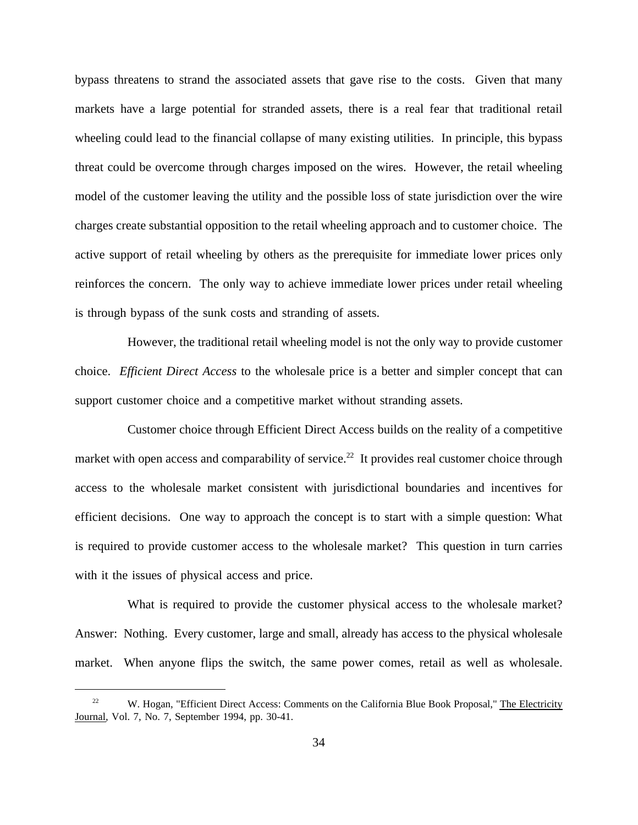bypass threatens to strand the associated assets that gave rise to the costs. Given that many markets have a large potential for stranded assets, there is a real fear that traditional retail wheeling could lead to the financial collapse of many existing utilities. In principle, this bypass threat could be overcome through charges imposed on the wires. However, the retail wheeling model of the customer leaving the utility and the possible loss of state jurisdiction over the wire charges create substantial opposition to the retail wheeling approach and to customer choice. The active support of retail wheeling by others as the prerequisite for immediate lower prices only reinforces the concern. The only way to achieve immediate lower prices under retail wheeling is through bypass of the sunk costs and stranding of assets.

However, the traditional retail wheeling model is not the only way to provide customer choice. *Efficient Direct Access* to the wholesale price is a better and simpler concept that can support customer choice and a competitive market without stranding assets.

Customer choice through Efficient Direct Access builds on the reality of a competitive market with open access and comparability of service.<sup>22</sup> It provides real customer choice through access to the wholesale market consistent with jurisdictional boundaries and incentives for efficient decisions. One way to approach the concept is to start with a simple question: What is required to provide customer access to the wholesale market? This question in turn carries with it the issues of physical access and price.

What is required to provide the customer physical access to the wholesale market? Answer: Nothing. Every customer, large and small, already has access to the physical wholesale market. When anyone flips the switch, the same power comes, retail as well as wholesale.

<sup>&</sup>lt;sup>22</sup> W. Hogan, "Efficient Direct Access: Comments on the California Blue Book Proposal," The Electricity Journal, Vol. 7, No. 7, September 1994, pp. 30-41.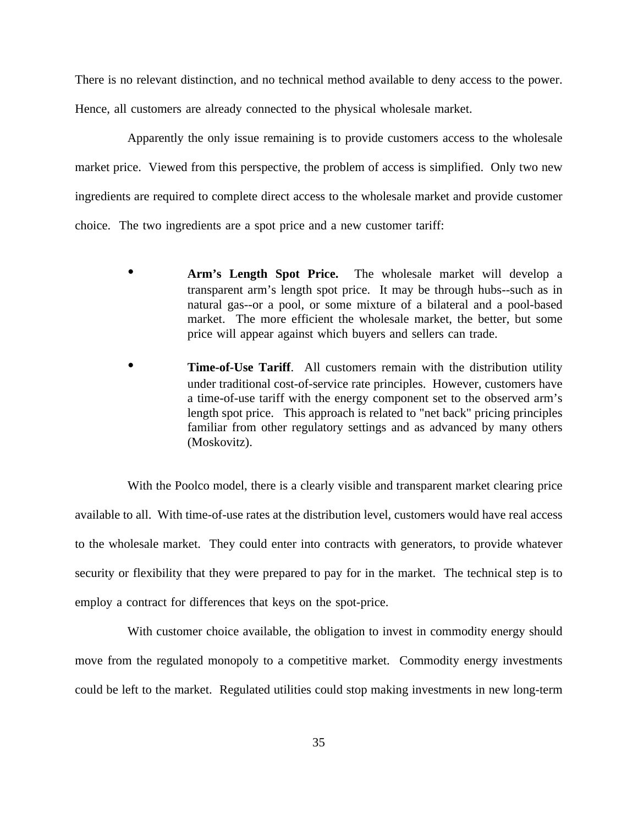There is no relevant distinction, and no technical method available to deny access to the power. Hence, all customers are already connected to the physical wholesale market.

Apparently the only issue remaining is to provide customers access to the wholesale market price. Viewed from this perspective, the problem of access is simplified. Only two new ingredients are required to complete direct access to the wholesale market and provide customer choice. The two ingredients are a spot price and a new customer tariff:

- **Arm's Length Spot Price.** The wholesale market will develop a transparent arm's length spot price. It may be through hubs--such as in natural gas--or a pool, or some mixture of a bilateral and a pool-based market. The more efficient the wholesale market, the better, but some price will appear against which buyers and sellers can trade.
- **Time-of-Use Tariff.** All customers remain with the distribution utility under traditional cost-of-service rate principles. However, customers have a time-of-use tariff with the energy component set to the observed arm's length spot price. This approach is related to "net back" pricing principles familiar from other regulatory settings and as advanced by many others (Moskovitz).

With the Poolco model, there is a clearly visible and transparent market clearing price available to all. With time-of-use rates at the distribution level, customers would have real access to the wholesale market. They could enter into contracts with generators, to provide whatever security or flexibility that they were prepared to pay for in the market. The technical step is to employ a contract for differences that keys on the spot-price.

With customer choice available, the obligation to invest in commodity energy should move from the regulated monopoly to a competitive market. Commodity energy investments could be left to the market. Regulated utilities could stop making investments in new long-term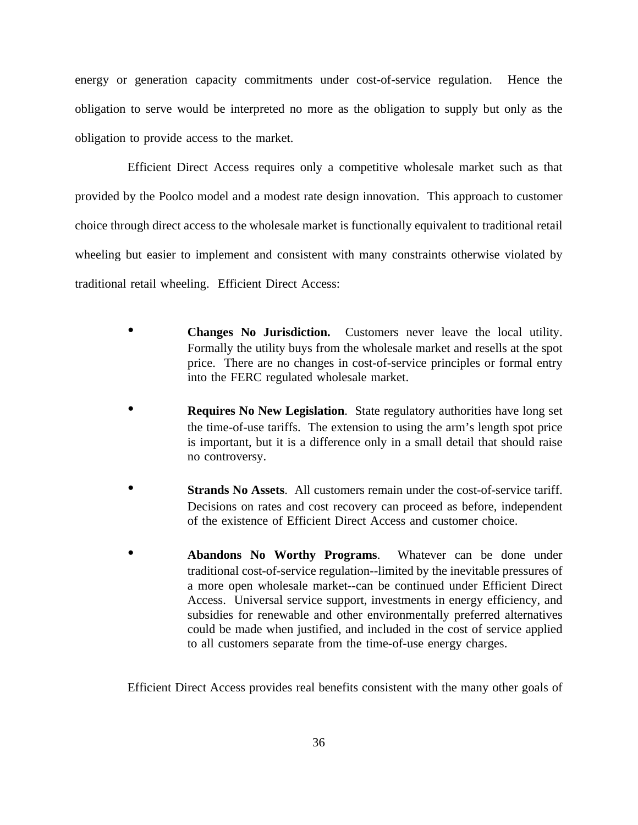energy or generation capacity commitments under cost-of-service regulation. Hence the obligation to serve would be interpreted no more as the obligation to supply but only as the obligation to provide access to the market.

Efficient Direct Access requires only a competitive wholesale market such as that provided by the Poolco model and a modest rate design innovation. This approach to customer choice through direct access to the wholesale market is functionally equivalent to traditional retail wheeling but easier to implement and consistent with many constraints otherwise violated by traditional retail wheeling. Efficient Direct Access:

- **Changes No Jurisdiction.** Customers never leave the local utility. Formally the utility buys from the wholesale market and resells at the spot price. There are no changes in cost-of-service principles or formal entry into the FERC regulated wholesale market.
- **Requires No New Legislation**. State regulatory authorities have long set the time-of-use tariffs. The extension to using the arm's length spot price is important, but it is a difference only in a small detail that should raise no controversy.
- **Strands No Assets**. All customers remain under the cost-of-service tariff. Decisions on rates and cost recovery can proceed as before, independent of the existence of Efficient Direct Access and customer choice.
- **Abandons No Worthy Programs**. Whatever can be done under traditional cost-of-service regulation--limited by the inevitable pressures of a more open wholesale market--can be continued under Efficient Direct Access. Universal service support, investments in energy efficiency, and subsidies for renewable and other environmentally preferred alternatives could be made when justified, and included in the cost of service applied to all customers separate from the time-of-use energy charges.

Efficient Direct Access provides real benefits consistent with the many other goals of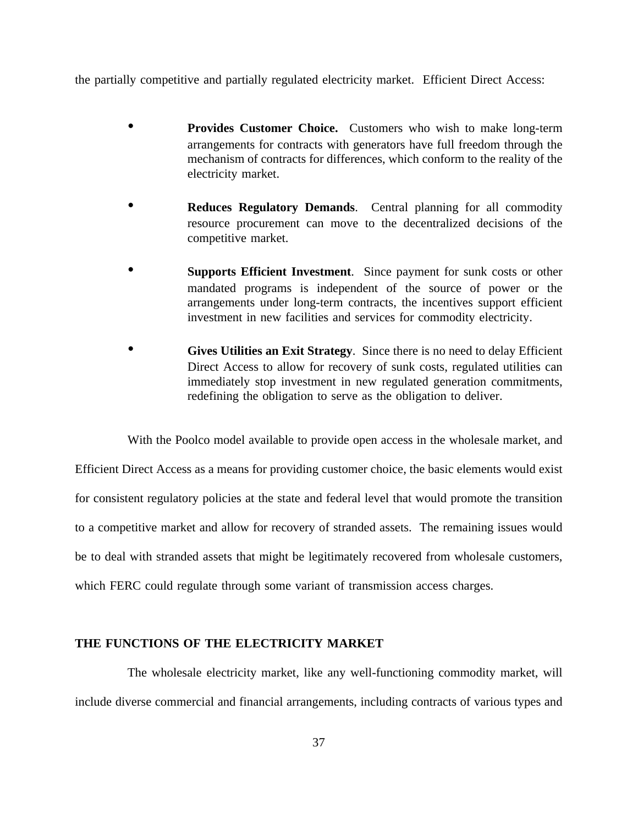the partially competitive and partially regulated electricity market. Efficient Direct Access:

- **Provides Customer Choice.** Customers who wish to make long-term arrangements for contracts with generators have full freedom through the mechanism of contracts for differences, which conform to the reality of the electricity market.
- **Reduces Regulatory Demands**. Central planning for all commodity resource procurement can move to the decentralized decisions of the competitive market.
- **Supports Efficient Investment**. Since payment for sunk costs or other mandated programs is independent of the source of power or the arrangements under long-term contracts, the incentives support efficient investment in new facilities and services for commodity electricity.
- **Gives Utilities an Exit Strategy**. Since there is no need to delay Efficient Direct Access to allow for recovery of sunk costs, regulated utilities can immediately stop investment in new regulated generation commitments, redefining the obligation to serve as the obligation to deliver.

With the Poolco model available to provide open access in the wholesale market, and Efficient Direct Access as a means for providing customer choice, the basic elements would exist for consistent regulatory policies at the state and federal level that would promote the transition to a competitive market and allow for recovery of stranded assets. The remaining issues would be to deal with stranded assets that might be legitimately recovered from wholesale customers, which FERC could regulate through some variant of transmission access charges.

# **THE FUNCTIONS OF THE ELECTRICITY MARKET**

The wholesale electricity market, like any well-functioning commodity market, will include diverse commercial and financial arrangements, including contracts of various types and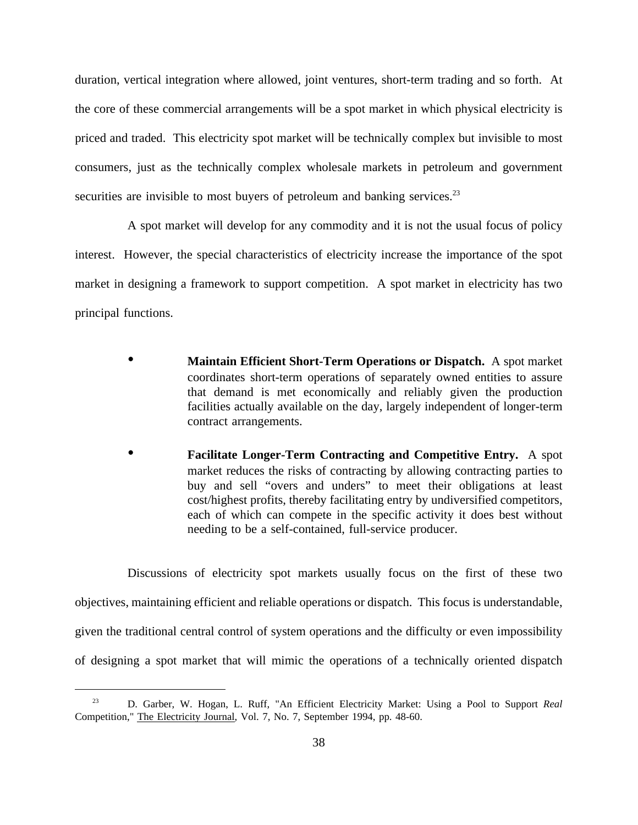duration, vertical integration where allowed, joint ventures, short-term trading and so forth. At the core of these commercial arrangements will be a spot market in which physical electricity is priced and traded. This electricity spot market will be technically complex but invisible to most consumers, just as the technically complex wholesale markets in petroleum and government securities are invisible to most buyers of petroleum and banking services.<sup>23</sup>

A spot market will develop for any commodity and it is not the usual focus of policy interest. However, the special characteristics of electricity increase the importance of the spot market in designing a framework to support competition. A spot market in electricity has two principal functions.

- **Maintain Efficient Short-Term Operations or Dispatch.** A spot market coordinates short-term operations of separately owned entities to assure that demand is met economically and reliably given the production facilities actually available on the day, largely independent of longer-term contract arrangements.
- **Facilitate Longer-Term Contracting and Competitive Entry.** A spot market reduces the risks of contracting by allowing contracting parties to buy and sell "overs and unders" to meet their obligations at least cost/highest profits, thereby facilitating entry by undiversified competitors, each of which can compete in the specific activity it does best without needing to be a self-contained, full-service producer.

Discussions of electricity spot markets usually focus on the first of these two objectives, maintaining efficient and reliable operations or dispatch. This focus is understandable, given the traditional central control of system operations and the difficulty or even impossibility of designing a spot market that will mimic the operations of a technically oriented dispatch

<sup>23</sup> D. Garber, W. Hogan, L. Ruff, "An Efficient Electricity Market: Using a Pool to Support *Real* Competition," The Electricity Journal, Vol. 7, No. 7, September 1994, pp. 48-60.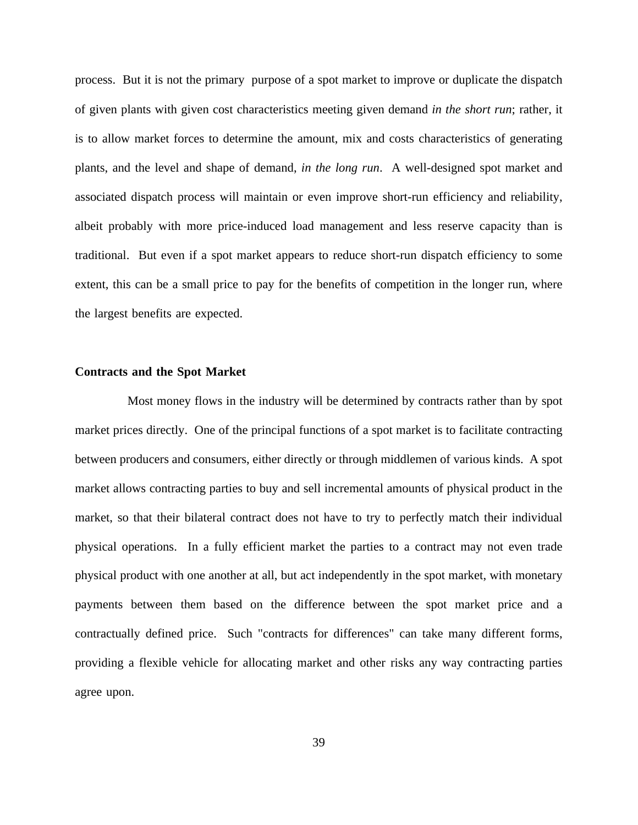process. But it is not the primary purpose of a spot market to improve or duplicate the dispatch of given plants with given cost characteristics meeting given demand *in the short run*; rather, it is to allow market forces to determine the amount, mix and costs characteristics of generating plants, and the level and shape of demand, *in the long run*. A well-designed spot market and associated dispatch process will maintain or even improve short-run efficiency and reliability, albeit probably with more price-induced load management and less reserve capacity than is traditional. But even if a spot market appears to reduce short-run dispatch efficiency to some extent, this can be a small price to pay for the benefits of competition in the longer run, where the largest benefits are expected.

## **Contracts and the Spot Market**

Most money flows in the industry will be determined by contracts rather than by spot market prices directly. One of the principal functions of a spot market is to facilitate contracting between producers and consumers, either directly or through middlemen of various kinds. A spot market allows contracting parties to buy and sell incremental amounts of physical product in the market, so that their bilateral contract does not have to try to perfectly match their individual physical operations. In a fully efficient market the parties to a contract may not even trade physical product with one another at all, but act independently in the spot market, with monetary payments between them based on the difference between the spot market price and a contractually defined price. Such "contracts for differences" can take many different forms, providing a flexible vehicle for allocating market and other risks any way contracting parties agree upon.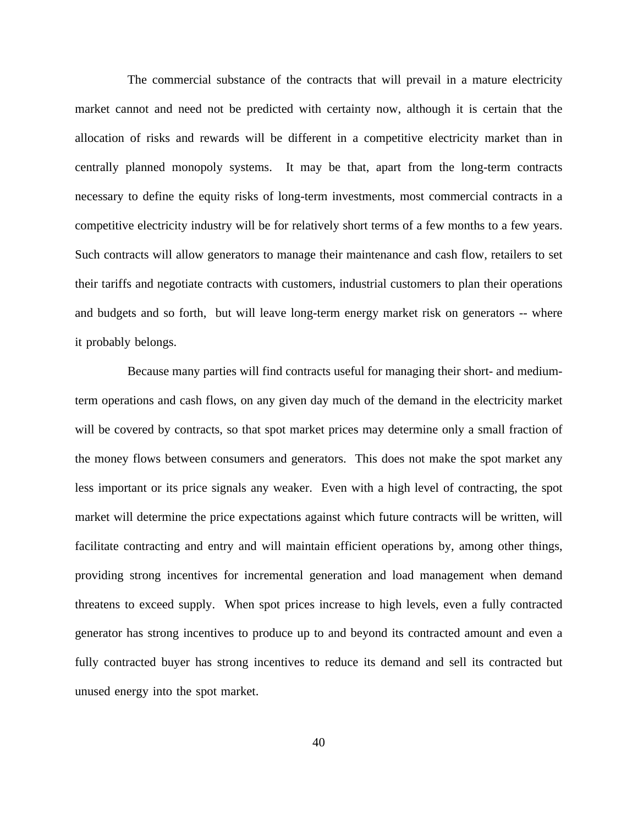The commercial substance of the contracts that will prevail in a mature electricity market cannot and need not be predicted with certainty now, although it is certain that the allocation of risks and rewards will be different in a competitive electricity market than in centrally planned monopoly systems. It may be that, apart from the long-term contracts necessary to define the equity risks of long-term investments, most commercial contracts in a competitive electricity industry will be for relatively short terms of a few months to a few years. Such contracts will allow generators to manage their maintenance and cash flow, retailers to set their tariffs and negotiate contracts with customers, industrial customers to plan their operations and budgets and so forth, but will leave long-term energy market risk on generators -- where it probably belongs.

Because many parties will find contracts useful for managing their short- and mediumterm operations and cash flows, on any given day much of the demand in the electricity market will be covered by contracts, so that spot market prices may determine only a small fraction of the money flows between consumers and generators. This does not make the spot market any less important or its price signals any weaker. Even with a high level of contracting, the spot market will determine the price expectations against which future contracts will be written, will facilitate contracting and entry and will maintain efficient operations by, among other things, providing strong incentives for incremental generation and load management when demand threatens to exceed supply. When spot prices increase to high levels, even a fully contracted generator has strong incentives to produce up to and beyond its contracted amount and even a fully contracted buyer has strong incentives to reduce its demand and sell its contracted but unused energy into the spot market.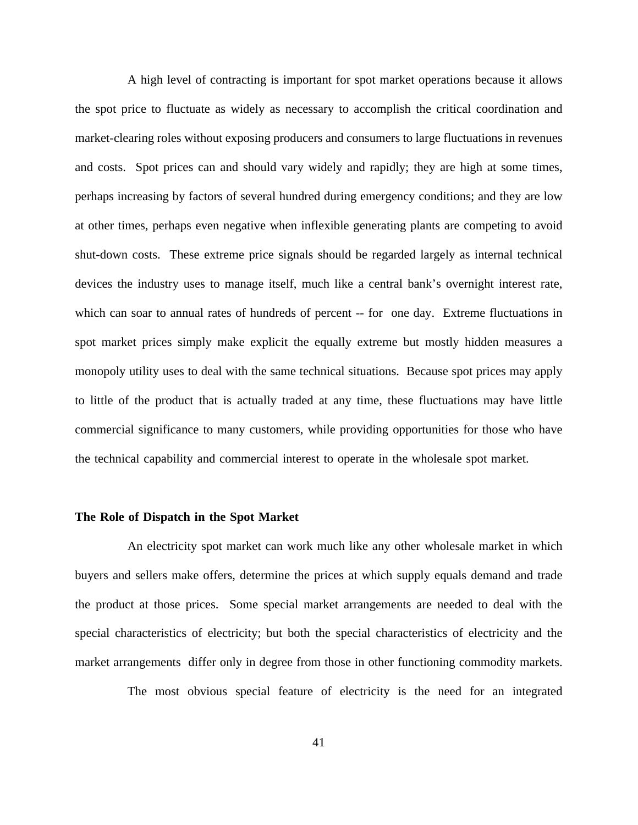A high level of contracting is important for spot market operations because it allows the spot price to fluctuate as widely as necessary to accomplish the critical coordination and market-clearing roles without exposing producers and consumers to large fluctuations in revenues and costs. Spot prices can and should vary widely and rapidly; they are high at some times, perhaps increasing by factors of several hundred during emergency conditions; and they are low at other times, perhaps even negative when inflexible generating plants are competing to avoid shut-down costs. These extreme price signals should be regarded largely as internal technical devices the industry uses to manage itself, much like a central bank's overnight interest rate, which can soar to annual rates of hundreds of percent -- for one day. Extreme fluctuations in spot market prices simply make explicit the equally extreme but mostly hidden measures a monopoly utility uses to deal with the same technical situations. Because spot prices may apply to little of the product that is actually traded at any time, these fluctuations may have little commercial significance to many customers, while providing opportunities for those who have the technical capability and commercial interest to operate in the wholesale spot market.

#### **The Role of Dispatch in the Spot Market**

An electricity spot market can work much like any other wholesale market in which buyers and sellers make offers, determine the prices at which supply equals demand and trade the product at those prices. Some special market arrangements are needed to deal with the special characteristics of electricity; but both the special characteristics of electricity and the market arrangements differ only in degree from those in other functioning commodity markets.

The most obvious special feature of electricity is the need for an integrated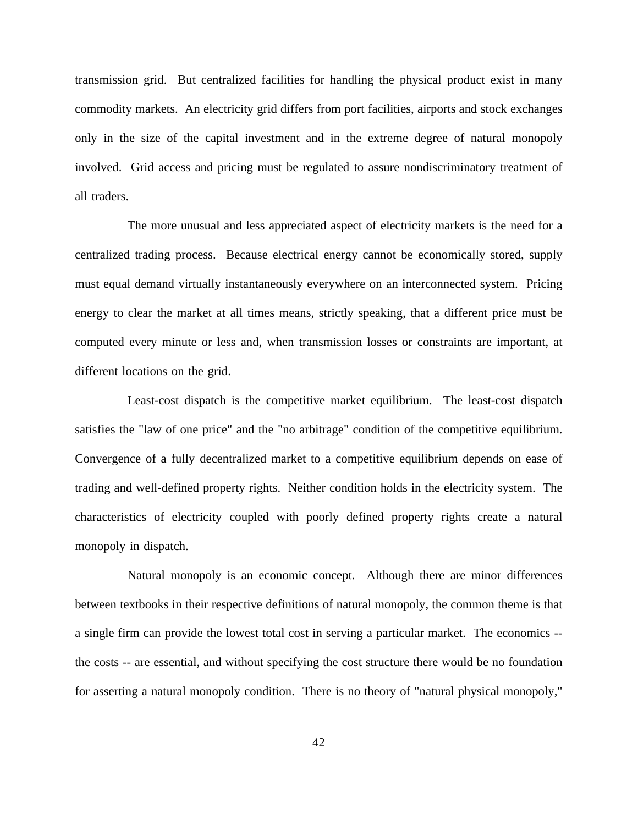transmission grid. But centralized facilities for handling the physical product exist in many commodity markets. An electricity grid differs from port facilities, airports and stock exchanges only in the size of the capital investment and in the extreme degree of natural monopoly involved. Grid access and pricing must be regulated to assure nondiscriminatory treatment of all traders.

The more unusual and less appreciated aspect of electricity markets is the need for a centralized trading process. Because electrical energy cannot be economically stored, supply must equal demand virtually instantaneously everywhere on an interconnected system. Pricing energy to clear the market at all times means, strictly speaking, that a different price must be computed every minute or less and, when transmission losses or constraints are important, at different locations on the grid.

Least-cost dispatch is the competitive market equilibrium. The least-cost dispatch satisfies the "law of one price" and the "no arbitrage" condition of the competitive equilibrium. Convergence of a fully decentralized market to a competitive equilibrium depends on ease of trading and well-defined property rights. Neither condition holds in the electricity system. The characteristics of electricity coupled with poorly defined property rights create a natural monopoly in dispatch.

Natural monopoly is an economic concept. Although there are minor differences between textbooks in their respective definitions of natural monopoly, the common theme is that a single firm can provide the lowest total cost in serving a particular market. The economics - the costs -- are essential, and without specifying the cost structure there would be no foundation for asserting a natural monopoly condition. There is no theory of "natural physical monopoly,"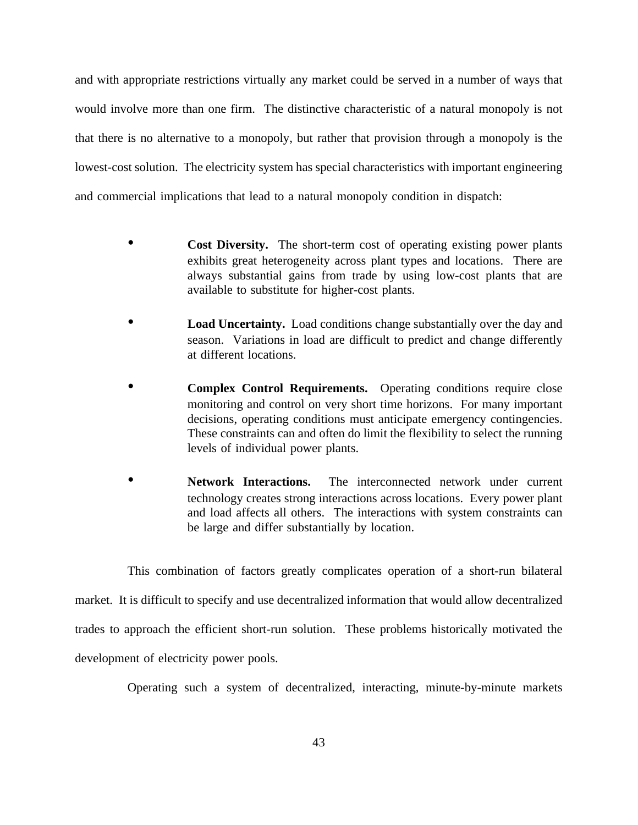and with appropriate restrictions virtually any market could be served in a number of ways that would involve more than one firm. The distinctive characteristic of a natural monopoly is not that there is no alternative to a monopoly, but rather that provision through a monopoly is the lowest-cost solution. The electricity system has special characteristics with important engineering and commercial implications that lead to a natural monopoly condition in dispatch:

- **Cost Diversity.** The short-term cost of operating existing power plants exhibits great heterogeneity across plant types and locations. There are always substantial gains from trade by using low-cost plants that are available to substitute for higher-cost plants.
- **Load Uncertainty.** Load conditions change substantially over the day and season. Variations in load are difficult to predict and change differently at different locations.
- **Complex Control Requirements.** Operating conditions require close monitoring and control on very short time horizons. For many important decisions, operating conditions must anticipate emergency contingencies. These constraints can and often do limit the flexibility to select the running levels of individual power plants.
- **Network Interactions.** The interconnected network under current technology creates strong interactions across locations. Every power plant and load affects all others. The interactions with system constraints can be large and differ substantially by location.

This combination of factors greatly complicates operation of a short-run bilateral market. It is difficult to specify and use decentralized information that would allow decentralized trades to approach the efficient short-run solution. These problems historically motivated the development of electricity power pools.

Operating such a system of decentralized, interacting, minute-by-minute markets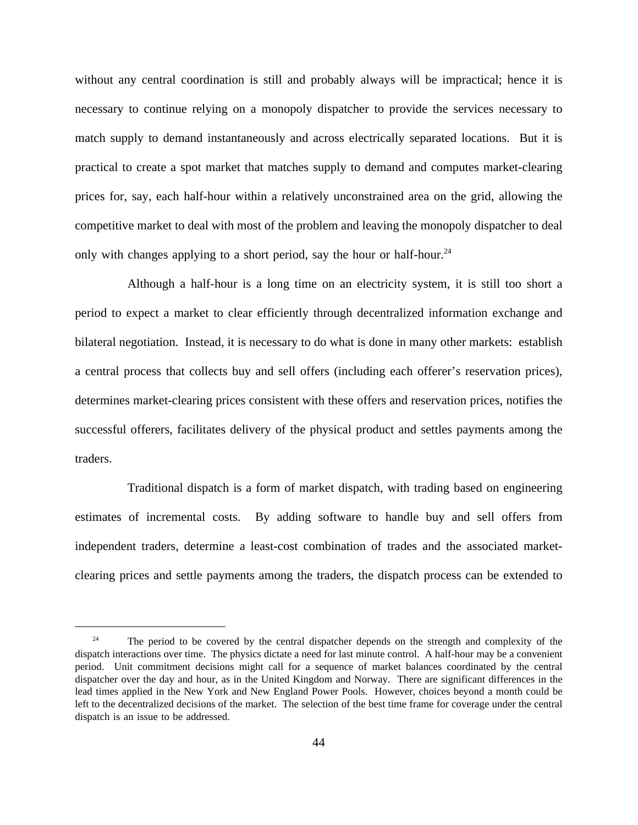without any central coordination is still and probably always will be impractical; hence it is necessary to continue relying on a monopoly dispatcher to provide the services necessary to match supply to demand instantaneously and across electrically separated locations. But it is practical to create a spot market that matches supply to demand and computes market-clearing prices for, say, each half-hour within a relatively unconstrained area on the grid, allowing the competitive market to deal with most of the problem and leaving the monopoly dispatcher to deal only with changes applying to a short period, say the hour or half-hour.<sup>24</sup>

Although a half-hour is a long time on an electricity system, it is still too short a period to expect a market to clear efficiently through decentralized information exchange and bilateral negotiation. Instead, it is necessary to do what is done in many other markets: establish a central process that collects buy and sell offers (including each offerer's reservation prices), determines market-clearing prices consistent with these offers and reservation prices, notifies the successful offerers, facilitates delivery of the physical product and settles payments among the traders.

Traditional dispatch is a form of market dispatch, with trading based on engineering estimates of incremental costs. By adding software to handle buy and sell offers from independent traders, determine a least-cost combination of trades and the associated marketclearing prices and settle payments among the traders, the dispatch process can be extended to

<sup>&</sup>lt;sup>24</sup> The period to be covered by the central dispatcher depends on the strength and complexity of the dispatch interactions over time. The physics dictate a need for last minute control. A half-hour may be a convenient period. Unit commitment decisions might call for a sequence of market balances coordinated by the central dispatcher over the day and hour, as in the United Kingdom and Norway. There are significant differences in the lead times applied in the New York and New England Power Pools. However, choices beyond a month could be left to the decentralized decisions of the market. The selection of the best time frame for coverage under the central dispatch is an issue to be addressed.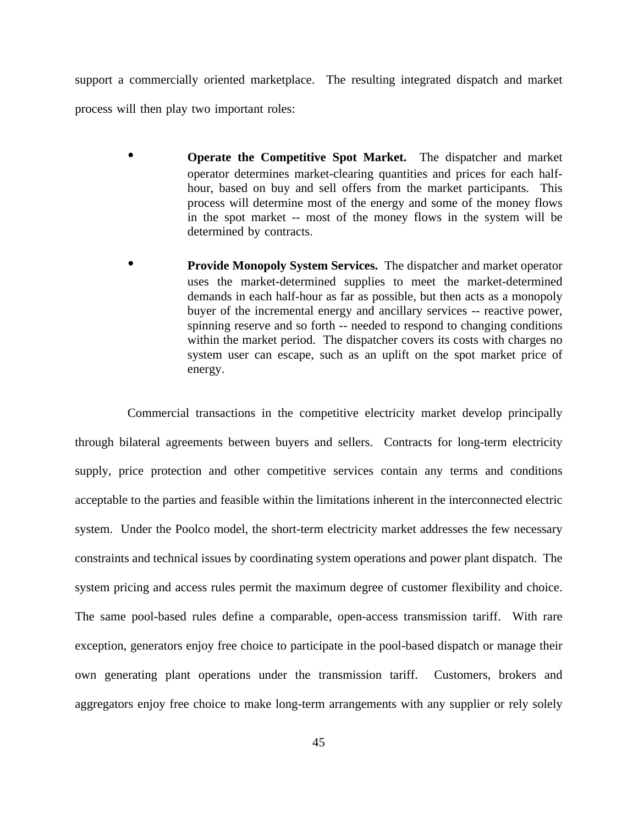support a commercially oriented marketplace. The resulting integrated dispatch and market process will then play two important roles:

- **Operate the Competitive Spot Market.** The dispatcher and market operator determines market-clearing quantities and prices for each halfhour, based on buy and sell offers from the market participants. This process will determine most of the energy and some of the money flows in the spot market -- most of the money flows in the system will be determined by contracts.
- **Provide Monopoly System Services.** The dispatcher and market operator uses the market-determined supplies to meet the market-determined demands in each half-hour as far as possible, but then acts as a monopoly buyer of the incremental energy and ancillary services -- reactive power, spinning reserve and so forth -- needed to respond to changing conditions within the market period. The dispatcher covers its costs with charges no system user can escape, such as an uplift on the spot market price of energy.

Commercial transactions in the competitive electricity market develop principally through bilateral agreements between buyers and sellers. Contracts for long-term electricity supply, price protection and other competitive services contain any terms and conditions acceptable to the parties and feasible within the limitations inherent in the interconnected electric system. Under the Poolco model, the short-term electricity market addresses the few necessary constraints and technical issues by coordinating system operations and power plant dispatch. The system pricing and access rules permit the maximum degree of customer flexibility and choice. The same pool-based rules define a comparable, open-access transmission tariff. With rare exception, generators enjoy free choice to participate in the pool-based dispatch or manage their own generating plant operations under the transmission tariff. Customers, brokers and aggregators enjoy free choice to make long-term arrangements with any supplier or rely solely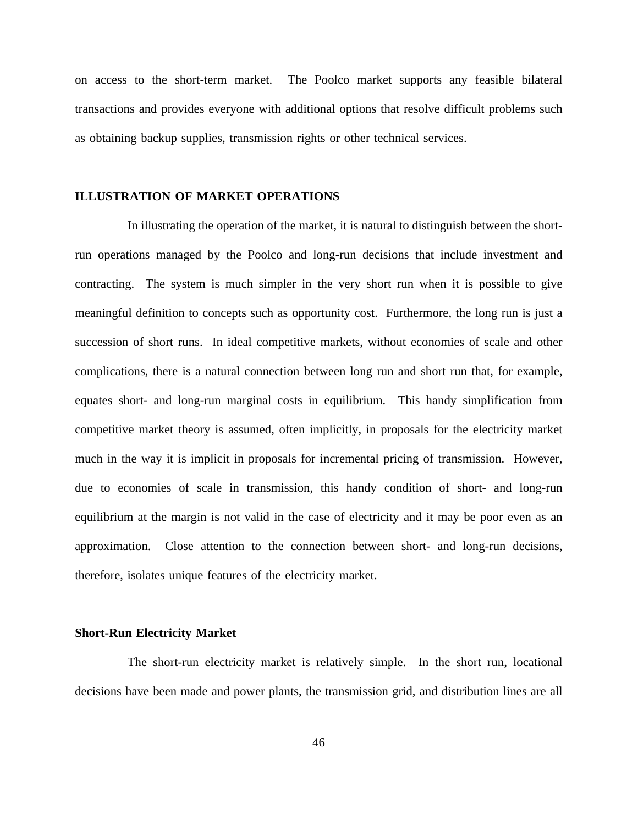on access to the short-term market. The Poolco market supports any feasible bilateral transactions and provides everyone with additional options that resolve difficult problems such as obtaining backup supplies, transmission rights or other technical services.

# **ILLUSTRATION OF MARKET OPERATIONS**

In illustrating the operation of the market, it is natural to distinguish between the shortrun operations managed by the Poolco and long-run decisions that include investment and contracting. The system is much simpler in the very short run when it is possible to give meaningful definition to concepts such as opportunity cost. Furthermore, the long run is just a succession of short runs. In ideal competitive markets, without economies of scale and other complications, there is a natural connection between long run and short run that, for example, equates short- and long-run marginal costs in equilibrium. This handy simplification from competitive market theory is assumed, often implicitly, in proposals for the electricity market much in the way it is implicit in proposals for incremental pricing of transmission. However, due to economies of scale in transmission, this handy condition of short- and long-run equilibrium at the margin is not valid in the case of electricity and it may be poor even as an approximation. Close attention to the connection between short- and long-run decisions, therefore, isolates unique features of the electricity market.

## **Short-Run Electricity Market**

The short-run electricity market is relatively simple. In the short run, locational decisions have been made and power plants, the transmission grid, and distribution lines are all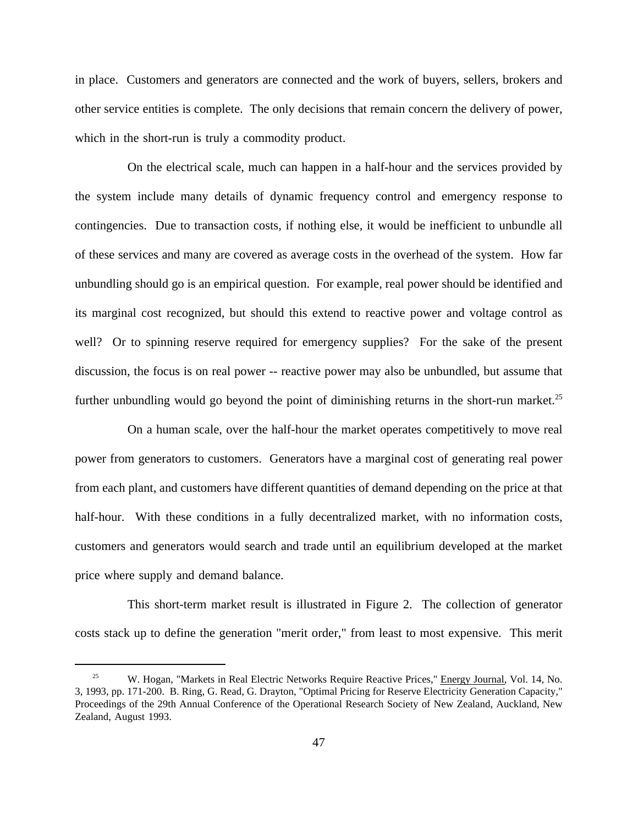in place. Customers and generators are connected and the work of buyers, sellers, brokers and other service entities is complete. The only decisions that remain concern the delivery of power, which in the short-run is truly a commodity product.

On the electrical scale, much can happen in a half-hour and the services provided by the system include many details of dynamic frequency control and emergency response to contingencies. Due to transaction costs, if nothing else, it would be inefficient to unbundle all of these services and many are covered as average costs in the overhead of the system. How far unbundling should go is an empirical question. For example, real power should be identified and its marginal cost recognized, but should this extend to reactive power and voltage control as well? Or to spinning reserve required for emergency supplies? For the sake of the present discussion, the focus is on real power -- reactive power may also be unbundled, but assume that further unbundling would go beyond the point of diminishing returns in the short-run market.<sup>25</sup>

On a human scale, over the half-hour the market operates competitively to move real power from generators to customers. Generators have a marginal cost of generating real power from each plant, and customers have different quantities of demand depending on the price at that half-hour. With these conditions in a fully decentralized market, with no information costs, customers and generators would search and trade until an equilibrium developed at the market price where supply and demand balance.

This short-term market result is illustrated in Figure 2. The collection of generator costs stack up to define the generation "merit order," from least to most expensive. This merit

<sup>&</sup>lt;sup>25</sup> W. Hogan, "Markets in Real Electric Networks Require Reactive Prices," Energy Journal, Vol. 14, No. 3, 1993, pp. 171-200. B. Ring, G. Read, G. Drayton, "Optimal Pricing for Reserve Electricity Generation Capacity," Proceedings of the 29th Annual Conference of the Operational Research Society of New Zealand, Auckland, New Zealand, August 1993.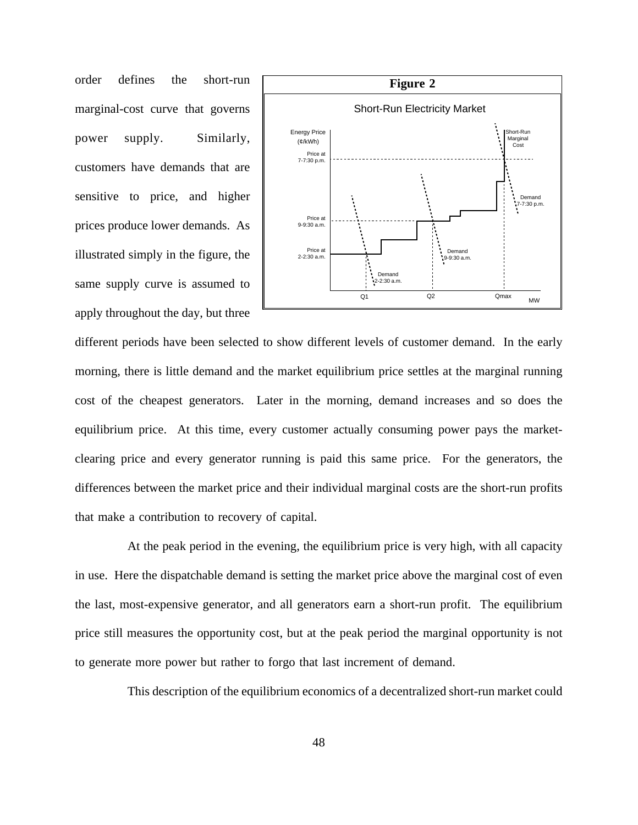order defines the short-run marginal-cost curve that governs power supply. Similarly, customers have demands that are sensitive to price, and higher prices produce lower demands. As illustrated simply in the figure, the same supply curve is assumed to apply throughout the day, but three



different periods have been selected to show different levels of customer demand. In the early morning, there is little demand and the market equilibrium price settles at the marginal running cost of the cheapest generators. Later in the morning, demand increases and so does the equilibrium price. At this time, every customer actually consuming power pays the marketclearing price and every generator running is paid this same price. For the generators, the differences between the market price and their individual marginal costs are the short-run profits that make a contribution to recovery of capital.

At the peak period in the evening, the equilibrium price is very high, with all capacity in use. Here the dispatchable demand is setting the market price above the marginal cost of even the last, most-expensive generator, and all generators earn a short-run profit. The equilibrium price still measures the opportunity cost, but at the peak period the marginal opportunity is not to generate more power but rather to forgo that last increment of demand.

This description of the equilibrium economics of a decentralized short-run market could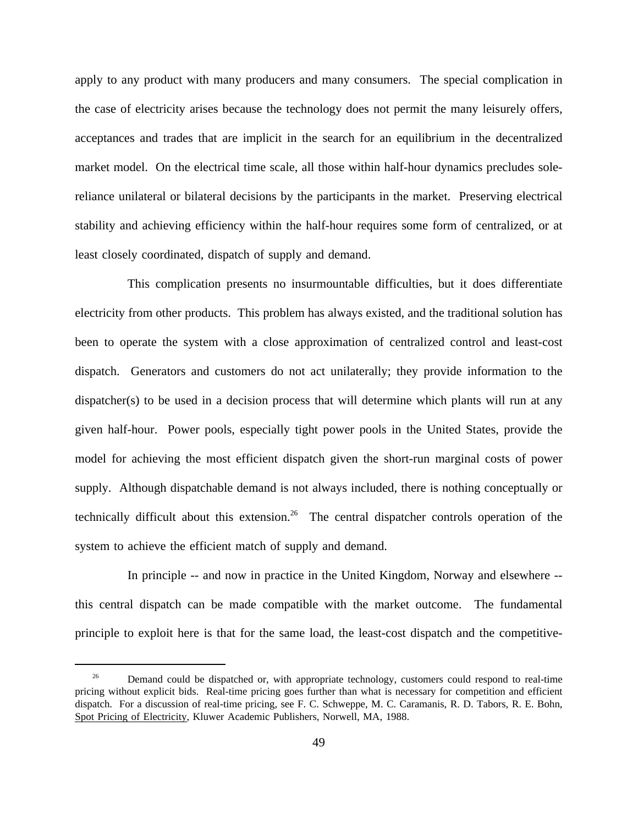apply to any product with many producers and many consumers. The special complication in the case of electricity arises because the technology does not permit the many leisurely offers, acceptances and trades that are implicit in the search for an equilibrium in the decentralized market model. On the electrical time scale, all those within half-hour dynamics precludes solereliance unilateral or bilateral decisions by the participants in the market. Preserving electrical stability and achieving efficiency within the half-hour requires some form of centralized, or at least closely coordinated, dispatch of supply and demand.

This complication presents no insurmountable difficulties, but it does differentiate electricity from other products. This problem has always existed, and the traditional solution has been to operate the system with a close approximation of centralized control and least-cost dispatch. Generators and customers do not act unilaterally; they provide information to the dispatcher(s) to be used in a decision process that will determine which plants will run at any given half-hour. Power pools, especially tight power pools in the United States, provide the model for achieving the most efficient dispatch given the short-run marginal costs of power supply. Although dispatchable demand is not always included, there is nothing conceptually or technically difficult about this extension.<sup>26</sup> The central dispatcher controls operation of the system to achieve the efficient match of supply and demand.

In principle -- and now in practice in the United Kingdom, Norway and elsewhere - this central dispatch can be made compatible with the market outcome. The fundamental principle to exploit here is that for the same load, the least-cost dispatch and the competitive-

<sup>&</sup>lt;sup>26</sup> Demand could be dispatched or, with appropriate technology, customers could respond to real-time pricing without explicit bids. Real-time pricing goes further than what is necessary for competition and efficient dispatch. For a discussion of real-time pricing, see F. C. Schweppe, M. C. Caramanis, R. D. Tabors, R. E. Bohn, Spot Pricing of Electricity, Kluwer Academic Publishers, Norwell, MA, 1988.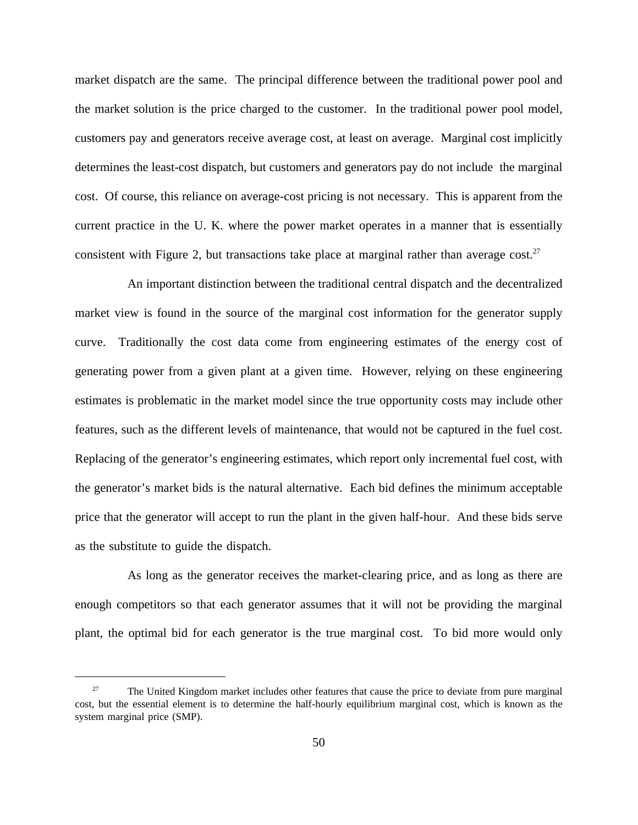market dispatch are the same. The principal difference between the traditional power pool and the market solution is the price charged to the customer. In the traditional power pool model, customers pay and generators receive average cost, at least on average. Marginal cost implicitly determines the least-cost dispatch, but customers and generators pay do not include the marginal cost. Of course, this reliance on average-cost pricing is not necessary. This is apparent from the current practice in the U. K. where the power market operates in a manner that is essentially consistent with Figure 2, but transactions take place at marginal rather than average cost.<sup>27</sup>

An important distinction between the traditional central dispatch and the decentralized market view is found in the source of the marginal cost information for the generator supply curve. Traditionally the cost data come from engineering estimates of the energy cost of generating power from a given plant at a given time. However, relying on these engineering estimates is problematic in the market model since the true opportunity costs may include other features, such as the different levels of maintenance, that would not be captured in the fuel cost. Replacing of the generator's engineering estimates, which report only incremental fuel cost, with the generator's market bids is the natural alternative. Each bid defines the minimum acceptable price that the generator will accept to run the plant in the given half-hour. And these bids serve as the substitute to guide the dispatch.

As long as the generator receives the market-clearing price, and as long as there are enough competitors so that each generator assumes that it will not be providing the marginal plant, the optimal bid for each generator is the true marginal cost. To bid more would only

<sup>&</sup>lt;sup>27</sup> The United Kingdom market includes other features that cause the price to deviate from pure marginal cost, but the essential element is to determine the half-hourly equilibrium marginal cost, which is known as the system marginal price (SMP).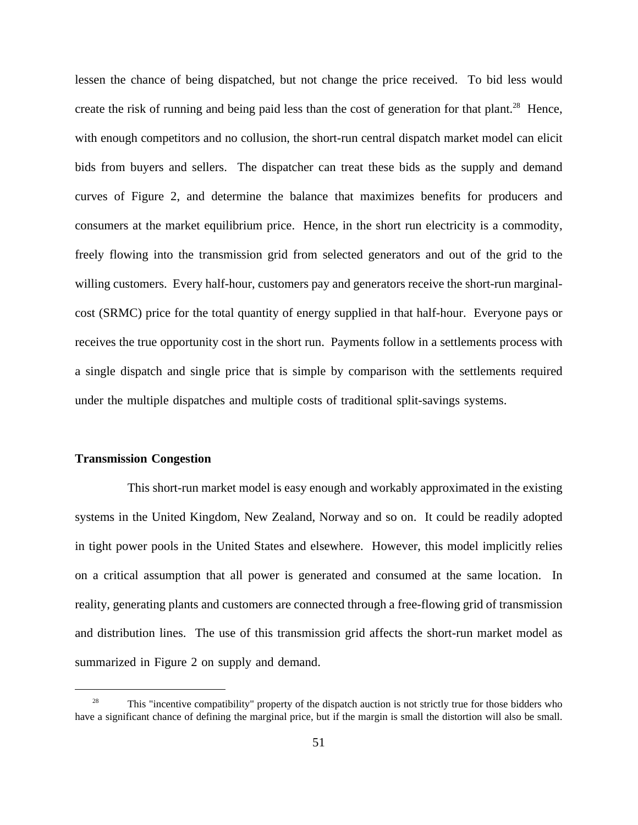lessen the chance of being dispatched, but not change the price received. To bid less would create the risk of running and being paid less than the cost of generation for that plant.<sup>28</sup> Hence, with enough competitors and no collusion, the short-run central dispatch market model can elicit bids from buyers and sellers. The dispatcher can treat these bids as the supply and demand curves of Figure 2, and determine the balance that maximizes benefits for producers and consumers at the market equilibrium price. Hence, in the short run electricity is a commodity, freely flowing into the transmission grid from selected generators and out of the grid to the willing customers. Every half-hour, customers pay and generators receive the short-run marginalcost (SRMC) price for the total quantity of energy supplied in that half-hour. Everyone pays or receives the true opportunity cost in the short run. Payments follow in a settlements process with a single dispatch and single price that is simple by comparison with the settlements required under the multiple dispatches and multiple costs of traditional split-savings systems.

### **Transmission Congestion**

This short-run market model is easy enough and workably approximated in the existing systems in the United Kingdom, New Zealand, Norway and so on. It could be readily adopted in tight power pools in the United States and elsewhere. However, this model implicitly relies on a critical assumption that all power is generated and consumed at the same location. In reality, generating plants and customers are connected through a free-flowing grid of transmission and distribution lines. The use of this transmission grid affects the short-run market model as summarized in Figure 2 on supply and demand.

<sup>&</sup>lt;sup>28</sup> This "incentive compatibility" property of the dispatch auction is not strictly true for those bidders who have a significant chance of defining the marginal price, but if the margin is small the distortion will also be small.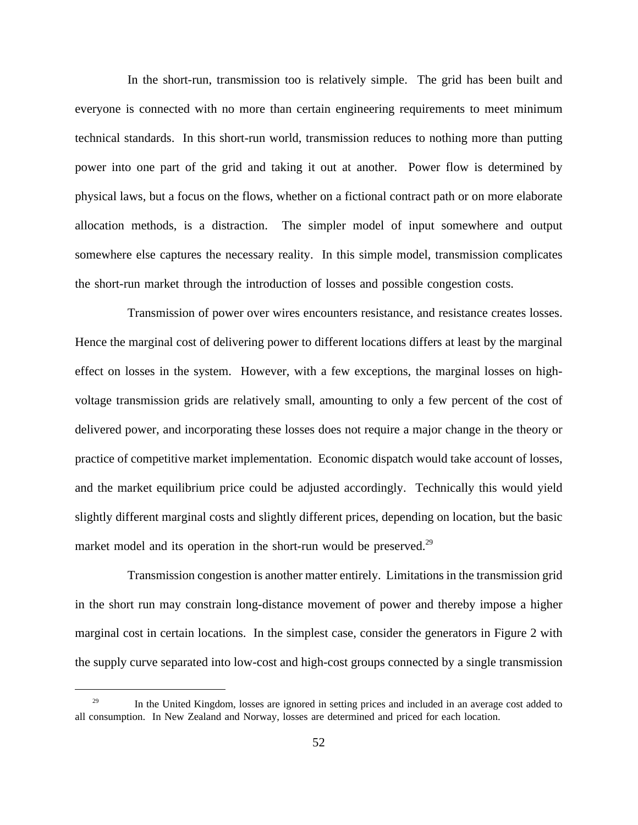In the short-run, transmission too is relatively simple. The grid has been built and everyone is connected with no more than certain engineering requirements to meet minimum technical standards. In this short-run world, transmission reduces to nothing more than putting power into one part of the grid and taking it out at another. Power flow is determined by physical laws, but a focus on the flows, whether on a fictional contract path or on more elaborate allocation methods, is a distraction. The simpler model of input somewhere and output somewhere else captures the necessary reality. In this simple model, transmission complicates the short-run market through the introduction of losses and possible congestion costs.

Transmission of power over wires encounters resistance, and resistance creates losses. Hence the marginal cost of delivering power to different locations differs at least by the marginal effect on losses in the system. However, with a few exceptions, the marginal losses on highvoltage transmission grids are relatively small, amounting to only a few percent of the cost of delivered power, and incorporating these losses does not require a major change in the theory or practice of competitive market implementation. Economic dispatch would take account of losses, and the market equilibrium price could be adjusted accordingly. Technically this would yield slightly different marginal costs and slightly different prices, depending on location, but the basic market model and its operation in the short-run would be preserved.<sup>29</sup>

Transmission congestion is another matter entirely. Limitations in the transmission grid in the short run may constrain long-distance movement of power and thereby impose a higher marginal cost in certain locations. In the simplest case, consider the generators in Figure 2 with the supply curve separated into low-cost and high-cost groups connected by a single transmission

<sup>&</sup>lt;sup>29</sup> In the United Kingdom, losses are ignored in setting prices and included in an average cost added to all consumption. In New Zealand and Norway, losses are determined and priced for each location.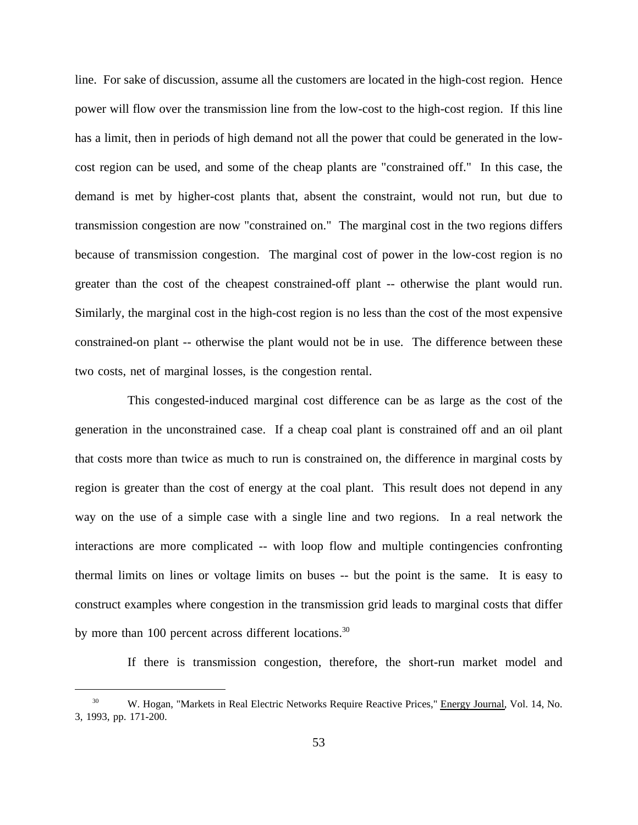line. For sake of discussion, assume all the customers are located in the high-cost region. Hence power will flow over the transmission line from the low-cost to the high-cost region. If this line has a limit, then in periods of high demand not all the power that could be generated in the lowcost region can be used, and some of the cheap plants are "constrained off." In this case, the demand is met by higher-cost plants that, absent the constraint, would not run, but due to transmission congestion are now "constrained on." The marginal cost in the two regions differs because of transmission congestion. The marginal cost of power in the low-cost region is no greater than the cost of the cheapest constrained-off plant -- otherwise the plant would run. Similarly, the marginal cost in the high-cost region is no less than the cost of the most expensive constrained-on plant -- otherwise the plant would not be in use. The difference between these two costs, net of marginal losses, is the congestion rental.

This congested-induced marginal cost difference can be as large as the cost of the generation in the unconstrained case. If a cheap coal plant is constrained off and an oil plant that costs more than twice as much to run is constrained on, the difference in marginal costs by region is greater than the cost of energy at the coal plant. This result does not depend in any way on the use of a simple case with a single line and two regions. In a real network the interactions are more complicated -- with loop flow and multiple contingencies confronting thermal limits on lines or voltage limits on buses -- but the point is the same. It is easy to construct examples where congestion in the transmission grid leads to marginal costs that differ by more than 100 percent across different locations.<sup>30</sup>

If there is transmission congestion, therefore, the short-run market model and

W. Hogan, "Markets in Real Electric Networks Require Reactive Prices," Energy Journal, Vol. 14, No. 3, 1993, pp. 171-200.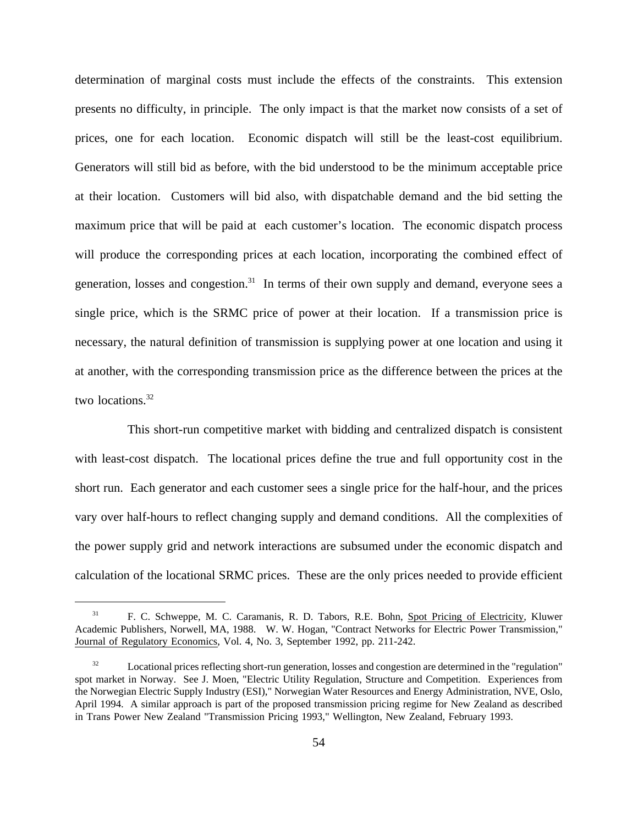determination of marginal costs must include the effects of the constraints. This extension presents no difficulty, in principle. The only impact is that the market now consists of a set of prices, one for each location. Economic dispatch will still be the least-cost equilibrium. Generators will still bid as before, with the bid understood to be the minimum acceptable price at their location. Customers will bid also, with dispatchable demand and the bid setting the maximum price that will be paid at each customer's location. The economic dispatch process will produce the corresponding prices at each location, incorporating the combined effect of generation, losses and congestion.<sup>31</sup> In terms of their own supply and demand, everyone sees a single price, which is the SRMC price of power at their location. If a transmission price is necessary, the natural definition of transmission is supplying power at one location and using it at another, with the corresponding transmission price as the difference between the prices at the two locations.<sup>32</sup>

This short-run competitive market with bidding and centralized dispatch is consistent with least-cost dispatch. The locational prices define the true and full opportunity cost in the short run. Each generator and each customer sees a single price for the half-hour, and the prices vary over half-hours to reflect changing supply and demand conditions. All the complexities of the power supply grid and network interactions are subsumed under the economic dispatch and calculation of the locational SRMC prices. These are the only prices needed to provide efficient

<sup>31</sup> F. C. Schweppe, M. C. Caramanis, R. D. Tabors, R.E. Bohn, Spot Pricing of Electricity, Kluwer Academic Publishers, Norwell, MA, 1988. W. W. Hogan, "Contract Networks for Electric Power Transmission," Journal of Regulatory Economics, Vol. 4, No. 3, September 1992, pp. 211-242.

<sup>&</sup>lt;sup>32</sup> Locational prices reflecting short-run generation, losses and congestion are determined in the "regulation" spot market in Norway. See J. Moen, "Electric Utility Regulation, Structure and Competition. Experiences from the Norwegian Electric Supply Industry (ESI)," Norwegian Water Resources and Energy Administration, NVE, Oslo, April 1994. A similar approach is part of the proposed transmission pricing regime for New Zealand as described in Trans Power New Zealand "Transmission Pricing 1993," Wellington, New Zealand, February 1993.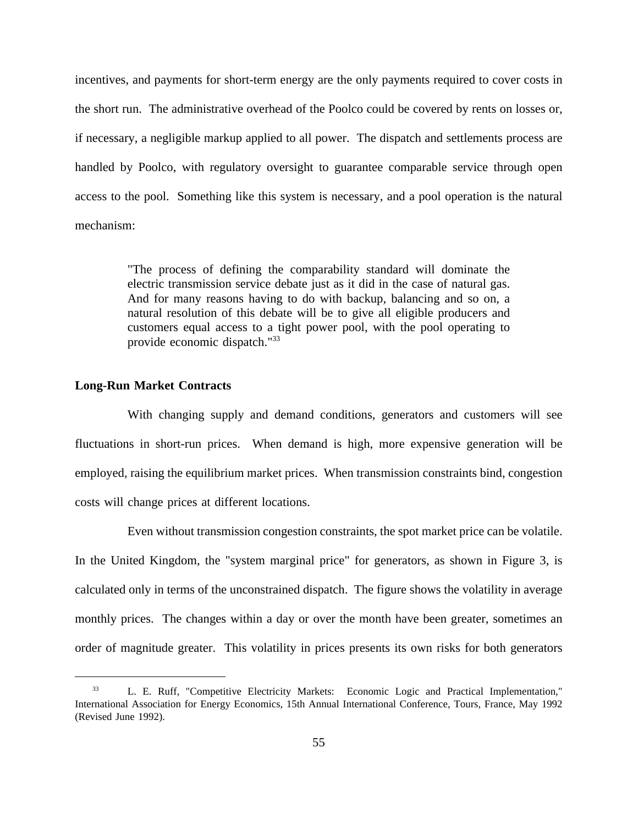incentives, and payments for short-term energy are the only payments required to cover costs in the short run. The administrative overhead of the Poolco could be covered by rents on losses or, if necessary, a negligible markup applied to all power. The dispatch and settlements process are handled by Poolco, with regulatory oversight to guarantee comparable service through open access to the pool. Something like this system is necessary, and a pool operation is the natural mechanism:

> "The process of defining the comparability standard will dominate the electric transmission service debate just as it did in the case of natural gas. And for many reasons having to do with backup, balancing and so on, a natural resolution of this debate will be to give all eligible producers and customers equal access to a tight power pool, with the pool operating to provide economic dispatch."33

### **Long-Run Market Contracts**

With changing supply and demand conditions, generators and customers will see fluctuations in short-run prices. When demand is high, more expensive generation will be employed, raising the equilibrium market prices. When transmission constraints bind, congestion costs will change prices at different locations.

Even without transmission congestion constraints, the spot market price can be volatile. In the United Kingdom, the "system marginal price" for generators, as shown in Figure 3, is calculated only in terms of the unconstrained dispatch. The figure shows the volatility in average monthly prices. The changes within a day or over the month have been greater, sometimes an order of magnitude greater. This volatility in prices presents its own risks for both generators

<sup>&</sup>lt;sup>33</sup> L. E. Ruff, "Competitive Electricity Markets: Economic Logic and Practical Implementation," International Association for Energy Economics, 15th Annual International Conference, Tours, France, May 1992 (Revised June 1992).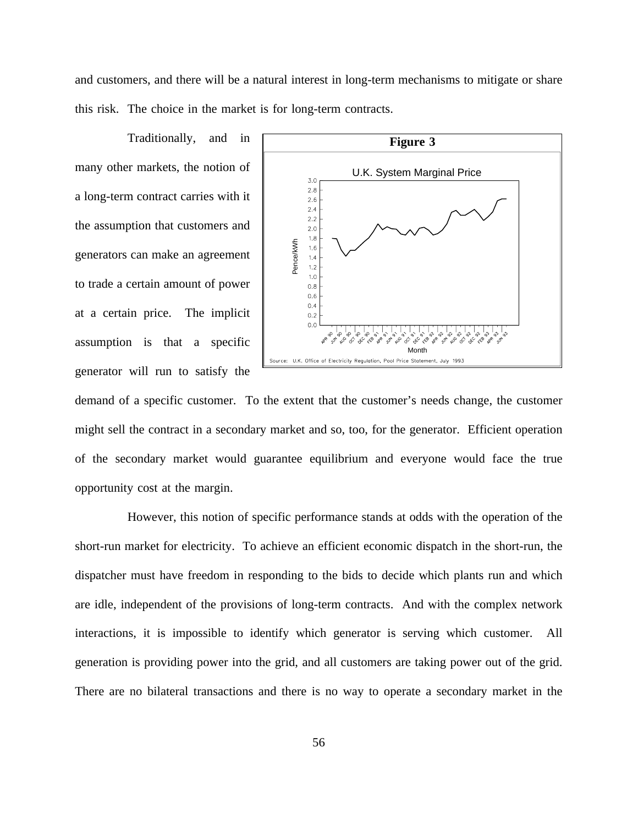and customers, and there will be a natural interest in long-term mechanisms to mitigate or share this risk. The choice in the market is for long-term contracts.

Traditionally, and in many other markets, the notion of a long-term contract carries with it the assumption that customers and generators can make an agreement to trade a certain amount of power at a certain price. The implicit assumption is that a specific generator will run to satisfy the



demand of a specific customer. To the extent that the customer's needs change, the customer might sell the contract in a secondary market and so, too, for the generator. Efficient operation of the secondary market would guarantee equilibrium and everyone would face the true opportunity cost at the margin.

However, this notion of specific performance stands at odds with the operation of the short-run market for electricity. To achieve an efficient economic dispatch in the short-run, the dispatcher must have freedom in responding to the bids to decide which plants run and which are idle, independent of the provisions of long-term contracts. And with the complex network interactions, it is impossible to identify which generator is serving which customer. All generation is providing power into the grid, and all customers are taking power out of the grid. There are no bilateral transactions and there is no way to operate a secondary market in the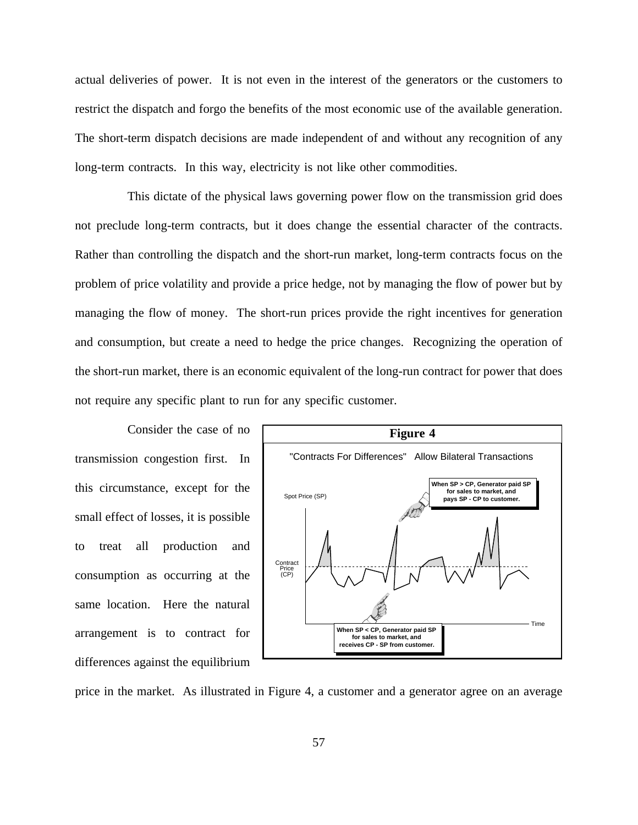actual deliveries of power. It is not even in the interest of the generators or the customers to restrict the dispatch and forgo the benefits of the most economic use of the available generation. The short-term dispatch decisions are made independent of and without any recognition of any long-term contracts. In this way, electricity is not like other commodities.

This dictate of the physical laws governing power flow on the transmission grid does not preclude long-term contracts, but it does change the essential character of the contracts. Rather than controlling the dispatch and the short-run market, long-term contracts focus on the problem of price volatility and provide a price hedge, not by managing the flow of power but by managing the flow of money. The short-run prices provide the right incentives for generation and consumption, but create a need to hedge the price changes. Recognizing the operation of the short-run market, there is an economic equivalent of the long-run contract for power that does not require any specific plant to run for any specific customer.

Consider the case of no transmission congestion first. In this circumstance, except for the small effect of losses, it is possible to treat all production and consumption as occurring at the same location. Here the natural arrangement is to contract for differences against the equilibrium



price in the market. As illustrated in Figure 4, a customer and a generator agree on an average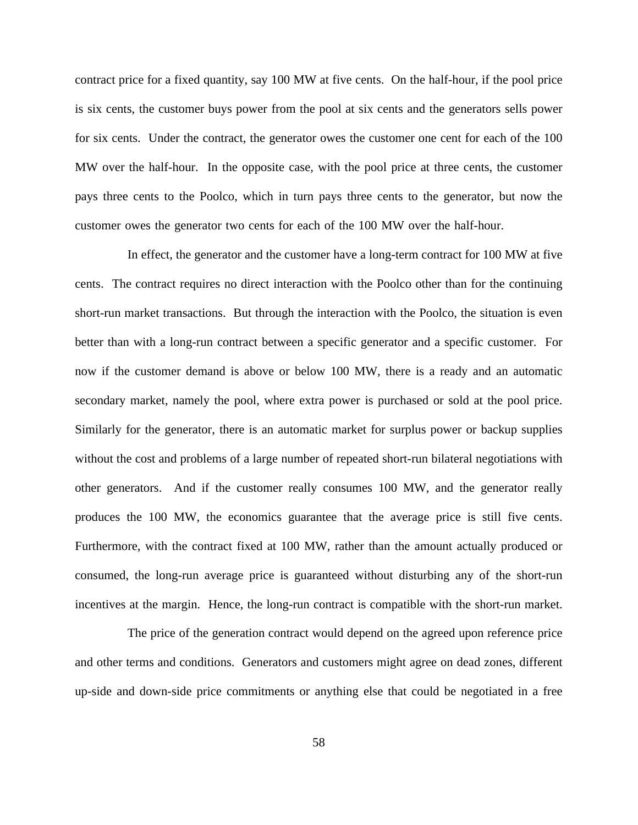contract price for a fixed quantity, say 100 MW at five cents. On the half-hour, if the pool price is six cents, the customer buys power from the pool at six cents and the generators sells power for six cents. Under the contract, the generator owes the customer one cent for each of the 100 MW over the half-hour. In the opposite case, with the pool price at three cents, the customer pays three cents to the Poolco, which in turn pays three cents to the generator, but now the customer owes the generator two cents for each of the 100 MW over the half-hour.

In effect, the generator and the customer have a long-term contract for 100 MW at five cents. The contract requires no direct interaction with the Poolco other than for the continuing short-run market transactions. But through the interaction with the Poolco, the situation is even better than with a long-run contract between a specific generator and a specific customer. For now if the customer demand is above or below 100 MW, there is a ready and an automatic secondary market, namely the pool, where extra power is purchased or sold at the pool price. Similarly for the generator, there is an automatic market for surplus power or backup supplies without the cost and problems of a large number of repeated short-run bilateral negotiations with other generators. And if the customer really consumes 100 MW, and the generator really produces the 100 MW, the economics guarantee that the average price is still five cents. Furthermore, with the contract fixed at 100 MW, rather than the amount actually produced or consumed, the long-run average price is guaranteed without disturbing any of the short-run incentives at the margin. Hence, the long-run contract is compatible with the short-run market.

The price of the generation contract would depend on the agreed upon reference price and other terms and conditions. Generators and customers might agree on dead zones, different up-side and down-side price commitments or anything else that could be negotiated in a free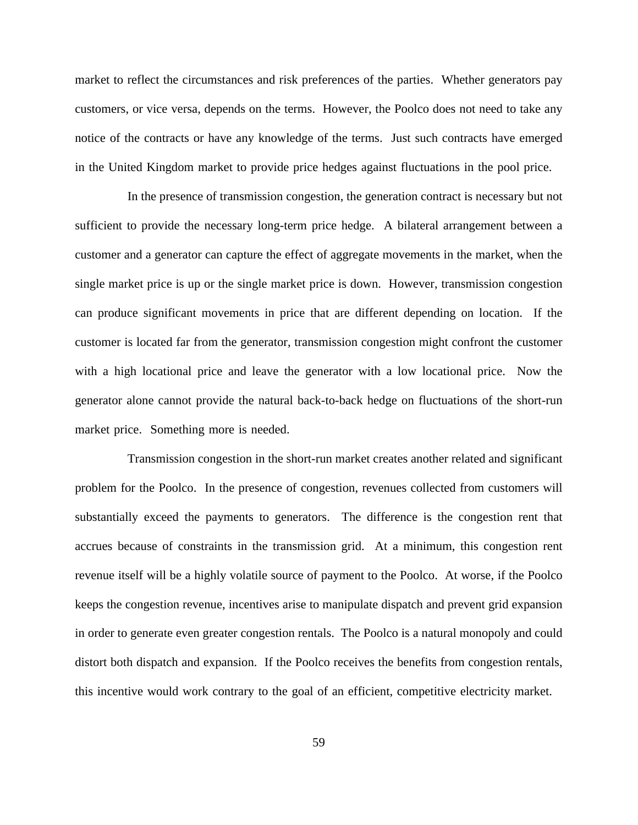market to reflect the circumstances and risk preferences of the parties. Whether generators pay customers, or vice versa, depends on the terms. However, the Poolco does not need to take any notice of the contracts or have any knowledge of the terms. Just such contracts have emerged in the United Kingdom market to provide price hedges against fluctuations in the pool price.

In the presence of transmission congestion, the generation contract is necessary but not sufficient to provide the necessary long-term price hedge. A bilateral arrangement between a customer and a generator can capture the effect of aggregate movements in the market, when the single market price is up or the single market price is down. However, transmission congestion can produce significant movements in price that are different depending on location. If the customer is located far from the generator, transmission congestion might confront the customer with a high locational price and leave the generator with a low locational price. Now the generator alone cannot provide the natural back-to-back hedge on fluctuations of the short-run market price. Something more is needed.

Transmission congestion in the short-run market creates another related and significant problem for the Poolco. In the presence of congestion, revenues collected from customers will substantially exceed the payments to generators. The difference is the congestion rent that accrues because of constraints in the transmission grid. At a minimum, this congestion rent revenue itself will be a highly volatile source of payment to the Poolco. At worse, if the Poolco keeps the congestion revenue, incentives arise to manipulate dispatch and prevent grid expansion in order to generate even greater congestion rentals. The Poolco is a natural monopoly and could distort both dispatch and expansion. If the Poolco receives the benefits from congestion rentals, this incentive would work contrary to the goal of an efficient, competitive electricity market.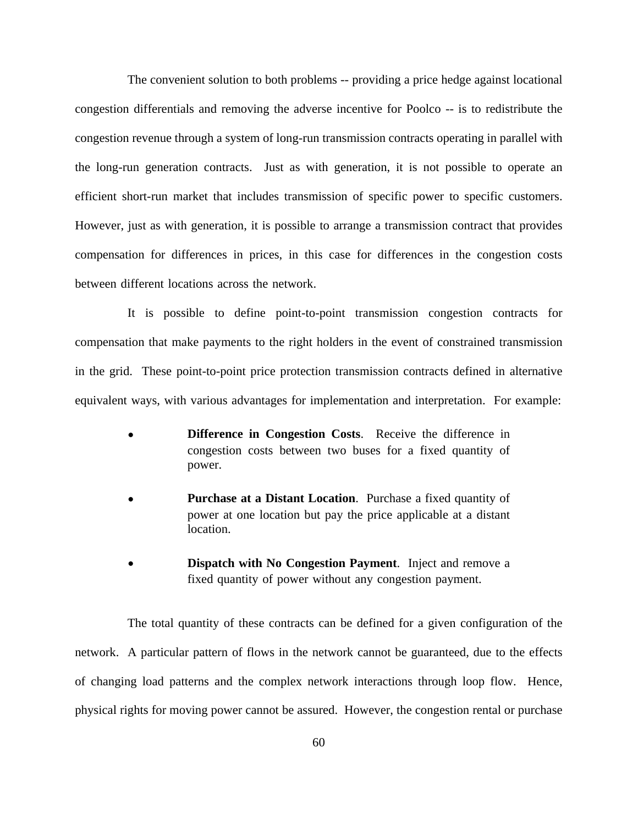The convenient solution to both problems -- providing a price hedge against locational congestion differentials and removing the adverse incentive for Poolco -- is to redistribute the congestion revenue through a system of long-run transmission contracts operating in parallel with the long-run generation contracts. Just as with generation, it is not possible to operate an efficient short-run market that includes transmission of specific power to specific customers. However, just as with generation, it is possible to arrange a transmission contract that provides compensation for differences in prices, in this case for differences in the congestion costs between different locations across the network.

It is possible to define point-to-point transmission congestion contracts for compensation that make payments to the right holders in the event of constrained transmission in the grid. These point-to-point price protection transmission contracts defined in alternative equivalent ways, with various advantages for implementation and interpretation. For example:

- **Difference in Congestion Costs.** Receive the difference in congestion costs between two buses for a fixed quantity of power.
- **Purchase at a Distant Location**. Purchase a fixed quantity of power at one location but pay the price applicable at a distant location.
- **Dispatch with No Congestion Payment**. Inject and remove a fixed quantity of power without any congestion payment.

The total quantity of these contracts can be defined for a given configuration of the network. A particular pattern of flows in the network cannot be guaranteed, due to the effects of changing load patterns and the complex network interactions through loop flow. Hence, physical rights for moving power cannot be assured. However, the congestion rental or purchase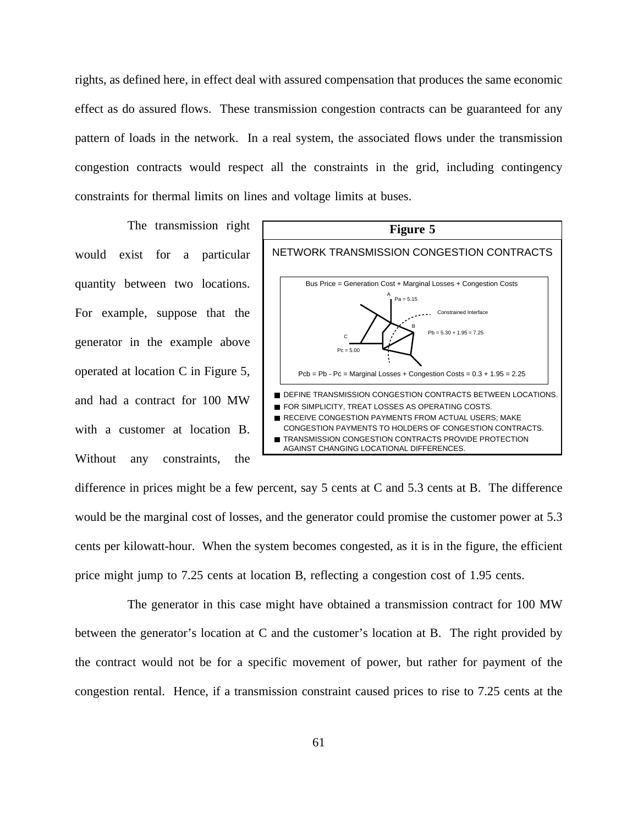rights, as defined here, in effect deal with assured compensation that produces the same economic effect as do assured flows. These transmission congestion contracts can be guaranteed for any pattern of loads in the network. In a real system, the associated flows under the transmission congestion contracts would respect all the constraints in the grid, including contingency constraints for thermal limits on lines and voltage limits at buses.

The transmission right would exist for a particular quantity between two locations. For example, suppose that the generator in the example above operated at location C in Figure 5, and had a contract for 100 MW with a customer at location B. Without any constraints, the



difference in prices might be a few percent, say 5 cents at C and 5.3 cents at B. The difference would be the marginal cost of losses, and the generator could promise the customer power at 5.3 cents per kilowatt-hour. When the system becomes congested, as it is in the figure, the efficient price might jump to 7.25 cents at location B, reflecting a congestion cost of 1.95 cents.

The generator in this case might have obtained a transmission contract for 100 MW between the generator's location at C and the customer's location at B. The right provided by the contract would not be for a specific movement of power, but rather for payment of the congestion rental. Hence, if a transmission constraint caused prices to rise to 7.25 cents at the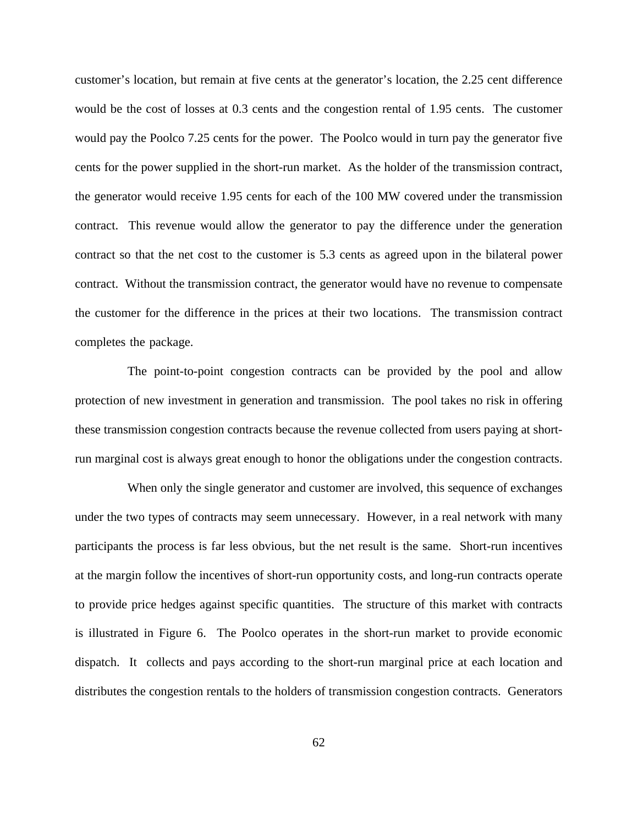customer's location, but remain at five cents at the generator's location, the 2.25 cent difference would be the cost of losses at 0.3 cents and the congestion rental of 1.95 cents. The customer would pay the Poolco 7.25 cents for the power. The Poolco would in turn pay the generator five cents for the power supplied in the short-run market. As the holder of the transmission contract, the generator would receive 1.95 cents for each of the 100 MW covered under the transmission contract. This revenue would allow the generator to pay the difference under the generation contract so that the net cost to the customer is 5.3 cents as agreed upon in the bilateral power contract. Without the transmission contract, the generator would have no revenue to compensate the customer for the difference in the prices at their two locations. The transmission contract completes the package.

The point-to-point congestion contracts can be provided by the pool and allow protection of new investment in generation and transmission. The pool takes no risk in offering these transmission congestion contracts because the revenue collected from users paying at shortrun marginal cost is always great enough to honor the obligations under the congestion contracts.

When only the single generator and customer are involved, this sequence of exchanges under the two types of contracts may seem unnecessary. However, in a real network with many participants the process is far less obvious, but the net result is the same. Short-run incentives at the margin follow the incentives of short-run opportunity costs, and long-run contracts operate to provide price hedges against specific quantities. The structure of this market with contracts is illustrated in Figure 6. The Poolco operates in the short-run market to provide economic dispatch. It collects and pays according to the short-run marginal price at each location and distributes the congestion rentals to the holders of transmission congestion contracts. Generators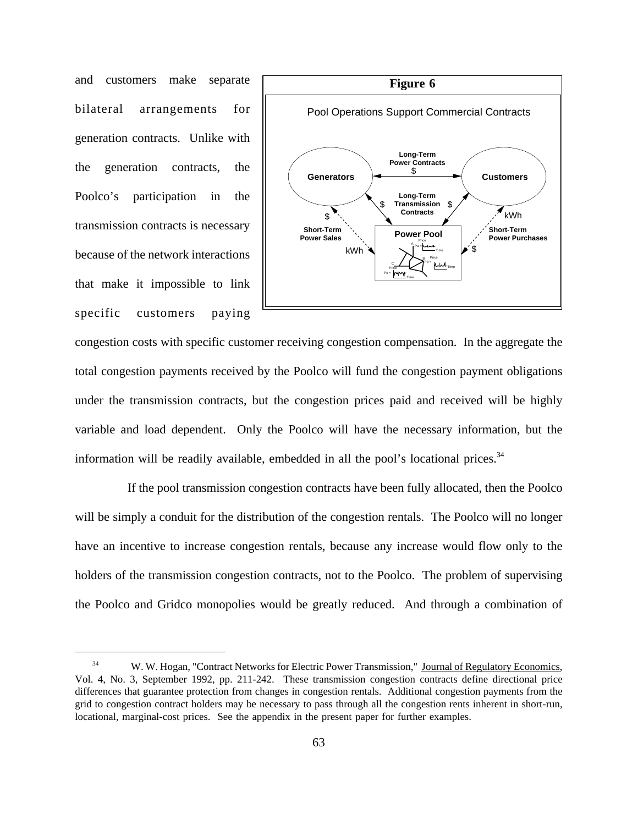and customers make separate bilateral arrangements for generation contracts. Unlike with the generation contracts, the Poolco's participation in the transmission contracts is necessary because of the network interactions that make it impossible to link specific customers paying



congestion costs with specific customer receiving congestion compensation. In the aggregate the total congestion payments received by the Poolco will fund the congestion payment obligations under the transmission contracts, but the congestion prices paid and received will be highly variable and load dependent. Only the Poolco will have the necessary information, but the information will be readily available, embedded in all the pool's locational prices. $34$ 

If the pool transmission congestion contracts have been fully allocated, then the Poolco will be simply a conduit for the distribution of the congestion rentals. The Poolco will no longer have an incentive to increase congestion rentals, because any increase would flow only to the holders of the transmission congestion contracts, not to the Poolco. The problem of supervising the Poolco and Gridco monopolies would be greatly reduced. And through a combination of

<sup>&</sup>lt;sup>34</sup> W. W. Hogan, "Contract Networks for Electric Power Transmission," Journal of Regulatory Economics, Vol. 4, No. 3, September 1992, pp. 211-242. These transmission congestion contracts define directional price differences that guarantee protection from changes in congestion rentals. Additional congestion payments from the grid to congestion contract holders may be necessary to pass through all the congestion rents inherent in short-run, locational, marginal-cost prices. See the appendix in the present paper for further examples.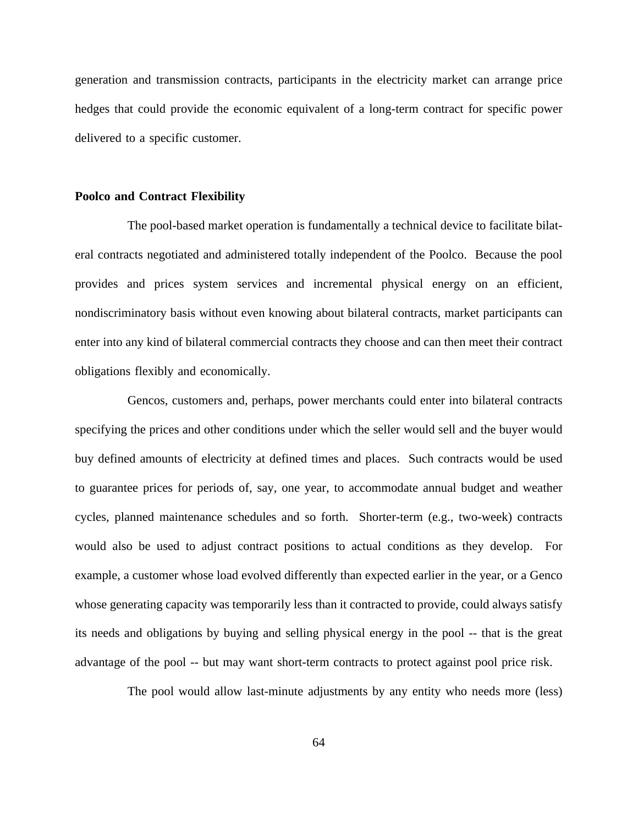generation and transmission contracts, participants in the electricity market can arrange price hedges that could provide the economic equivalent of a long-term contract for specific power delivered to a specific customer.

### **Poolco and Contract Flexibility**

The pool-based market operation is fundamentally a technical device to facilitate bilateral contracts negotiated and administered totally independent of the Poolco. Because the pool provides and prices system services and incremental physical energy on an efficient, nondiscriminatory basis without even knowing about bilateral contracts, market participants can enter into any kind of bilateral commercial contracts they choose and can then meet their contract obligations flexibly and economically.

Gencos, customers and, perhaps, power merchants could enter into bilateral contracts specifying the prices and other conditions under which the seller would sell and the buyer would buy defined amounts of electricity at defined times and places. Such contracts would be used to guarantee prices for periods of, say, one year, to accommodate annual budget and weather cycles, planned maintenance schedules and so forth. Shorter-term (e.g., two-week) contracts would also be used to adjust contract positions to actual conditions as they develop. For example, a customer whose load evolved differently than expected earlier in the year, or a Genco whose generating capacity was temporarily less than it contracted to provide, could always satisfy its needs and obligations by buying and selling physical energy in the pool -- that is the great advantage of the pool -- but may want short-term contracts to protect against pool price risk.

The pool would allow last-minute adjustments by any entity who needs more (less)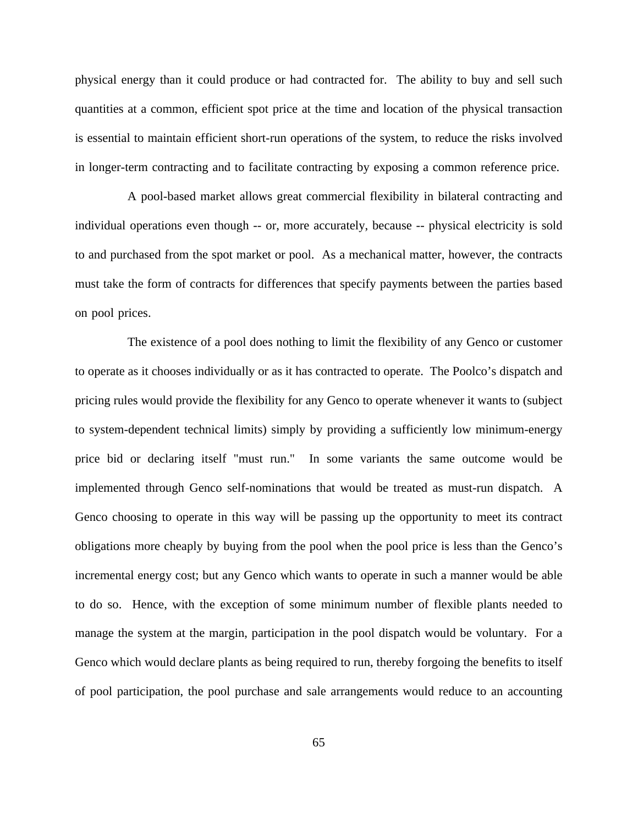physical energy than it could produce or had contracted for. The ability to buy and sell such quantities at a common, efficient spot price at the time and location of the physical transaction is essential to maintain efficient short-run operations of the system, to reduce the risks involved in longer-term contracting and to facilitate contracting by exposing a common reference price.

A pool-based market allows great commercial flexibility in bilateral contracting and individual operations even though -- or, more accurately, because -- physical electricity is sold to and purchased from the spot market or pool. As a mechanical matter, however, the contracts must take the form of contracts for differences that specify payments between the parties based on pool prices.

The existence of a pool does nothing to limit the flexibility of any Genco or customer to operate as it chooses individually or as it has contracted to operate. The Poolco's dispatch and pricing rules would provide the flexibility for any Genco to operate whenever it wants to (subject to system-dependent technical limits) simply by providing a sufficiently low minimum-energy price bid or declaring itself "must run." In some variants the same outcome would be implemented through Genco self-nominations that would be treated as must-run dispatch. A Genco choosing to operate in this way will be passing up the opportunity to meet its contract obligations more cheaply by buying from the pool when the pool price is less than the Genco's incremental energy cost; but any Genco which wants to operate in such a manner would be able to do so. Hence, with the exception of some minimum number of flexible plants needed to manage the system at the margin, participation in the pool dispatch would be voluntary. For a Genco which would declare plants as being required to run, thereby forgoing the benefits to itself of pool participation, the pool purchase and sale arrangements would reduce to an accounting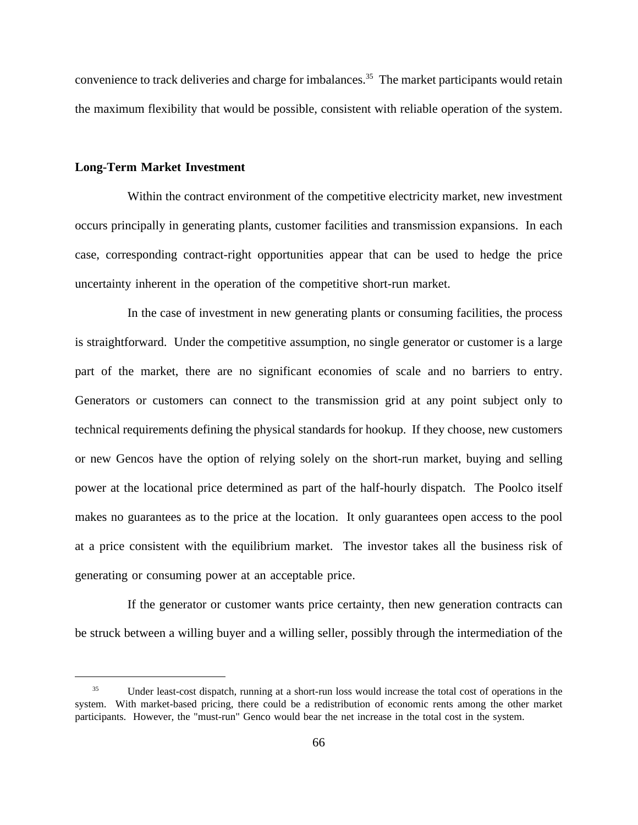convenience to track deliveries and charge for imbalances.<sup>35</sup> The market participants would retain the maximum flexibility that would be possible, consistent with reliable operation of the system.

#### **Long-Term Market Investment**

Within the contract environment of the competitive electricity market, new investment occurs principally in generating plants, customer facilities and transmission expansions. In each case, corresponding contract-right opportunities appear that can be used to hedge the price uncertainty inherent in the operation of the competitive short-run market.

In the case of investment in new generating plants or consuming facilities, the process is straightforward. Under the competitive assumption, no single generator or customer is a large part of the market, there are no significant economies of scale and no barriers to entry. Generators or customers can connect to the transmission grid at any point subject only to technical requirements defining the physical standards for hookup. If they choose, new customers or new Gencos have the option of relying solely on the short-run market, buying and selling power at the locational price determined as part of the half-hourly dispatch. The Poolco itself makes no guarantees as to the price at the location. It only guarantees open access to the pool at a price consistent with the equilibrium market. The investor takes all the business risk of generating or consuming power at an acceptable price.

If the generator or customer wants price certainty, then new generation contracts can be struck between a willing buyer and a willing seller, possibly through the intermediation of the

<sup>&</sup>lt;sup>35</sup> Under least-cost dispatch, running at a short-run loss would increase the total cost of operations in the system. With market-based pricing, there could be a redistribution of economic rents among the other market participants. However, the "must-run" Genco would bear the net increase in the total cost in the system.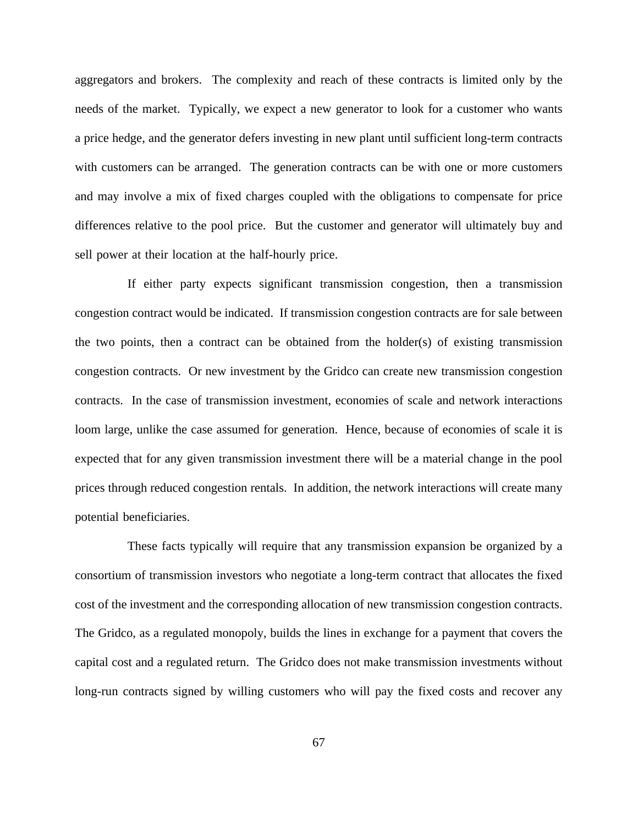aggregators and brokers. The complexity and reach of these contracts is limited only by the needs of the market. Typically, we expect a new generator to look for a customer who wants a price hedge, and the generator defers investing in new plant until sufficient long-term contracts with customers can be arranged. The generation contracts can be with one or more customers and may involve a mix of fixed charges coupled with the obligations to compensate for price differences relative to the pool price. But the customer and generator will ultimately buy and sell power at their location at the half-hourly price.

If either party expects significant transmission congestion, then a transmission congestion contract would be indicated. If transmission congestion contracts are for sale between the two points, then a contract can be obtained from the holder(s) of existing transmission congestion contracts. Or new investment by the Gridco can create new transmission congestion contracts. In the case of transmission investment, economies of scale and network interactions loom large, unlike the case assumed for generation. Hence, because of economies of scale it is expected that for any given transmission investment there will be a material change in the pool prices through reduced congestion rentals. In addition, the network interactions will create many potential beneficiaries.

These facts typically will require that any transmission expansion be organized by a consortium of transmission investors who negotiate a long-term contract that allocates the fixed cost of the investment and the corresponding allocation of new transmission congestion contracts. The Gridco, as a regulated monopoly, builds the lines in exchange for a payment that covers the capital cost and a regulated return. The Gridco does not make transmission investments without long-run contracts signed by willing customers who will pay the fixed costs and recover any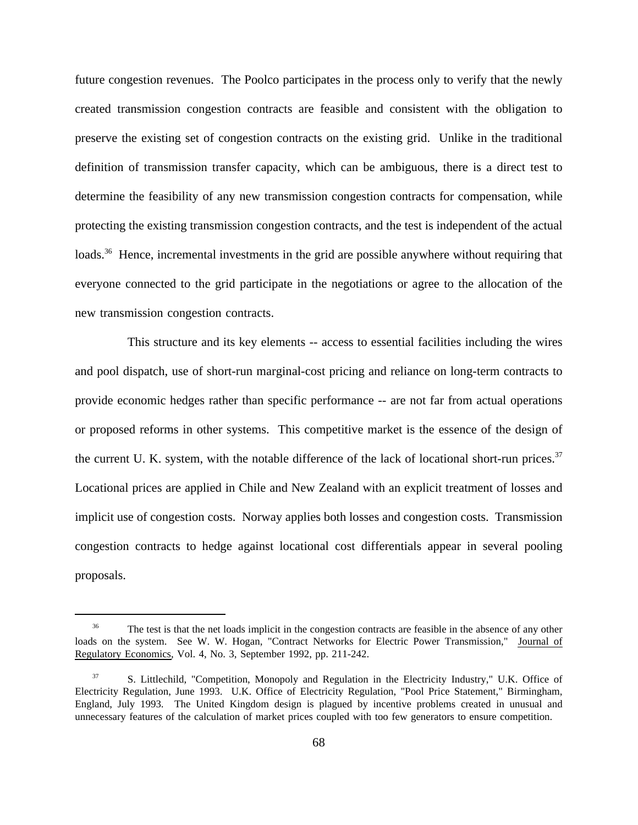future congestion revenues. The Poolco participates in the process only to verify that the newly created transmission congestion contracts are feasible and consistent with the obligation to preserve the existing set of congestion contracts on the existing grid. Unlike in the traditional definition of transmission transfer capacity, which can be ambiguous, there is a direct test to determine the feasibility of any new transmission congestion contracts for compensation, while protecting the existing transmission congestion contracts, and the test is independent of the actual loads.<sup>36</sup> Hence, incremental investments in the grid are possible anywhere without requiring that everyone connected to the grid participate in the negotiations or agree to the allocation of the new transmission congestion contracts.

This structure and its key elements -- access to essential facilities including the wires and pool dispatch, use of short-run marginal-cost pricing and reliance on long-term contracts to provide economic hedges rather than specific performance -- are not far from actual operations or proposed reforms in other systems. This competitive market is the essence of the design of the current U. K. system, with the notable difference of the lack of locational short-run prices.<sup>37</sup> Locational prices are applied in Chile and New Zealand with an explicit treatment of losses and implicit use of congestion costs. Norway applies both losses and congestion costs. Transmission congestion contracts to hedge against locational cost differentials appear in several pooling proposals.

<sup>&</sup>lt;sup>36</sup> The test is that the net loads implicit in the congestion contracts are feasible in the absence of any other loads on the system. See W. W. Hogan, "Contract Networks for Electric Power Transmission," Journal of Regulatory Economics, Vol. 4, No. 3, September 1992, pp. 211-242.

<sup>37</sup> S. Littlechild, "Competition, Monopoly and Regulation in the Electricity Industry," U.K. Office of Electricity Regulation, June 1993. U.K. Office of Electricity Regulation, "Pool Price Statement," Birmingham, England, July 1993. The United Kingdom design is plagued by incentive problems created in unusual and unnecessary features of the calculation of market prices coupled with too few generators to ensure competition.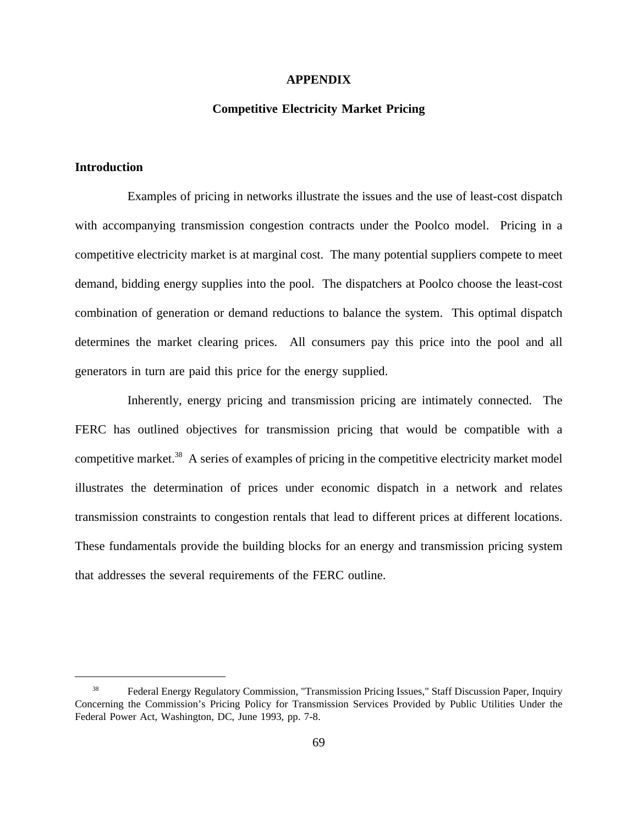#### **APPENDIX**

# **Competitive Electricity Market Pricing**

# **Introduction**

Examples of pricing in networks illustrate the issues and the use of least-cost dispatch with accompanying transmission congestion contracts under the Poolco model. Pricing in a competitive electricity market is at marginal cost. The many potential suppliers compete to meet demand, bidding energy supplies into the pool. The dispatchers at Poolco choose the least-cost combination of generation or demand reductions to balance the system. This optimal dispatch determines the market clearing prices. All consumers pay this price into the pool and all generators in turn are paid this price for the energy supplied.

Inherently, energy pricing and transmission pricing are intimately connected. The FERC has outlined objectives for transmission pricing that would be compatible with a competitive market.<sup>38</sup> A series of examples of pricing in the competitive electricity market model illustrates the determination of prices under economic dispatch in a network and relates transmission constraints to congestion rentals that lead to different prices at different locations. These fundamentals provide the building blocks for an energy and transmission pricing system that addresses the several requirements of the FERC outline.

<sup>&</sup>lt;sup>38</sup> Federal Energy Regulatory Commission, "Transmission Pricing Issues," Staff Discussion Paper, Inquiry Concerning the Commission's Pricing Policy for Transmission Services Provided by Public Utilities Under the Federal Power Act, Washington, DC, June 1993, pp. 7-8.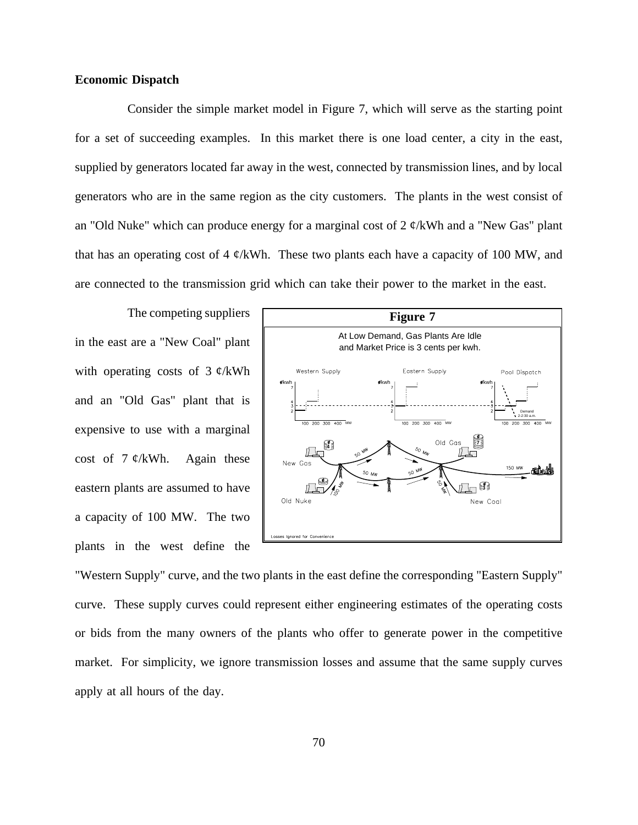# **Economic Dispatch**

Consider the simple market model in Figure 7, which will serve as the starting point for a set of succeeding examples. In this market there is one load center, a city in the east, supplied by generators located far away in the west, connected by transmission lines, and by local generators who are in the same region as the city customers. The plants in the west consist of an "Old Nuke" which can produce energy for a marginal cost of  $2 \frac{\alpha}{kWh}$  and a "New Gas" plant that has an operating cost of 4  $\phi$ /kWh. These two plants each have a capacity of 100 MW, and are connected to the transmission grid which can take their power to the market in the east.

The competing suppliers in the east are a "New Coal" plant with operating costs of  $3 \phi$ /kWh and an "Old Gas" plant that is expensive to use with a marginal cost of  $7 \frac{\cancel{e}}{kWh}$ . Again these eastern plants are assumed to have a capacity of 100 MW. The two plants in the west define the



"Western Supply" curve, and the two plants in the east define the corresponding "Eastern Supply" curve. These supply curves could represent either engineering estimates of the operating costs or bids from the many owners of the plants who offer to generate power in the competitive market. For simplicity, we ignore transmission losses and assume that the same supply curves apply at all hours of the day.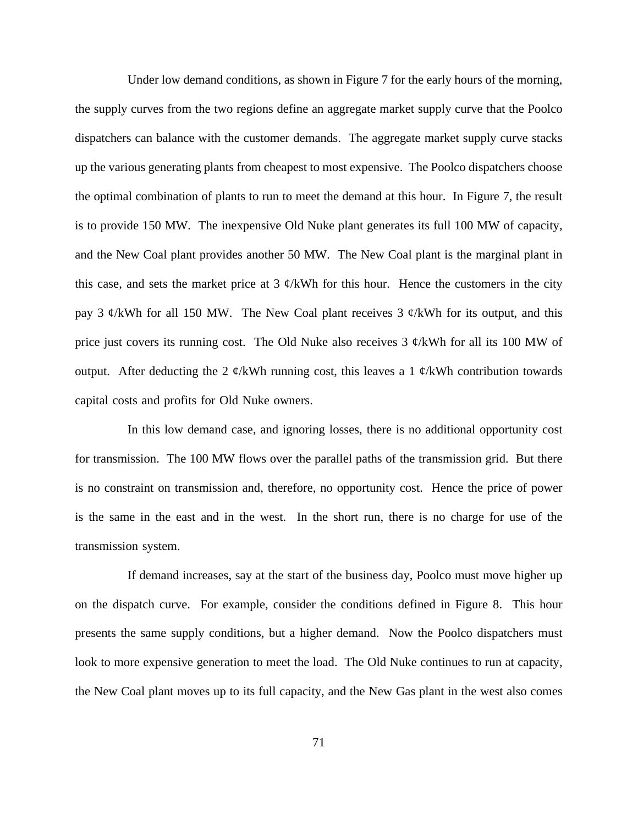Under low demand conditions, as shown in Figure 7 for the early hours of the morning, the supply curves from the two regions define an aggregate market supply curve that the Poolco dispatchers can balance with the customer demands. The aggregate market supply curve stacks up the various generating plants from cheapest to most expensive. The Poolco dispatchers choose the optimal combination of plants to run to meet the demand at this hour. In Figure 7, the result is to provide 150 MW. The inexpensive Old Nuke plant generates its full 100 MW of capacity, and the New Coal plant provides another 50 MW. The New Coal plant is the marginal plant in this case, and sets the market price at 3  $\phi$ /kWh for this hour. Hence the customers in the city pay 3  $\mathcal{C}/kWh$  for all 150 MW. The New Coal plant receives 3  $\mathcal{C}/kWh$  for its output, and this price just covers its running cost. The Old Nuke also receives  $3 \phi$ /kWh for all its 100 MW of output. After deducting the 2  $\phi$ /kWh running cost, this leaves a 1  $\phi$ /kWh contribution towards capital costs and profits for Old Nuke owners.

In this low demand case, and ignoring losses, there is no additional opportunity cost for transmission. The 100 MW flows over the parallel paths of the transmission grid. But there is no constraint on transmission and, therefore, no opportunity cost. Hence the price of power is the same in the east and in the west. In the short run, there is no charge for use of the transmission system.

If demand increases, say at the start of the business day, Poolco must move higher up on the dispatch curve. For example, consider the conditions defined in Figure 8. This hour presents the same supply conditions, but a higher demand. Now the Poolco dispatchers must look to more expensive generation to meet the load. The Old Nuke continues to run at capacity, the New Coal plant moves up to its full capacity, and the New Gas plant in the west also comes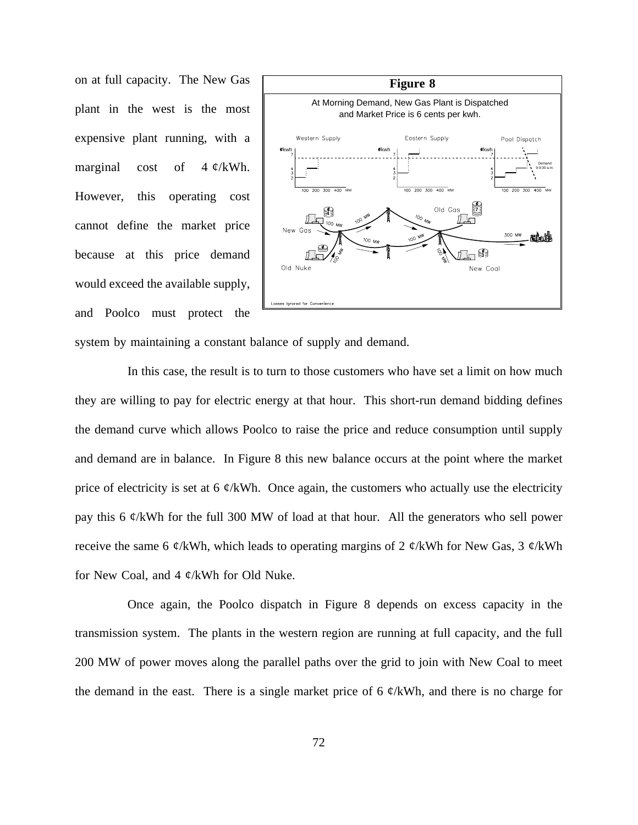on at full capacity. The New Gas plant in the west is the most expensive plant running, with a marginal cost of  $4 \frac{\alpha}{\text{KWh}}$ . However, this operating cost cannot define the market price because at this price demand would exceed the available supply, and Poolco must protect the



system by maintaining a constant balance of supply and demand.

In this case, the result is to turn to those customers who have set a limit on how much they are willing to pay for electric energy at that hour. This short-run demand bidding defines the demand curve which allows Poolco to raise the price and reduce consumption until supply and demand are in balance. In Figure 8 this new balance occurs at the point where the market price of electricity is set at 6  $\phi$ /kWh. Once again, the customers who actually use the electricity pay this 6 ¢/kWh for the full 300 MW of load at that hour. All the generators who sell power receive the same 6  $\phi$ /kWh, which leads to operating margins of 2  $\phi$ /kWh for New Gas, 3  $\phi$ /kWh for New Coal, and 4 ¢/kWh for Old Nuke.

Once again, the Poolco dispatch in Figure 8 depends on excess capacity in the transmission system. The plants in the western region are running at full capacity, and the full 200 MW of power moves along the parallel paths over the grid to join with New Coal to meet the demand in the east. There is a single market price of 6  $\phi$ /kWh, and there is no charge for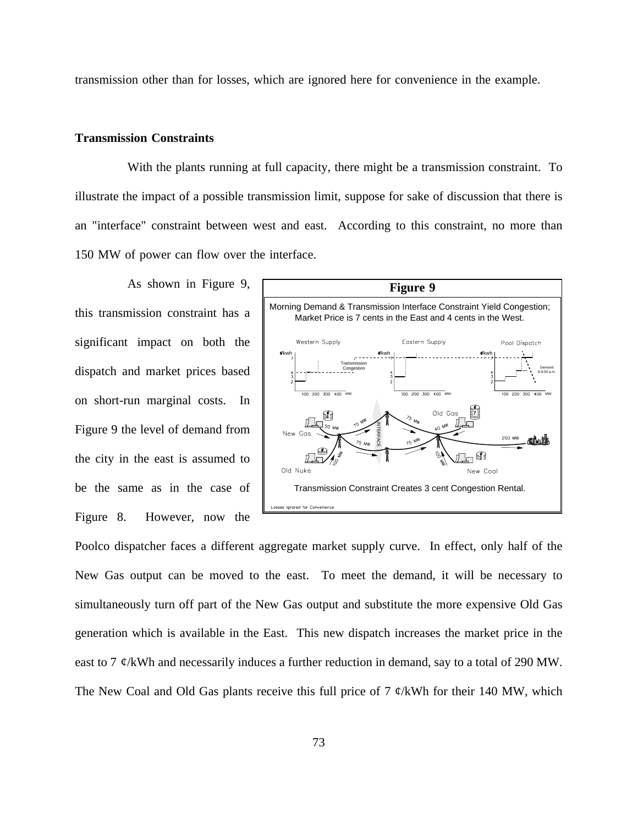transmission other than for losses, which are ignored here for convenience in the example.

# **Transmission Constraints**

With the plants running at full capacity, there might be a transmission constraint. To illustrate the impact of a possible transmission limit, suppose for sake of discussion that there is an "interface" constraint between west and east. According to this constraint, no more than 150 MW of power can flow over the interface.

As shown in Figure 9, this transmission constraint has a significant impact on both the dispatch and market prices based on short-run marginal costs. In Figure 9 the level of demand from the city in the east is assumed to be the same as in the case of Figure 8. However, now the



Poolco dispatcher faces a different aggregate market supply curve. In effect, only half of the New Gas output can be moved to the east. To meet the demand, it will be necessary to simultaneously turn off part of the New Gas output and substitute the more expensive Old Gas generation which is available in the East. This new dispatch increases the market price in the east to 7  $\varphi$ /kWh and necessarily induces a further reduction in demand, say to a total of 290 MW. The New Coal and Old Gas plants receive this full price of 7  $\varphi$ /kWh for their 140 MW, which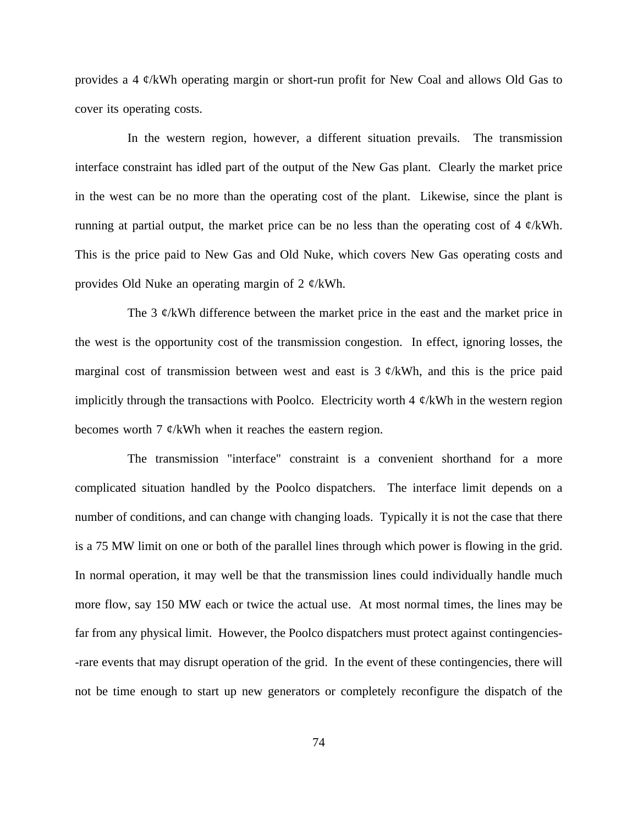provides a 4 ¢/kWh operating margin or short-run profit for New Coal and allows Old Gas to cover its operating costs.

In the western region, however, a different situation prevails. The transmission interface constraint has idled part of the output of the New Gas plant. Clearly the market price in the west can be no more than the operating cost of the plant. Likewise, since the plant is running at partial output, the market price can be no less than the operating cost of 4  $\mathcal{O}/kWh$ . This is the price paid to New Gas and Old Nuke, which covers New Gas operating costs and provides Old Nuke an operating margin of 2 ¢/kWh.

The 3  $\mathcal{C}/k$ Wh difference between the market price in the east and the market price in the west is the opportunity cost of the transmission congestion. In effect, ignoring losses, the marginal cost of transmission between west and east is  $3 \phi$ /kWh, and this is the price paid implicitly through the transactions with Poolco. Electricity worth 4  $\phi$ /kWh in the western region becomes worth 7  $\phi$ /kWh when it reaches the eastern region.

The transmission "interface" constraint is a convenient shorthand for a more complicated situation handled by the Poolco dispatchers. The interface limit depends on a number of conditions, and can change with changing loads. Typically it is not the case that there is a 75 MW limit on one or both of the parallel lines through which power is flowing in the grid. In normal operation, it may well be that the transmission lines could individually handle much more flow, say 150 MW each or twice the actual use. At most normal times, the lines may be far from any physical limit. However, the Poolco dispatchers must protect against contingencies- -rare events that may disrupt operation of the grid. In the event of these contingencies, there will not be time enough to start up new generators or completely reconfigure the dispatch of the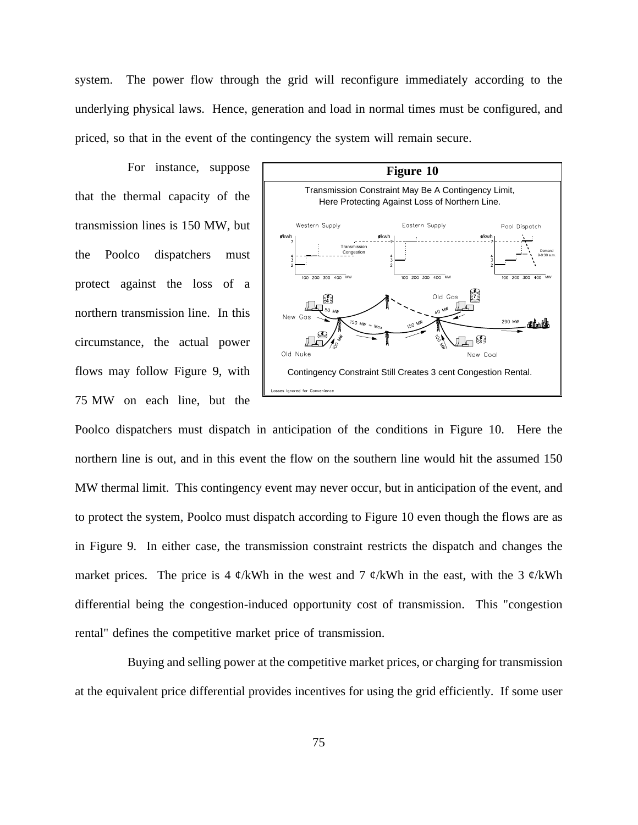system. The power flow through the grid will reconfigure immediately according to the underlying physical laws. Hence, generation and load in normal times must be configured, and priced, so that in the event of the contingency the system will remain secure.

For instance, suppose that the thermal capacity of the transmission lines is 150 MW, but the Poolco dispatchers must protect against the loss of a northern transmission line. In this circumstance, the actual power flows may follow Figure 9, with 75 MW on each line, but the



Poolco dispatchers must dispatch in anticipation of the conditions in Figure 10. Here the northern line is out, and in this event the flow on the southern line would hit the assumed 150 MW thermal limit. This contingency event may never occur, but in anticipation of the event, and to protect the system, Poolco must dispatch according to Figure 10 even though the flows are as in Figure 9. In either case, the transmission constraint restricts the dispatch and changes the market prices. The price is 4  $\phi$ /kWh in the west and 7  $\phi$ /kWh in the east, with the 3  $\phi$ /kWh differential being the congestion-induced opportunity cost of transmission. This "congestion rental" defines the competitive market price of transmission.

Buying and selling power at the competitive market prices, or charging for transmission at the equivalent price differential provides incentives for using the grid efficiently. If some user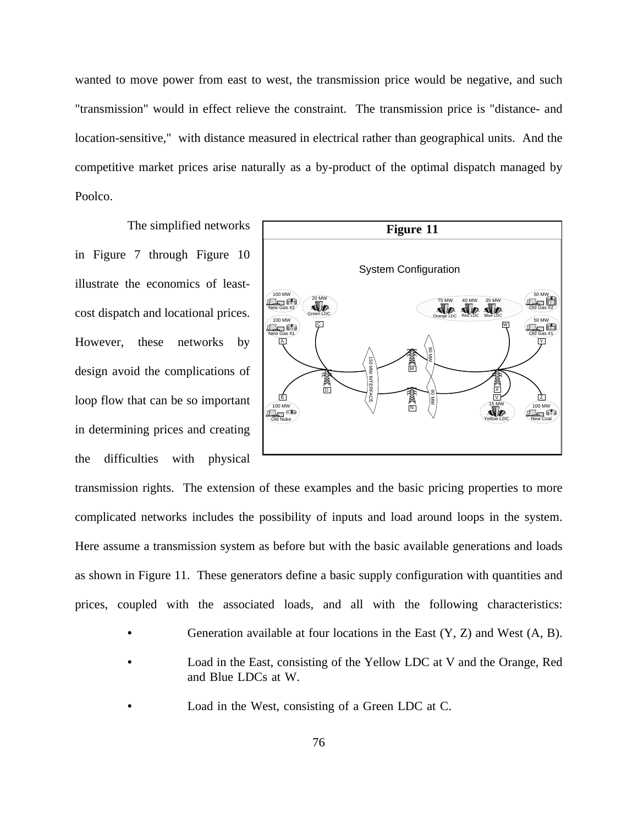wanted to move power from east to west, the transmission price would be negative, and such "transmission" would in effect relieve the constraint. The transmission price is "distance- and location-sensitive," with distance measured in electrical rather than geographical units. And the competitive market prices arise naturally as a by-product of the optimal dispatch managed by Poolco.

The simplified networks in Figure 7 through Figure 10 illustrate the economics of leastcost dispatch and locational prices. However, these networks by design avoid the complications of loop flow that can be so important in determining prices and creating the difficulties with physical



transmission rights. The extension of these examples and the basic pricing properties to more complicated networks includes the possibility of inputs and load around loops in the system. Here assume a transmission system as before but with the basic available generations and loads as shown in Figure 11. These generators define a basic supply configuration with quantities and prices, coupled with the associated loads, and all with the following characteristics:

- Generation available at four locations in the East  $(Y, Z)$  and West  $(A, B)$ .
- **•** Load in the East, consisting of the Yellow LDC at V and the Orange, Red and Blue LDCs at W.
- **•** Load in the West, consisting of a Green LDC at C.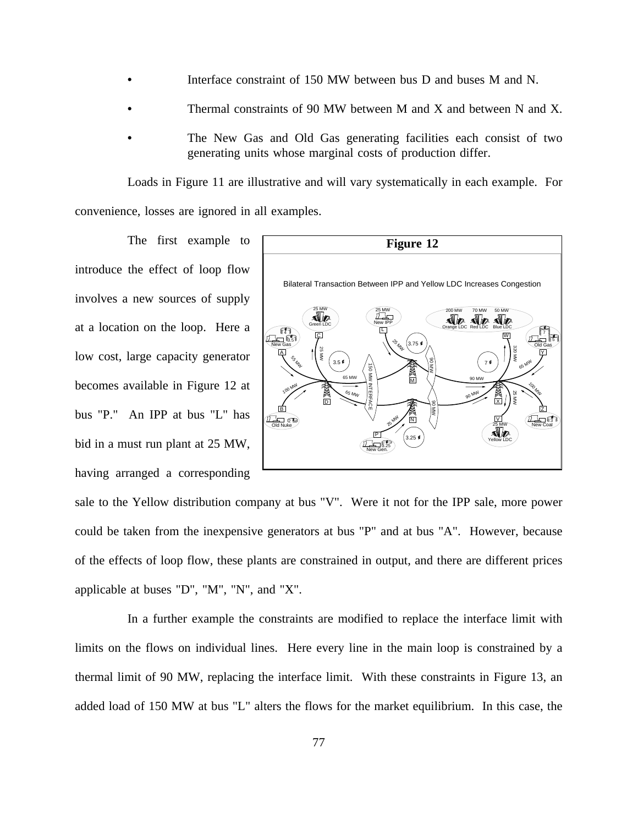- **•** Interface constraint of 150 MW between bus D and buses M and N.
- Thermal constraints of 90 MW between M and X and between N and X.
- The New Gas and Old Gas generating facilities each consist of two generating units whose marginal costs of production differ.

Loads in Figure 11 are illustrative and will vary systematically in each example. For convenience, losses are ignored in all examples.

The first example to introduce the effect of loop flow involves a new sources of supply at a location on the loop. Here a low cost, large capacity generator becomes available in Figure 12 at bus "P." An IPP at bus "L" has bid in a must run plant at 25 MW, having arranged a corresponding



sale to the Yellow distribution company at bus "V". Were it not for the IPP sale, more power could be taken from the inexpensive generators at bus "P" and at bus "A". However, because of the effects of loop flow, these plants are constrained in output, and there are different prices applicable at buses "D", "M", "N", and "X".

In a further example the constraints are modified to replace the interface limit with limits on the flows on individual lines. Here every line in the main loop is constrained by a thermal limit of 90 MW, replacing the interface limit. With these constraints in Figure 13, an added load of 150 MW at bus "L" alters the flows for the market equilibrium. In this case, the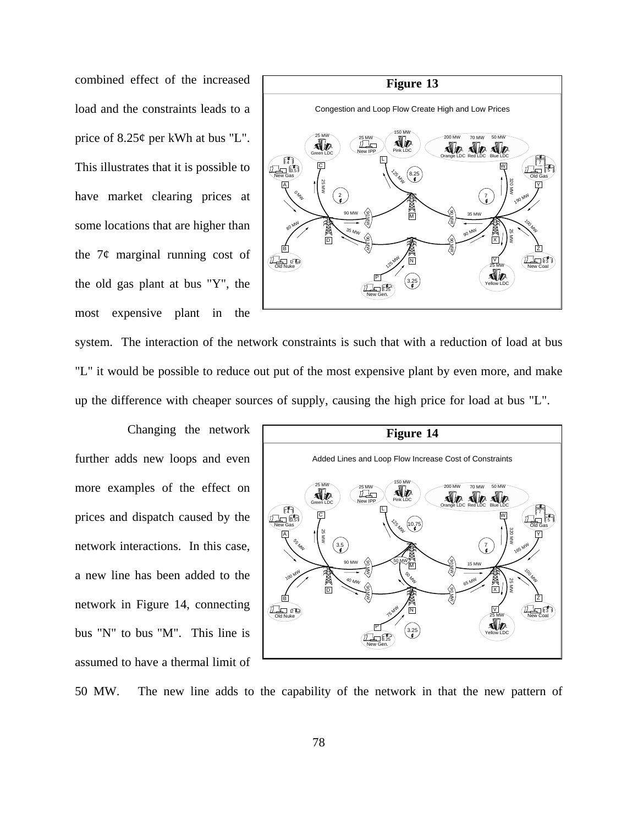combined effect of the increased load and the constraints leads to a price of 8.25¢ per kWh at bus "L". This illustrates that it is possible to have market clearing prices at some locations that are higher than the  $7¢$  marginal running cost of the old gas plant at bus "Y", the most expensive plant in the



system. The interaction of the network constraints is such that with a reduction of load at bus "L" it would be possible to reduce out put of the most expensive plant by even more, and make up the difference with cheaper sources of supply, causing the high price for load at bus "L".

Changing the network further adds new loops and even more examples of the effect on prices and dispatch caused by the network interactions. In this case, a new line has been added to the network in Figure 14, connecting bus "N" to bus "M". This line is assumed to have a thermal limit of



50 MW. The new line adds to the capability of the network in that the new pattern of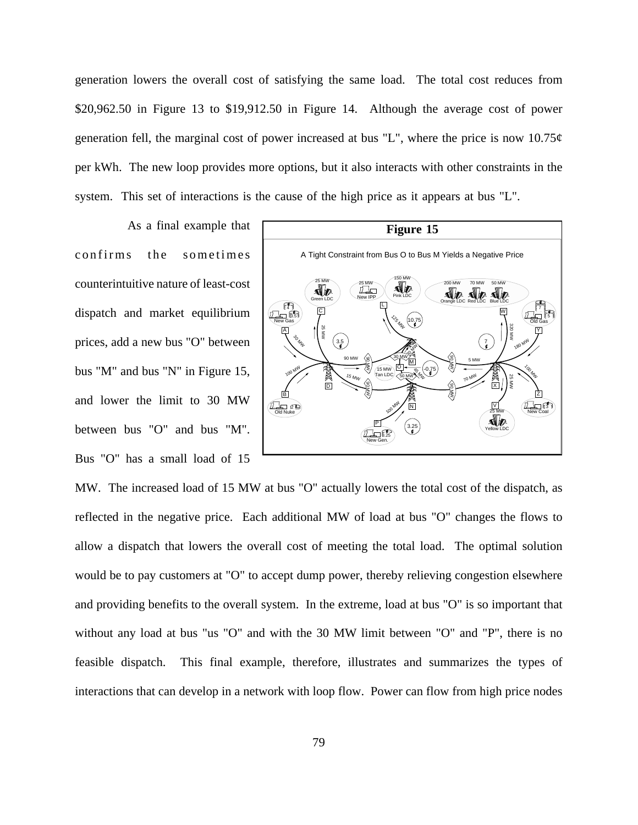generation lowers the overall cost of satisfying the same load. The total cost reduces from \$20,962.50 in Figure 13 to \$19,912.50 in Figure 14. Although the average cost of power generation fell, the marginal cost of power increased at bus "L", where the price is now  $10.75\phi$ per kWh. The new loop provides more options, but it also interacts with other constraints in the system. This set of interactions is the cause of the high price as it appears at bus "L".

As a final example that confirms the sometimes counterintuitive nature of least-cost dispatch and market equilibrium prices, add a new bus "O" between bus "M" and bus "N" in Figure 15, and lower the limit to 30 MW between bus "O" and bus "M". Bus "O" has a small load of 15



MW. The increased load of 15 MW at bus "O" actually lowers the total cost of the dispatch, as reflected in the negative price. Each additional MW of load at bus "O" changes the flows to allow a dispatch that lowers the overall cost of meeting the total load. The optimal solution would be to pay customers at "O" to accept dump power, thereby relieving congestion elsewhere and providing benefits to the overall system. In the extreme, load at bus "O" is so important that without any load at bus "us "O" and with the 30 MW limit between "O" and "P", there is no feasible dispatch. This final example, therefore, illustrates and summarizes the types of interactions that can develop in a network with loop flow. Power can flow from high price nodes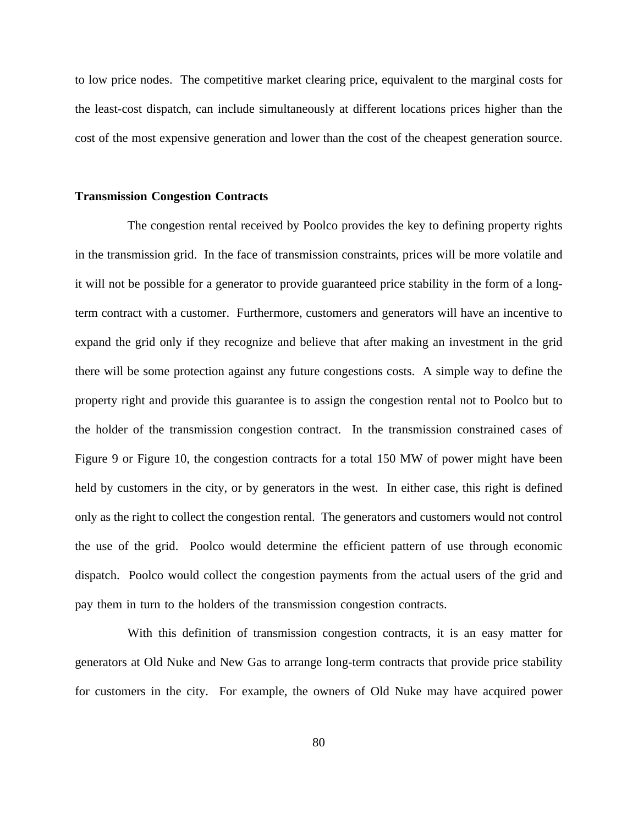to low price nodes. The competitive market clearing price, equivalent to the marginal costs for the least-cost dispatch, can include simultaneously at different locations prices higher than the cost of the most expensive generation and lower than the cost of the cheapest generation source.

#### **Transmission Congestion Contracts**

The congestion rental received by Poolco provides the key to defining property rights in the transmission grid. In the face of transmission constraints, prices will be more volatile and it will not be possible for a generator to provide guaranteed price stability in the form of a longterm contract with a customer. Furthermore, customers and generators will have an incentive to expand the grid only if they recognize and believe that after making an investment in the grid there will be some protection against any future congestions costs. A simple way to define the property right and provide this guarantee is to assign the congestion rental not to Poolco but to the holder of the transmission congestion contract. In the transmission constrained cases of Figure 9 or Figure 10, the congestion contracts for a total 150 MW of power might have been held by customers in the city, or by generators in the west. In either case, this right is defined only as the right to collect the congestion rental. The generators and customers would not control the use of the grid. Poolco would determine the efficient pattern of use through economic dispatch. Poolco would collect the congestion payments from the actual users of the grid and pay them in turn to the holders of the transmission congestion contracts.

With this definition of transmission congestion contracts, it is an easy matter for generators at Old Nuke and New Gas to arrange long-term contracts that provide price stability for customers in the city. For example, the owners of Old Nuke may have acquired power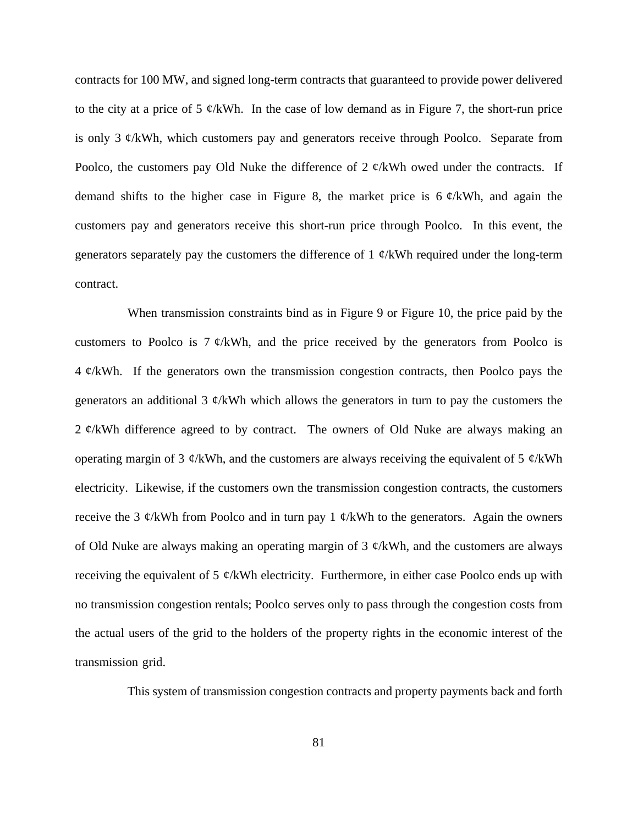contracts for 100 MW, and signed long-term contracts that guaranteed to provide power delivered to the city at a price of 5  $\mathcal{C}/kWh$ . In the case of low demand as in Figure 7, the short-run price is only 3  $\mathcal{C}/kWh$ , which customers pay and generators receive through Poolco. Separate from Poolco, the customers pay Old Nuke the difference of 2  $\alpha$ /kWh owed under the contracts. If demand shifts to the higher case in Figure 8, the market price is  $6 \frac{\cancel{e}}{kWh}$ , and again the customers pay and generators receive this short-run price through Poolco. In this event, the generators separately pay the customers the difference of 1  $\phi$ /kWh required under the long-term contract.

When transmission constraints bind as in Figure 9 or Figure 10, the price paid by the customers to Poolco is  $7 \phi$ /kWh, and the price received by the generators from Poolco is  $4 \phi$ /kWh. If the generators own the transmission congestion contracts, then Poolco pays the generators an additional 3  $\phi$ /kWh which allows the generators in turn to pay the customers the 2  $\phi$ /kWh difference agreed to by contract. The owners of Old Nuke are always making an operating margin of 3  $\phi$ /kWh, and the customers are always receiving the equivalent of 5  $\phi$ /kWh electricity. Likewise, if the customers own the transmission congestion contracts, the customers receive the 3  $\mathcal{C}/kWh$  from Poolco and in turn pay 1  $\mathcal{C}/kWh$  to the generators. Again the owners of Old Nuke are always making an operating margin of 3  $\phi$ /kWh, and the customers are always receiving the equivalent of 5  $\phi$ /kWh electricity. Furthermore, in either case Poolco ends up with no transmission congestion rentals; Poolco serves only to pass through the congestion costs from the actual users of the grid to the holders of the property rights in the economic interest of the transmission grid.

This system of transmission congestion contracts and property payments back and forth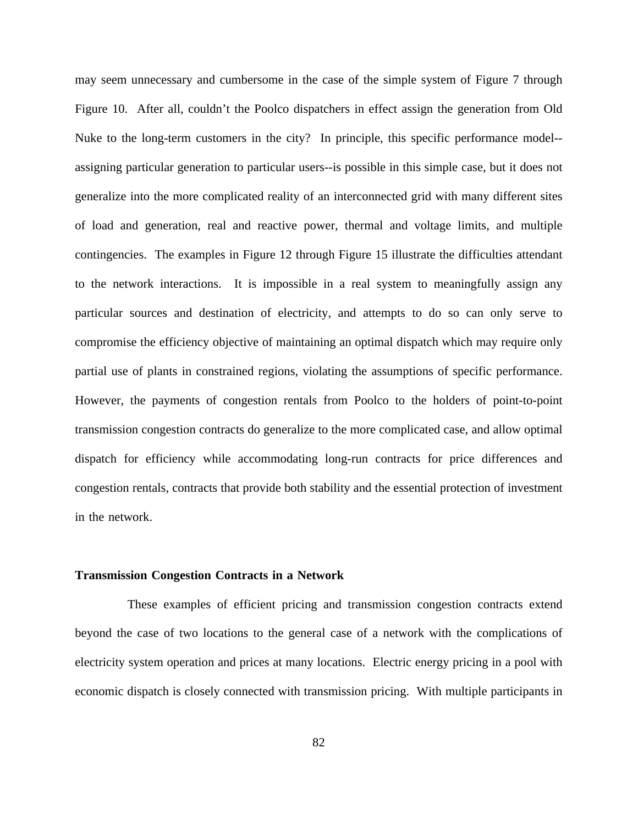may seem unnecessary and cumbersome in the case of the simple system of Figure 7 through Figure 10. After all, couldn't the Poolco dispatchers in effect assign the generation from Old Nuke to the long-term customers in the city? In principle, this specific performance model- assigning particular generation to particular users--is possible in this simple case, but it does not generalize into the more complicated reality of an interconnected grid with many different sites of load and generation, real and reactive power, thermal and voltage limits, and multiple contingencies. The examples in Figure 12 through Figure 15 illustrate the difficulties attendant to the network interactions. It is impossible in a real system to meaningfully assign any particular sources and destination of electricity, and attempts to do so can only serve to compromise the efficiency objective of maintaining an optimal dispatch which may require only partial use of plants in constrained regions, violating the assumptions of specific performance. However, the payments of congestion rentals from Poolco to the holders of point-to-point transmission congestion contracts do generalize to the more complicated case, and allow optimal dispatch for efficiency while accommodating long-run contracts for price differences and congestion rentals, contracts that provide both stability and the essential protection of investment in the network.

### **Transmission Congestion Contracts in a Network**

These examples of efficient pricing and transmission congestion contracts extend beyond the case of two locations to the general case of a network with the complications of electricity system operation and prices at many locations. Electric energy pricing in a pool with economic dispatch is closely connected with transmission pricing. With multiple participants in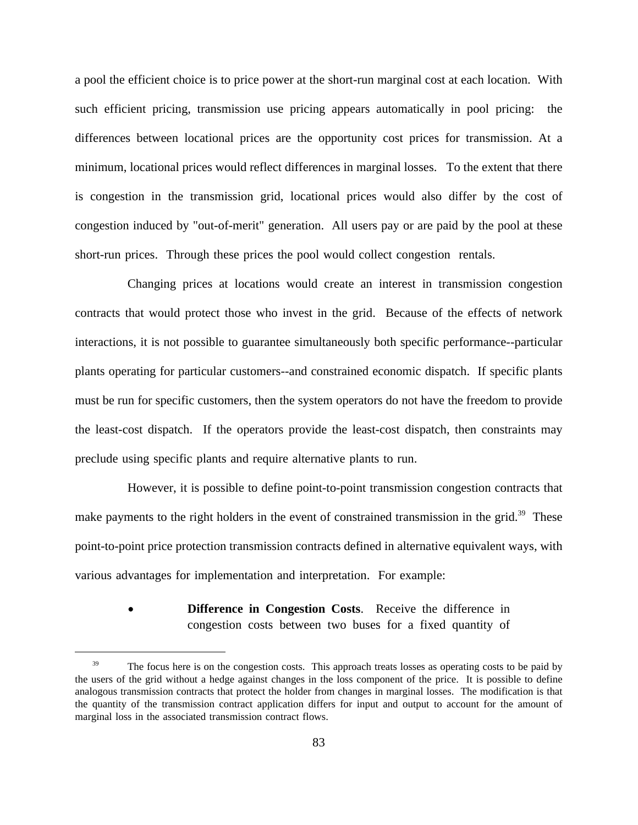a pool the efficient choice is to price power at the short-run marginal cost at each location. With such efficient pricing, transmission use pricing appears automatically in pool pricing: the differences between locational prices are the opportunity cost prices for transmission. At a minimum, locational prices would reflect differences in marginal losses. To the extent that there is congestion in the transmission grid, locational prices would also differ by the cost of congestion induced by "out-of-merit" generation. All users pay or are paid by the pool at these short-run prices. Through these prices the pool would collect congestion rentals.

Changing prices at locations would create an interest in transmission congestion contracts that would protect those who invest in the grid. Because of the effects of network interactions, it is not possible to guarantee simultaneously both specific performance--particular plants operating for particular customers--and constrained economic dispatch. If specific plants must be run for specific customers, then the system operators do not have the freedom to provide the least-cost dispatch. If the operators provide the least-cost dispatch, then constraints may preclude using specific plants and require alternative plants to run.

However, it is possible to define point-to-point transmission congestion contracts that make payments to the right holders in the event of constrained transmission in the grid.<sup>39</sup> These point-to-point price protection transmission contracts defined in alternative equivalent ways, with various advantages for implementation and interpretation. For example:

> **Difference in Congestion Costs.** Receive the difference in congestion costs between two buses for a fixed quantity of

<sup>&</sup>lt;sup>39</sup> The focus here is on the congestion costs. This approach treats losses as operating costs to be paid by the users of the grid without a hedge against changes in the loss component of the price. It is possible to define analogous transmission contracts that protect the holder from changes in marginal losses. The modification is that the quantity of the transmission contract application differs for input and output to account for the amount of marginal loss in the associated transmission contract flows.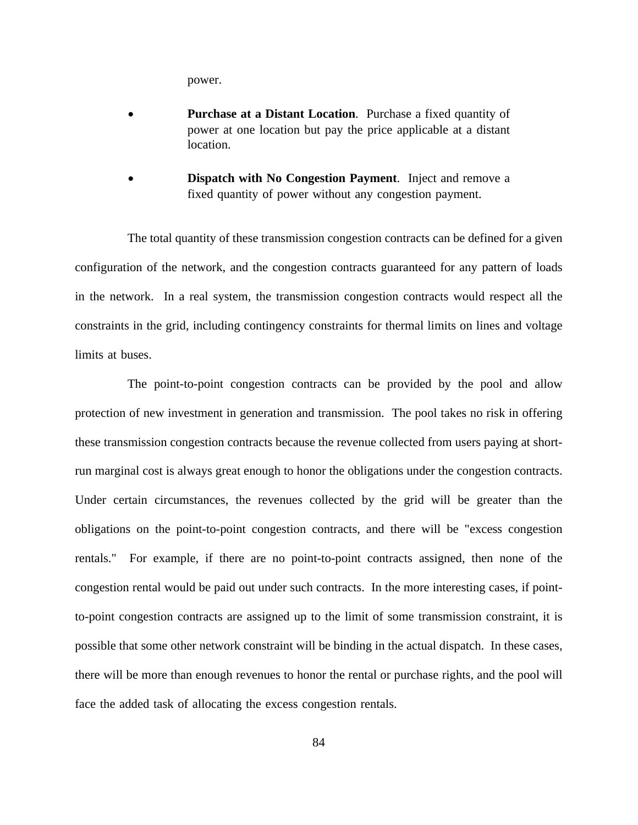power.

- **Purchase at a Distant Location**. Purchase a fixed quantity of power at one location but pay the price applicable at a distant location.
- **Dispatch with No Congestion Payment**. Inject and remove a fixed quantity of power without any congestion payment.

The total quantity of these transmission congestion contracts can be defined for a given configuration of the network, and the congestion contracts guaranteed for any pattern of loads in the network. In a real system, the transmission congestion contracts would respect all the constraints in the grid, including contingency constraints for thermal limits on lines and voltage limits at buses.

The point-to-point congestion contracts can be provided by the pool and allow protection of new investment in generation and transmission. The pool takes no risk in offering these transmission congestion contracts because the revenue collected from users paying at shortrun marginal cost is always great enough to honor the obligations under the congestion contracts. Under certain circumstances, the revenues collected by the grid will be greater than the obligations on the point-to-point congestion contracts, and there will be "excess congestion rentals." For example, if there are no point-to-point contracts assigned, then none of the congestion rental would be paid out under such contracts. In the more interesting cases, if pointto-point congestion contracts are assigned up to the limit of some transmission constraint, it is possible that some other network constraint will be binding in the actual dispatch. In these cases, there will be more than enough revenues to honor the rental or purchase rights, and the pool will face the added task of allocating the excess congestion rentals.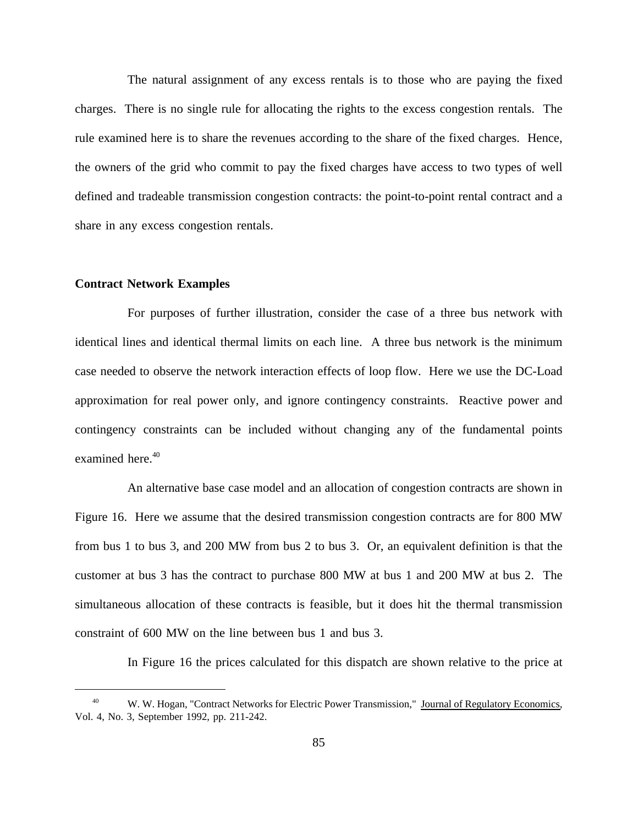The natural assignment of any excess rentals is to those who are paying the fixed charges. There is no single rule for allocating the rights to the excess congestion rentals. The rule examined here is to share the revenues according to the share of the fixed charges. Hence, the owners of the grid who commit to pay the fixed charges have access to two types of well defined and tradeable transmission congestion contracts: the point-to-point rental contract and a share in any excess congestion rentals.

### **Contract Network Examples**

For purposes of further illustration, consider the case of a three bus network with identical lines and identical thermal limits on each line. A three bus network is the minimum case needed to observe the network interaction effects of loop flow. Here we use the DC-Load approximation for real power only, and ignore contingency constraints. Reactive power and contingency constraints can be included without changing any of the fundamental points examined here.<sup>40</sup>

An alternative base case model and an allocation of congestion contracts are shown in Figure 16. Here we assume that the desired transmission congestion contracts are for 800 MW from bus 1 to bus 3, and 200 MW from bus 2 to bus 3. Or, an equivalent definition is that the customer at bus 3 has the contract to purchase 800 MW at bus 1 and 200 MW at bus 2. The simultaneous allocation of these contracts is feasible, but it does hit the thermal transmission constraint of 600 MW on the line between bus 1 and bus 3.

In Figure 16 the prices calculated for this dispatch are shown relative to the price at

<sup>&</sup>lt;sup>40</sup> W. W. Hogan, "Contract Networks for Electric Power Transmission," Journal of Regulatory Economics, Vol. 4, No. 3, September 1992, pp. 211-242.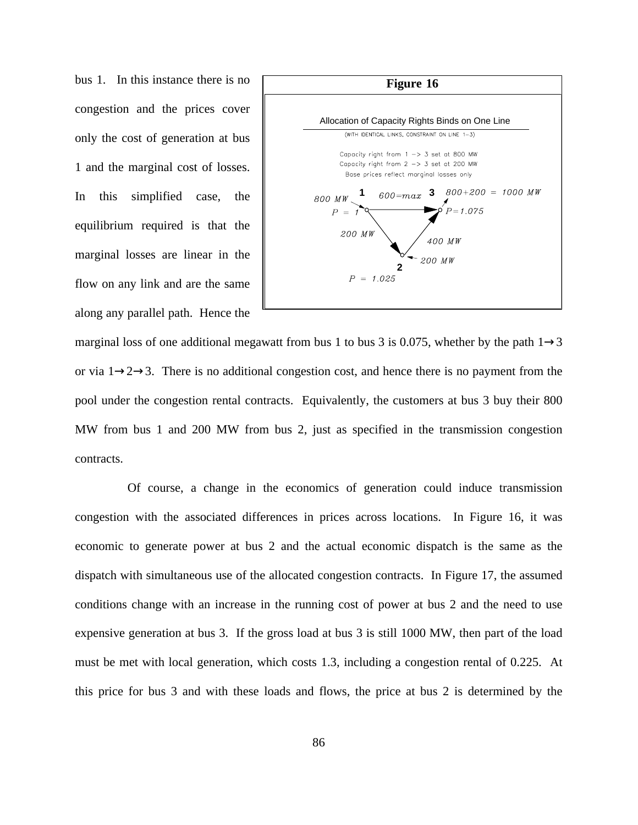bus 1. In this instance there is no congestion and the prices cover only the cost of generation at bus 1 and the marginal cost of losses. In this simplified case, the equilibrium required is that the marginal losses are linear in the flow on any link and are the same along any parallel path. Hence the



marginal loss of one additional megawatt from bus 1 to bus 3 is 0.075, whether by the path  $1\rightarrow3$ or via  $1\rightarrow 2\rightarrow 3$ . There is no additional congestion cost, and hence there is no payment from the pool under the congestion rental contracts. Equivalently, the customers at bus 3 buy their 800 MW from bus 1 and 200 MW from bus 2, just as specified in the transmission congestion contracts.

Of course, a change in the economics of generation could induce transmission congestion with the associated differences in prices across locations. In Figure 16, it was economic to generate power at bus 2 and the actual economic dispatch is the same as the dispatch with simultaneous use of the allocated congestion contracts. In Figure 17, the assumed conditions change with an increase in the running cost of power at bus 2 and the need to use expensive generation at bus 3. If the gross load at bus 3 is still 1000 MW, then part of the load must be met with local generation, which costs 1.3, including a congestion rental of 0.225. At this price for bus 3 and with these loads and flows, the price at bus 2 is determined by the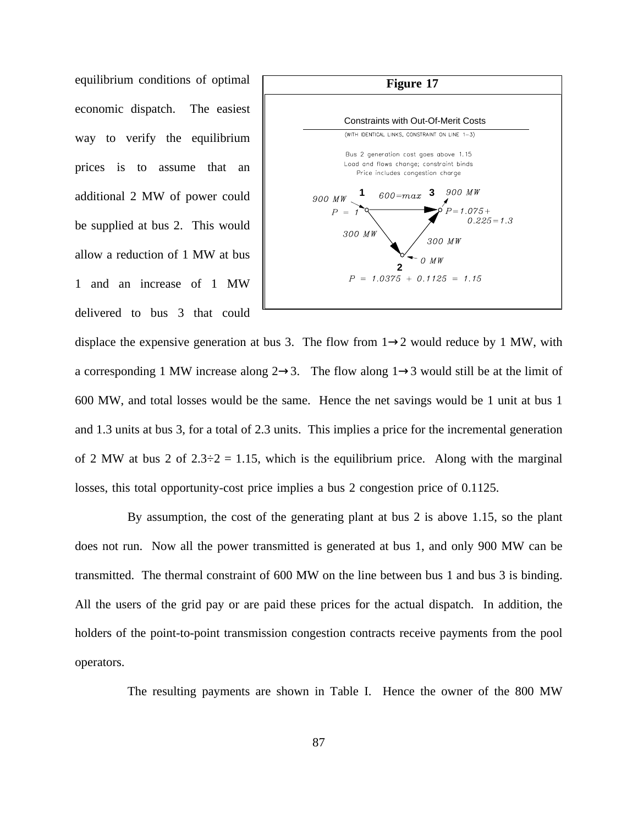equilibrium conditions of optimal economic dispatch. The easiest way to verify the equilibrium prices is to assume that an additional 2 MW of power could be supplied at bus 2. This would allow a reduction of 1 MW at bus 1 and an increase of 1 MW delivered to bus 3 that could



displace the expensive generation at bus 3. The flow from  $1\rightarrow 2$  would reduce by 1 MW, with a corresponding 1 MW increase along  $2\rightarrow 3$ . The flow along  $1\rightarrow 3$  would still be at the limit of 600 MW, and total losses would be the same. Hence the net savings would be 1 unit at bus 1 and 1.3 units at bus 3, for a total of 2.3 units. This implies a price for the incremental generation of 2 MW at bus 2 of  $2.3\div 2 = 1.15$ , which is the equilibrium price. Along with the marginal losses, this total opportunity-cost price implies a bus 2 congestion price of 0.1125.

By assumption, the cost of the generating plant at bus 2 is above 1.15, so the plant does not run. Now all the power transmitted is generated at bus 1, and only 900 MW can be transmitted. The thermal constraint of 600 MW on the line between bus 1 and bus 3 is binding. All the users of the grid pay or are paid these prices for the actual dispatch. In addition, the holders of the point-to-point transmission congestion contracts receive payments from the pool operators.

The resulting payments are shown in Table I. Hence the owner of the 800 MW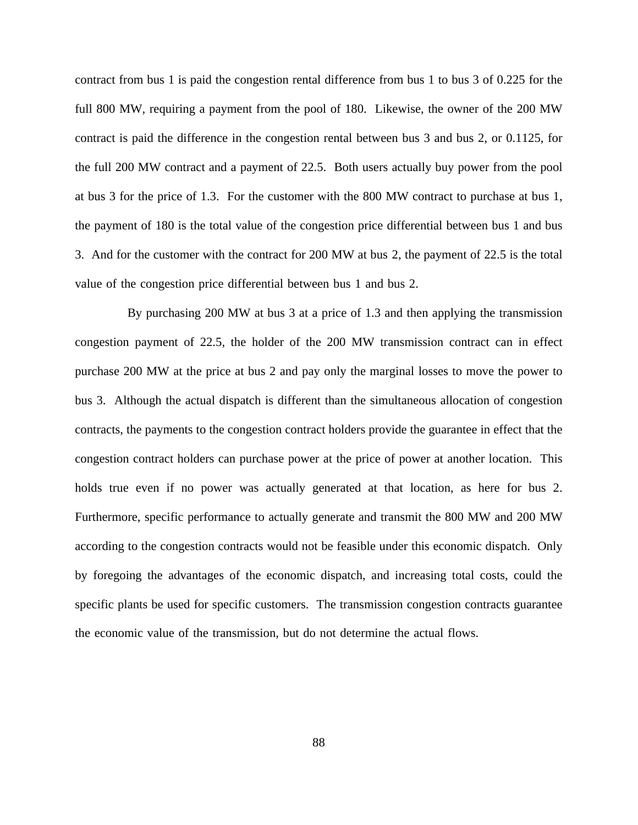contract from bus 1 is paid the congestion rental difference from bus 1 to bus 3 of 0.225 for the full 800 MW, requiring a payment from the pool of 180. Likewise, the owner of the 200 MW contract is paid the difference in the congestion rental between bus 3 and bus 2, or 0.1125, for the full 200 MW contract and a payment of 22.5. Both users actually buy power from the pool at bus 3 for the price of 1.3. For the customer with the 800 MW contract to purchase at bus 1, the payment of 180 is the total value of the congestion price differential between bus 1 and bus 3. And for the customer with the contract for 200 MW at bus 2, the payment of 22.5 is the total value of the congestion price differential between bus 1 and bus 2.

By purchasing 200 MW at bus 3 at a price of 1.3 and then applying the transmission congestion payment of 22.5, the holder of the 200 MW transmission contract can in effect purchase 200 MW at the price at bus 2 and pay only the marginal losses to move the power to bus 3. Although the actual dispatch is different than the simultaneous allocation of congestion contracts, the payments to the congestion contract holders provide the guarantee in effect that the congestion contract holders can purchase power at the price of power at another location. This holds true even if no power was actually generated at that location, as here for bus 2. Furthermore, specific performance to actually generate and transmit the 800 MW and 200 MW according to the congestion contracts would not be feasible under this economic dispatch. Only by foregoing the advantages of the economic dispatch, and increasing total costs, could the specific plants be used for specific customers. The transmission congestion contracts guarantee the economic value of the transmission, but do not determine the actual flows.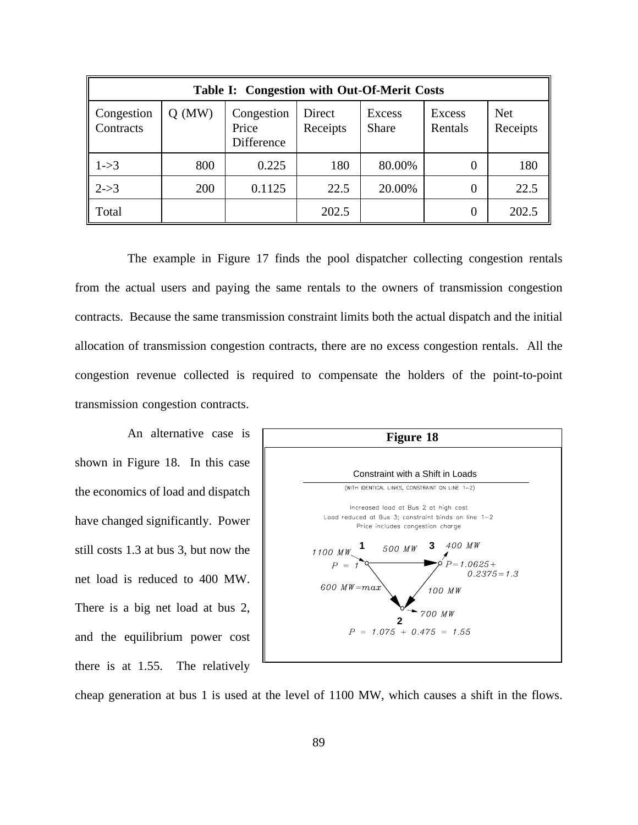| Table I: Congestion with Out-Of-Merit Costs |          |                                   |                    |                        |                   |                        |  |
|---------------------------------------------|----------|-----------------------------------|--------------------|------------------------|-------------------|------------------------|--|
| Congestion<br>Contracts                     | $Q$ (MW) | Congestion<br>Price<br>Difference | Direct<br>Receipts | Excess<br><b>Share</b> | Excess<br>Rentals | <b>Net</b><br>Receipts |  |
| $1 - > 3$                                   | 800      | 0.225                             | 180                | 80.00%                 | $\theta$          | 180                    |  |
| $2 - > 3$                                   | 200      | 0.1125                            | 22.5               | 20.00%                 | 0                 | 22.5                   |  |
| Total                                       |          |                                   | 202.5              |                        | 0                 | 202.5                  |  |

The example in Figure 17 finds the pool dispatcher collecting congestion rentals from the actual users and paying the same rentals to the owners of transmission congestion contracts. Because the same transmission constraint limits both the actual dispatch and the initial allocation of transmission congestion contracts, there are no excess congestion rentals. All the congestion revenue collected is required to compensate the holders of the point-to-point transmission congestion contracts.

An alternative case is shown in Figure 18. In this case the economics of load and dispatch have changed significantly. Power still costs 1.3 at bus 3, but now the net load is reduced to 400 MW. There is a big net load at bus 2, and the equilibrium power cost there is at 1.55. The relatively



cheap generation at bus 1 is used at the level of 1100 MW, which causes a shift in the flows.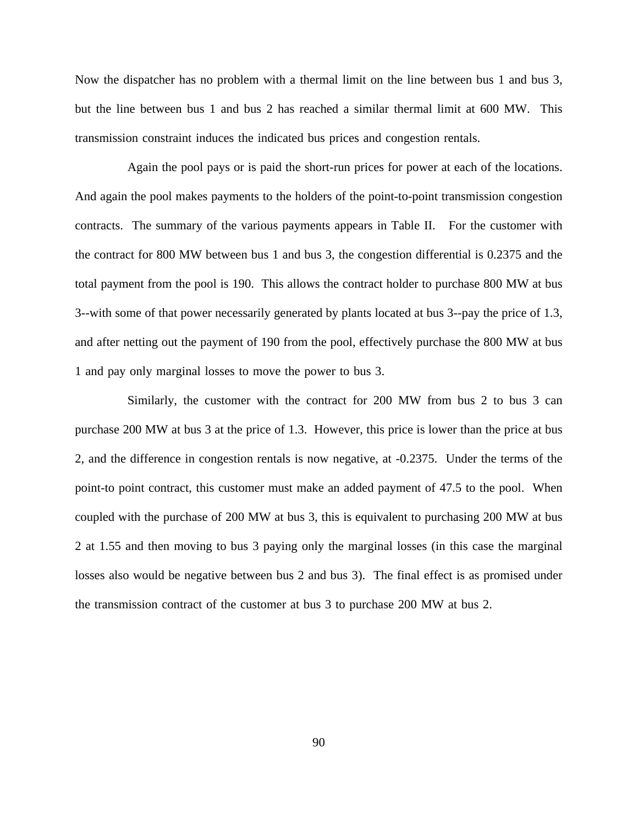Now the dispatcher has no problem with a thermal limit on the line between bus 1 and bus 3, but the line between bus 1 and bus 2 has reached a similar thermal limit at 600 MW. This transmission constraint induces the indicated bus prices and congestion rentals.

Again the pool pays or is paid the short-run prices for power at each of the locations. And again the pool makes payments to the holders of the point-to-point transmission congestion contracts. The summary of the various payments appears in Table II. For the customer with the contract for 800 MW between bus 1 and bus 3, the congestion differential is 0.2375 and the total payment from the pool is 190. This allows the contract holder to purchase 800 MW at bus 3--with some of that power necessarily generated by plants located at bus 3--pay the price of 1.3, and after netting out the payment of 190 from the pool, effectively purchase the 800 MW at bus 1 and pay only marginal losses to move the power to bus 3.

Similarly, the customer with the contract for 200 MW from bus 2 to bus 3 can purchase 200 MW at bus 3 at the price of 1.3. However, this price is lower than the price at bus 2, and the difference in congestion rentals is now negative, at -0.2375. Under the terms of the point-to point contract, this customer must make an added payment of 47.5 to the pool. When coupled with the purchase of 200 MW at bus 3, this is equivalent to purchasing 200 MW at bus 2 at 1.55 and then moving to bus 3 paying only the marginal losses (in this case the marginal losses also would be negative between bus 2 and bus 3). The final effect is as promised under the transmission contract of the customer at bus 3 to purchase 200 MW at bus 2.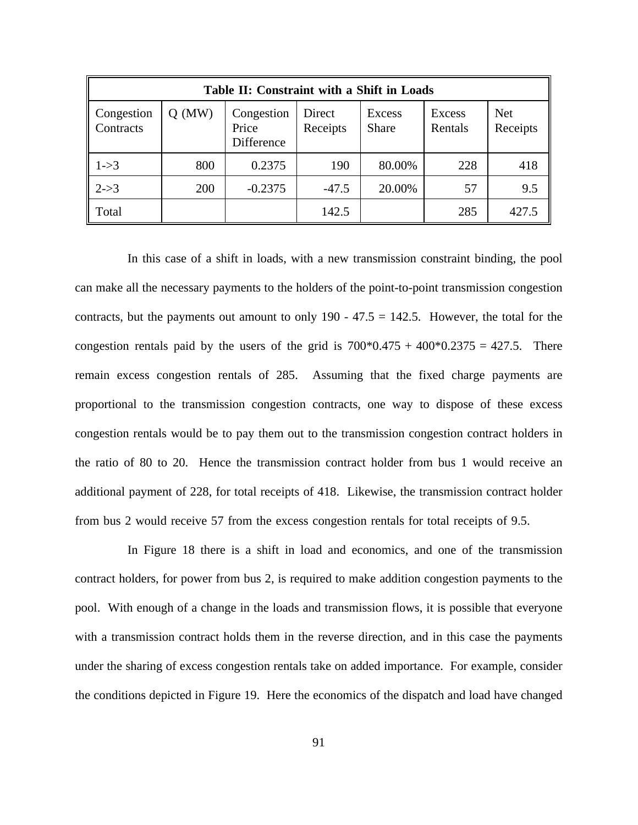| Table II: Constraint with a Shift in Loads |          |                                   |                    |                        |                   |                        |  |
|--------------------------------------------|----------|-----------------------------------|--------------------|------------------------|-------------------|------------------------|--|
| Congestion<br>Contracts                    | $Q$ (MW) | Congestion<br>Price<br>Difference | Direct<br>Receipts | Excess<br><b>Share</b> | Excess<br>Rentals | <b>Net</b><br>Receipts |  |
| $1 - > 3$                                  | 800      | 0.2375                            | 190                | 80.00%                 | 228               | 418                    |  |
| $2 - > 3$                                  | 200      | $-0.2375$                         | $-47.5$            | 20.00%                 | 57                | 9.5                    |  |
| Total                                      |          |                                   | 142.5              |                        | 285               | 427.5                  |  |

In this case of a shift in loads, with a new transmission constraint binding, the pool can make all the necessary payments to the holders of the point-to-point transmission congestion contracts, but the payments out amount to only  $190 - 47.5 = 142.5$ . However, the total for the congestion rentals paid by the users of the grid is  $700*0.475 + 400*0.2375 = 427.5$ . There remain excess congestion rentals of 285. Assuming that the fixed charge payments are proportional to the transmission congestion contracts, one way to dispose of these excess congestion rentals would be to pay them out to the transmission congestion contract holders in the ratio of 80 to 20. Hence the transmission contract holder from bus 1 would receive an additional payment of 228, for total receipts of 418. Likewise, the transmission contract holder from bus 2 would receive 57 from the excess congestion rentals for total receipts of 9.5.

In Figure 18 there is a shift in load and economics, and one of the transmission contract holders, for power from bus 2, is required to make addition congestion payments to the pool. With enough of a change in the loads and transmission flows, it is possible that everyone with a transmission contract holds them in the reverse direction, and in this case the payments under the sharing of excess congestion rentals take on added importance. For example, consider the conditions depicted in Figure 19. Here the economics of the dispatch and load have changed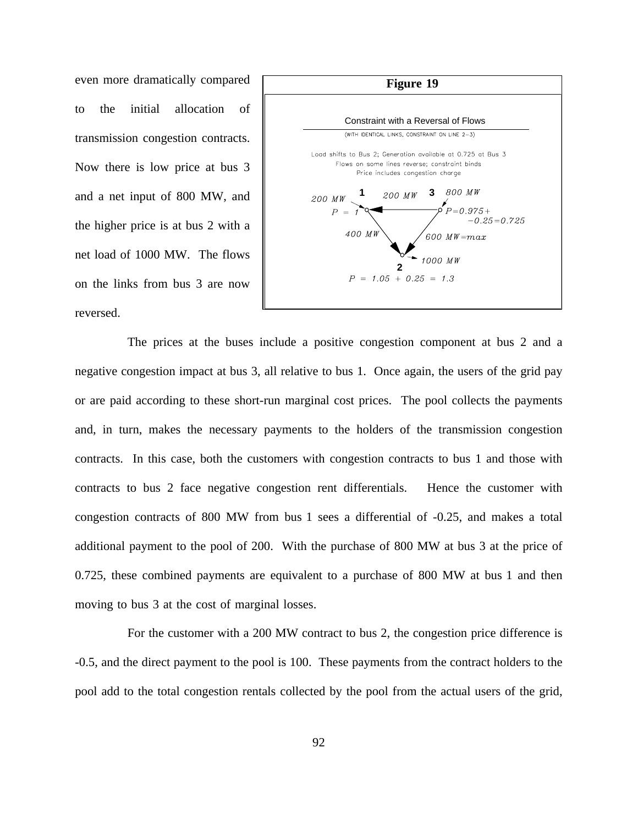even more dramatically compared to the initial allocation of transmission congestion contracts. Now there is low price at bus 3 and a net input of 800 MW, and the higher price is at bus 2 with a net load of 1000 MW. The flows on the links from bus 3 are now reversed.



The prices at the buses include a positive congestion component at bus 2 and a negative congestion impact at bus 3, all relative to bus 1. Once again, the users of the grid pay or are paid according to these short-run marginal cost prices. The pool collects the payments and, in turn, makes the necessary payments to the holders of the transmission congestion contracts. In this case, both the customers with congestion contracts to bus 1 and those with contracts to bus 2 face negative congestion rent differentials. Hence the customer with congestion contracts of 800 MW from bus 1 sees a differential of -0.25, and makes a total additional payment to the pool of 200. With the purchase of 800 MW at bus 3 at the price of 0.725, these combined payments are equivalent to a purchase of 800 MW at bus 1 and then moving to bus 3 at the cost of marginal losses.

For the customer with a 200 MW contract to bus 2, the congestion price difference is -0.5, and the direct payment to the pool is 100. These payments from the contract holders to the pool add to the total congestion rentals collected by the pool from the actual users of the grid,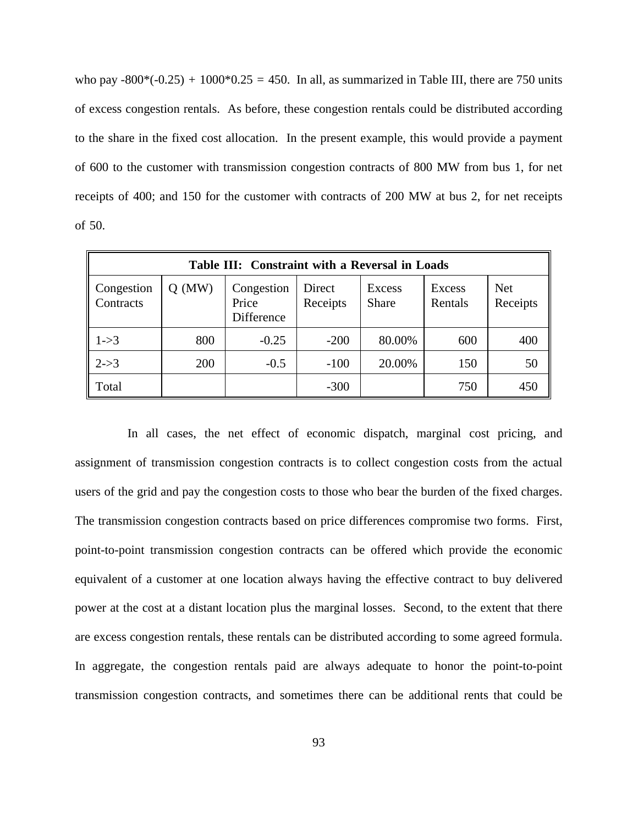who pay  $-800*(-0.25) + 1000*0.25 = 450$ . In all, as summarized in Table III, there are 750 units of excess congestion rentals. As before, these congestion rentals could be distributed according to the share in the fixed cost allocation. In the present example, this would provide a payment of 600 to the customer with transmission congestion contracts of 800 MW from bus 1, for net receipts of 400; and 150 for the customer with contracts of 200 MW at bus 2, for net receipts of 50.

| Table III: Constraint with a Reversal in Loads |          |                                   |                    |                 |                   |                        |  |  |
|------------------------------------------------|----------|-----------------------------------|--------------------|-----------------|-------------------|------------------------|--|--|
| Congestion<br>Contracts                        | $Q$ (MW) | Congestion<br>Price<br>Difference | Direct<br>Receipts | Excess<br>Share | Excess<br>Rentals | <b>Net</b><br>Receipts |  |  |
| $ 1-3 $                                        | 800      | $-0.25$                           | $-200$             | 80.00%          | 600               | 400                    |  |  |
| $2 - > 3$                                      | 200      | $-0.5$                            | $-100$             | 20.00%          | 150               | 50                     |  |  |
| Total                                          |          |                                   | $-300$             |                 | 750               | 450                    |  |  |

In all cases, the net effect of economic dispatch, marginal cost pricing, and assignment of transmission congestion contracts is to collect congestion costs from the actual users of the grid and pay the congestion costs to those who bear the burden of the fixed charges. The transmission congestion contracts based on price differences compromise two forms. First, point-to-point transmission congestion contracts can be offered which provide the economic equivalent of a customer at one location always having the effective contract to buy delivered power at the cost at a distant location plus the marginal losses. Second, to the extent that there are excess congestion rentals, these rentals can be distributed according to some agreed formula. In aggregate, the congestion rentals paid are always adequate to honor the point-to-point transmission congestion contracts, and sometimes there can be additional rents that could be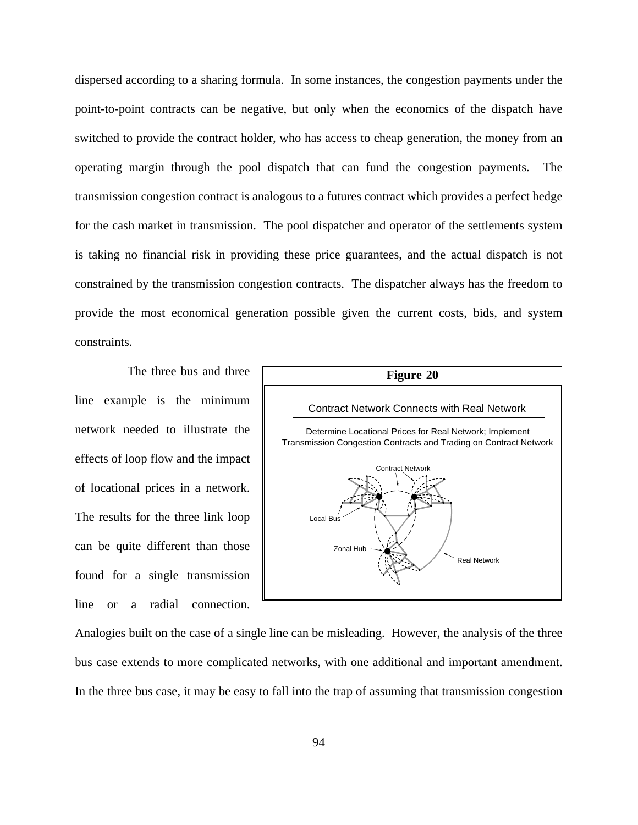dispersed according to a sharing formula. In some instances, the congestion payments under the point-to-point contracts can be negative, but only when the economics of the dispatch have switched to provide the contract holder, who has access to cheap generation, the money from an operating margin through the pool dispatch that can fund the congestion payments. The transmission congestion contract is analogous to a futures contract which provides a perfect hedge for the cash market in transmission. The pool dispatcher and operator of the settlements system is taking no financial risk in providing these price guarantees, and the actual dispatch is not constrained by the transmission congestion contracts. The dispatcher always has the freedom to provide the most economical generation possible given the current costs, bids, and system constraints.

The three bus and three line example is the minimum network needed to illustrate the effects of loop flow and the impact of locational prices in a network. The results for the three link loop can be quite different than those found for a single transmission line or a radial connection.



Analogies built on the case of a single line can be misleading. However, the analysis of the three bus case extends to more complicated networks, with one additional and important amendment. In the three bus case, it may be easy to fall into the trap of assuming that transmission congestion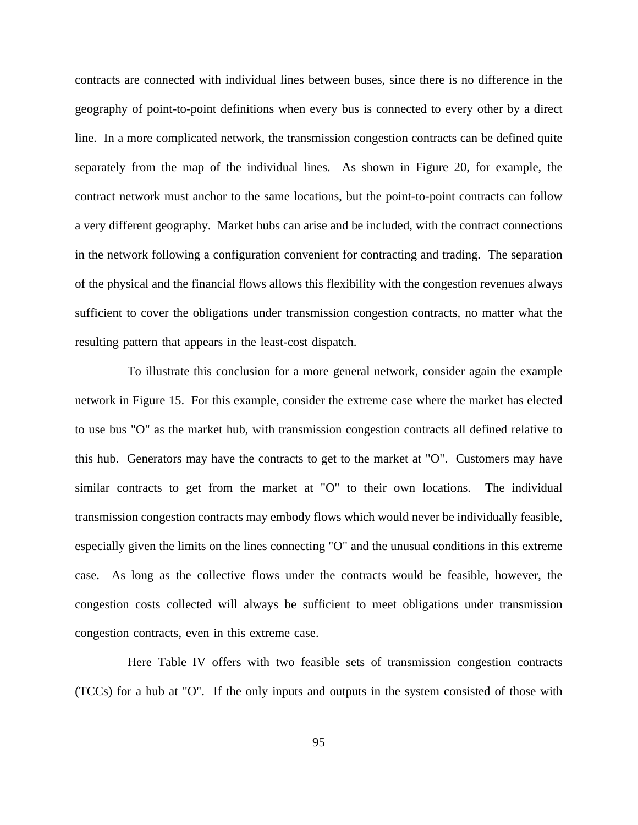contracts are connected with individual lines between buses, since there is no difference in the geography of point-to-point definitions when every bus is connected to every other by a direct line. In a more complicated network, the transmission congestion contracts can be defined quite separately from the map of the individual lines. As shown in Figure 20, for example, the contract network must anchor to the same locations, but the point-to-point contracts can follow a very different geography. Market hubs can arise and be included, with the contract connections in the network following a configuration convenient for contracting and trading. The separation of the physical and the financial flows allows this flexibility with the congestion revenues always sufficient to cover the obligations under transmission congestion contracts, no matter what the resulting pattern that appears in the least-cost dispatch.

To illustrate this conclusion for a more general network, consider again the example network in Figure 15. For this example, consider the extreme case where the market has elected to use bus "O" as the market hub, with transmission congestion contracts all defined relative to this hub. Generators may have the contracts to get to the market at "O". Customers may have similar contracts to get from the market at "O" to their own locations. The individual transmission congestion contracts may embody flows which would never be individually feasible, especially given the limits on the lines connecting "O" and the unusual conditions in this extreme case. As long as the collective flows under the contracts would be feasible, however, the congestion costs collected will always be sufficient to meet obligations under transmission congestion contracts, even in this extreme case.

Here Table IV offers with two feasible sets of transmission congestion contracts (TCCs) for a hub at "O". If the only inputs and outputs in the system consisted of those with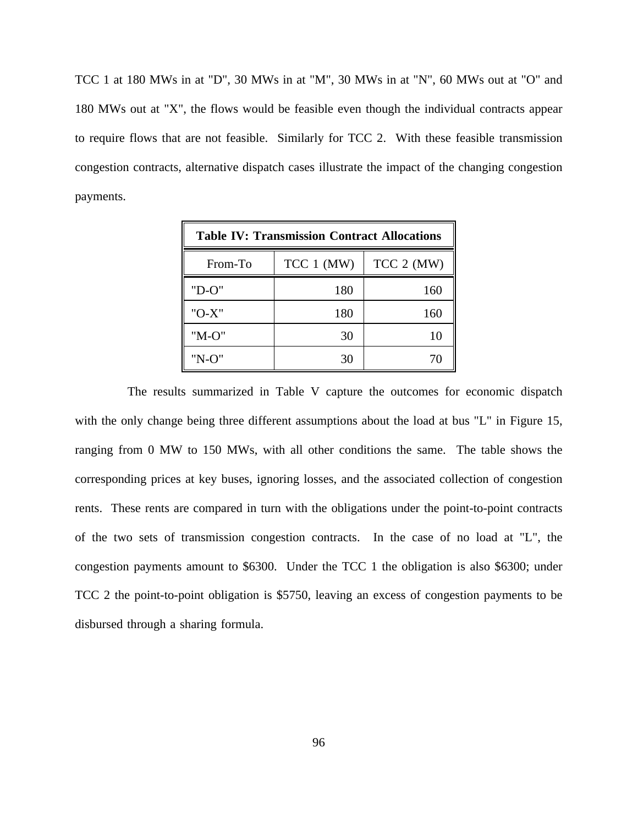TCC 1 at 180 MWs in at "D", 30 MWs in at "M", 30 MWs in at "N", 60 MWs out at "O" and 180 MWs out at "X", the flows would be feasible even though the individual contracts appear to require flows that are not feasible. Similarly for TCC 2. With these feasible transmission congestion contracts, alternative dispatch cases illustrate the impact of the changing congestion payments.

| <b>Table IV: Transmission Contract Allocations</b> |              |            |  |  |  |  |
|----------------------------------------------------|--------------|------------|--|--|--|--|
| From-To                                            | $TCC 1$ (MW) | TCC 2 (MW) |  |  |  |  |
| $"D-O"$                                            | 180          | 160        |  |  |  |  |
| "O-X"                                              | 180          | 160        |  |  |  |  |
| "M-O"                                              | 30           | 10         |  |  |  |  |
| "N-O"                                              | 30           | 70         |  |  |  |  |

The results summarized in Table V capture the outcomes for economic dispatch with the only change being three different assumptions about the load at bus "L" in Figure 15, ranging from 0 MW to 150 MWs, with all other conditions the same. The table shows the corresponding prices at key buses, ignoring losses, and the associated collection of congestion rents. These rents are compared in turn with the obligations under the point-to-point contracts of the two sets of transmission congestion contracts. In the case of no load at "L", the congestion payments amount to \$6300. Under the TCC 1 the obligation is also \$6300; under TCC 2 the point-to-point obligation is \$5750, leaving an excess of congestion payments to be disbursed through a sharing formula.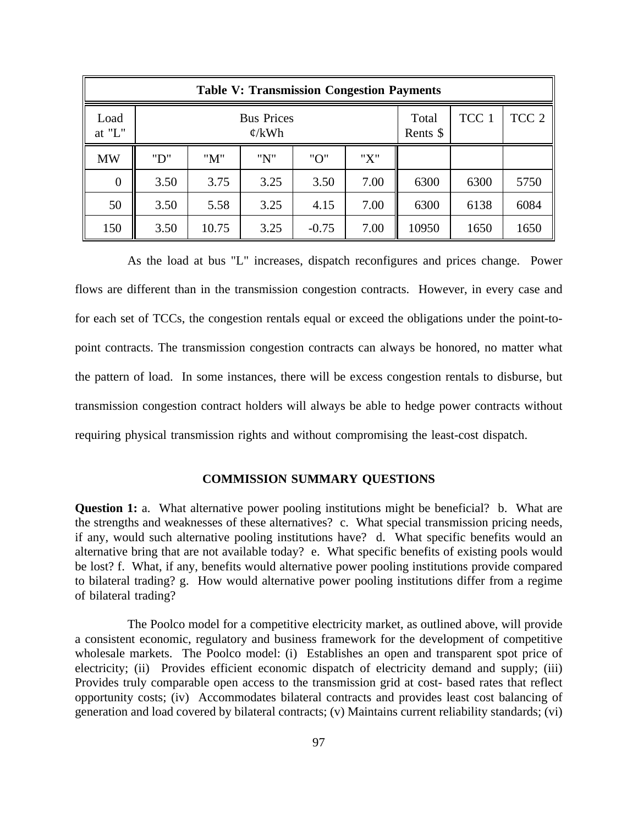| <b>Table V: Transmission Congestion Payments</b> |                                        |       |      |         |                   |       |                  |      |
|--------------------------------------------------|----------------------------------------|-------|------|---------|-------------------|-------|------------------|------|
| Load<br>at "L"                                   | <b>Bus Prices</b><br>$\mathcal{C}/kWh$ |       |      |         | Total<br>Rents \$ | TCC 1 | TCC <sub>2</sub> |      |
| <b>MW</b>                                        | "D"                                    | "M"   | "N"  | "O"     | "X"               |       |                  |      |
| $\overline{0}$                                   | 3.50                                   | 3.75  | 3.25 | 3.50    | 7.00              | 6300  | 6300             | 5750 |
| 50                                               | 3.50                                   | 5.58  | 3.25 | 4.15    | 7.00              | 6300  | 6138             | 6084 |
| 150                                              | 3.50                                   | 10.75 | 3.25 | $-0.75$ | 7.00              | 10950 | 1650             | 1650 |

As the load at bus "L" increases, dispatch reconfigures and prices change. Power flows are different than in the transmission congestion contracts. However, in every case and for each set of TCCs, the congestion rentals equal or exceed the obligations under the point-topoint contracts. The transmission congestion contracts can always be honored, no matter what the pattern of load. In some instances, there will be excess congestion rentals to disburse, but transmission congestion contract holders will always be able to hedge power contracts without requiring physical transmission rights and without compromising the least-cost dispatch.

# **COMMISSION SUMMARY QUESTIONS**

**Question 1:** a. What alternative power pooling institutions might be beneficial? b. What are the strengths and weaknesses of these alternatives? c. What special transmission pricing needs, if any, would such alternative pooling institutions have? d. What specific benefits would an alternative bring that are not available today? e. What specific benefits of existing pools would be lost? f. What, if any, benefits would alternative power pooling institutions provide compared to bilateral trading? g. How would alternative power pooling institutions differ from a regime of bilateral trading?

The Poolco model for a competitive electricity market, as outlined above, will provide a consistent economic, regulatory and business framework for the development of competitive wholesale markets. The Poolco model: (i) Establishes an open and transparent spot price of electricity; (ii) Provides efficient economic dispatch of electricity demand and supply; (iii) Provides truly comparable open access to the transmission grid at cost- based rates that reflect opportunity costs; (iv) Accommodates bilateral contracts and provides least cost balancing of generation and load covered by bilateral contracts; (v) Maintains current reliability standards; (vi)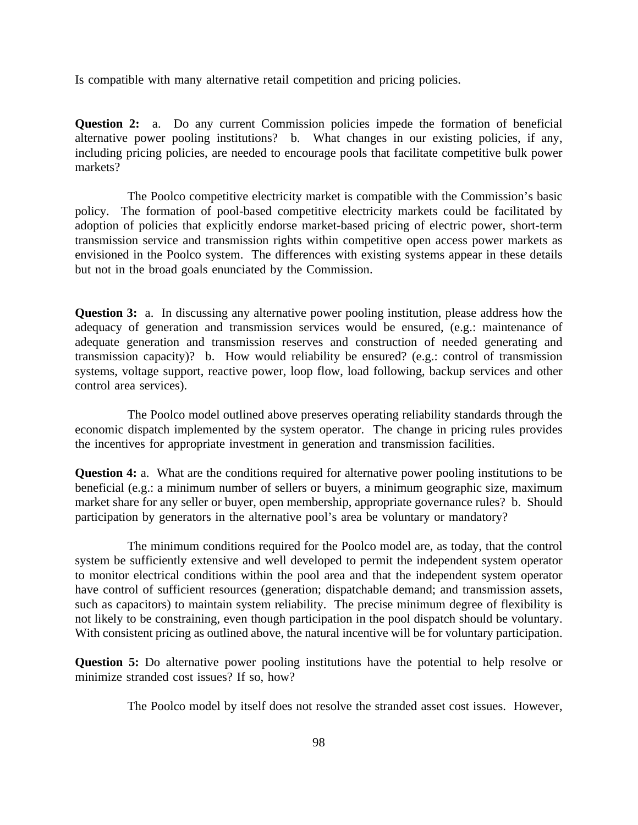Is compatible with many alternative retail competition and pricing policies.

**Question 2:** a. Do any current Commission policies impede the formation of beneficial alternative power pooling institutions? b. What changes in our existing policies, if any, including pricing policies, are needed to encourage pools that facilitate competitive bulk power markets?

The Poolco competitive electricity market is compatible with the Commission's basic policy. The formation of pool-based competitive electricity markets could be facilitated by adoption of policies that explicitly endorse market-based pricing of electric power, short-term transmission service and transmission rights within competitive open access power markets as envisioned in the Poolco system. The differences with existing systems appear in these details but not in the broad goals enunciated by the Commission.

**Question 3:** a. In discussing any alternative power pooling institution, please address how the adequacy of generation and transmission services would be ensured, (e.g.: maintenance of adequate generation and transmission reserves and construction of needed generating and transmission capacity)? b. How would reliability be ensured? (e.g.: control of transmission systems, voltage support, reactive power, loop flow, load following, backup services and other control area services).

The Poolco model outlined above preserves operating reliability standards through the economic dispatch implemented by the system operator. The change in pricing rules provides the incentives for appropriate investment in generation and transmission facilities.

**Question 4:** a. What are the conditions required for alternative power pooling institutions to be beneficial (e.g.: a minimum number of sellers or buyers, a minimum geographic size, maximum market share for any seller or buyer, open membership, appropriate governance rules? b. Should participation by generators in the alternative pool's area be voluntary or mandatory?

The minimum conditions required for the Poolco model are, as today, that the control system be sufficiently extensive and well developed to permit the independent system operator to monitor electrical conditions within the pool area and that the independent system operator have control of sufficient resources (generation; dispatchable demand; and transmission assets, such as capacitors) to maintain system reliability. The precise minimum degree of flexibility is not likely to be constraining, even though participation in the pool dispatch should be voluntary. With consistent pricing as outlined above, the natural incentive will be for voluntary participation.

**Question 5:** Do alternative power pooling institutions have the potential to help resolve or minimize stranded cost issues? If so, how?

The Poolco model by itself does not resolve the stranded asset cost issues. However,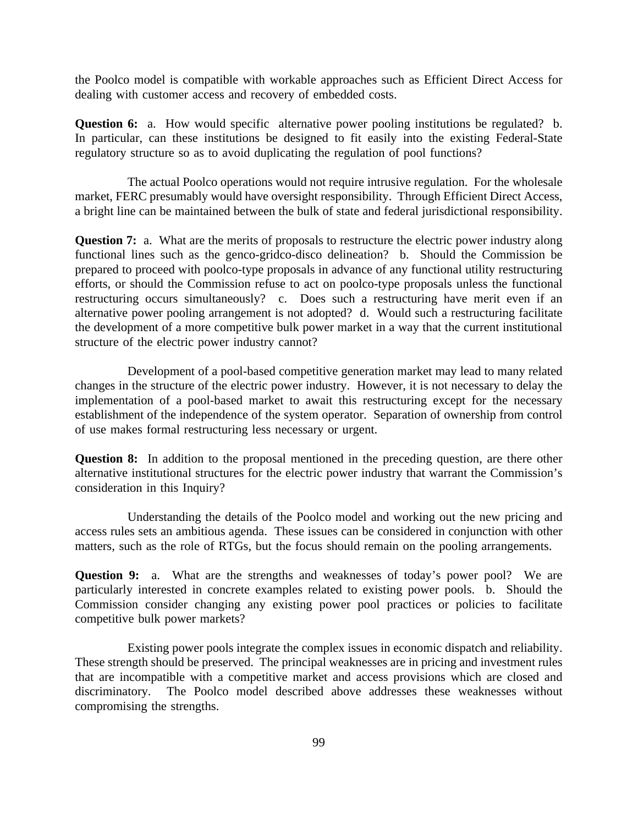the Poolco model is compatible with workable approaches such as Efficient Direct Access for dealing with customer access and recovery of embedded costs.

**Question 6:** a. How would specific alternative power pooling institutions be regulated? b. In particular, can these institutions be designed to fit easily into the existing Federal-State regulatory structure so as to avoid duplicating the regulation of pool functions?

The actual Poolco operations would not require intrusive regulation. For the wholesale market, FERC presumably would have oversight responsibility. Through Efficient Direct Access, a bright line can be maintained between the bulk of state and federal jurisdictional responsibility.

**Question 7:** a. What are the merits of proposals to restructure the electric power industry along functional lines such as the genco-gridco-disco delineation? b. Should the Commission be prepared to proceed with poolco-type proposals in advance of any functional utility restructuring efforts, or should the Commission refuse to act on poolco-type proposals unless the functional restructuring occurs simultaneously? c. Does such a restructuring have merit even if an alternative power pooling arrangement is not adopted? d. Would such a restructuring facilitate the development of a more competitive bulk power market in a way that the current institutional structure of the electric power industry cannot?

Development of a pool-based competitive generation market may lead to many related changes in the structure of the electric power industry. However, it is not necessary to delay the implementation of a pool-based market to await this restructuring except for the necessary establishment of the independence of the system operator. Separation of ownership from control of use makes formal restructuring less necessary or urgent.

**Question 8:** In addition to the proposal mentioned in the preceding question, are there other alternative institutional structures for the electric power industry that warrant the Commission's consideration in this Inquiry?

Understanding the details of the Poolco model and working out the new pricing and access rules sets an ambitious agenda. These issues can be considered in conjunction with other matters, such as the role of RTGs, but the focus should remain on the pooling arrangements.

**Question 9:** a. What are the strengths and weaknesses of today's power pool? We are particularly interested in concrete examples related to existing power pools. b. Should the Commission consider changing any existing power pool practices or policies to facilitate competitive bulk power markets?

Existing power pools integrate the complex issues in economic dispatch and reliability. These strength should be preserved. The principal weaknesses are in pricing and investment rules that are incompatible with a competitive market and access provisions which are closed and discriminatory. The Poolco model described above addresses these weaknesses without compromising the strengths.